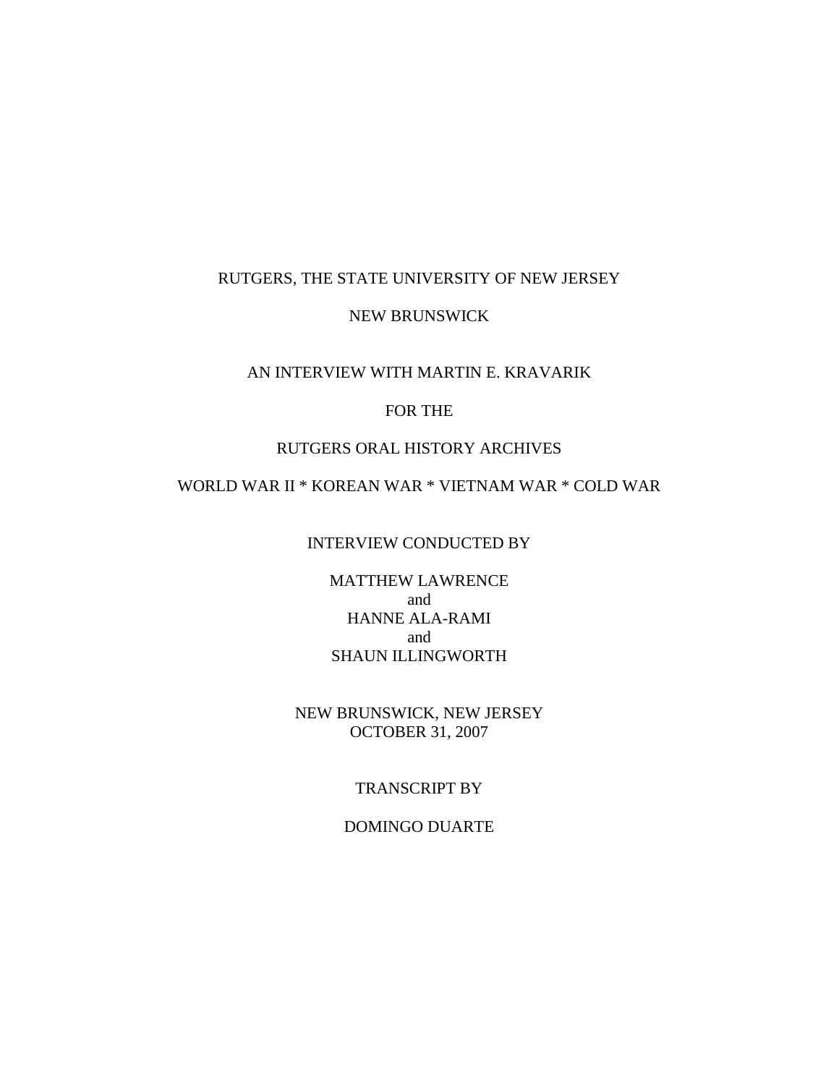### RUTGERS, THE STATE UNIVERSITY OF NEW JERSEY

### NEW BRUNSWICK

# AN INTERVIEW WITH MARTIN E. KRAVARIK

# FOR THE

### RUTGERS ORAL HISTORY ARCHIVES

# WORLD WAR II \* KOREAN WAR \* VIETNAM WAR \* COLD WAR

#### INTERVIEW CONDUCTED BY

MATTHEW LAWRENCE and HANNE ALA-RAMI and SHAUN ILLINGWORTH

NEW BRUNSWICK, NEW JERSEY OCTOBER 31, 2007

#### TRANSCRIPT BY

#### DOMINGO DUARTE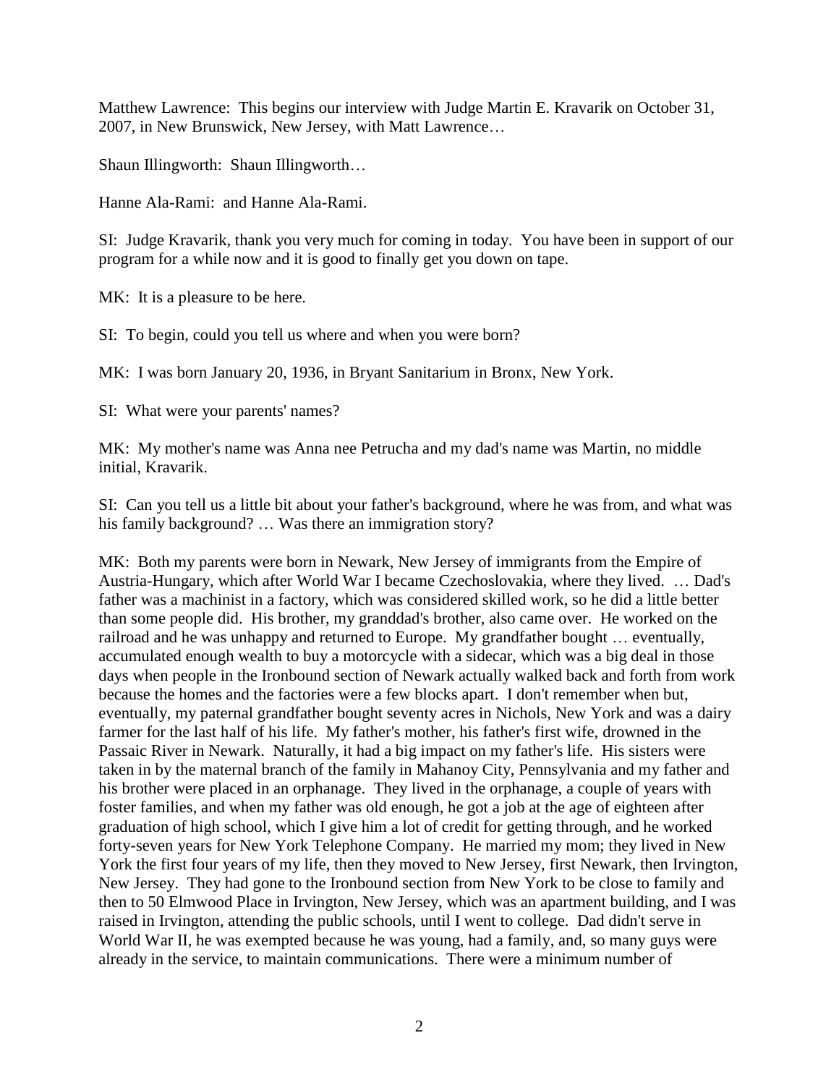Matthew Lawrence: This begins our interview with Judge Martin E. Kravarik on October 31, 2007, in New Brunswick, New Jersey, with Matt Lawrence…

Shaun Illingworth: Shaun Illingworth…

Hanne Ala-Rami: and Hanne Ala-Rami.

SI: Judge Kravarik, thank you very much for coming in today. You have been in support of our program for a while now and it is good to finally get you down on tape.

MK: It is a pleasure to be here.

SI: To begin, could you tell us where and when you were born?

MK: I was born January 20, 1936, in Bryant Sanitarium in Bronx, New York.

SI: What were your parents' names?

MK: My mother's name was Anna nee Petrucha and my dad's name was Martin, no middle initial, Kravarik.

SI: Can you tell us a little bit about your father's background, where he was from, and what was his family background? ... Was there an immigration story?

MK: Both my parents were born in Newark, New Jersey of immigrants from the Empire of Austria-Hungary, which after World War I became Czechoslovakia, where they lived. … Dad's father was a machinist in a factory, which was considered skilled work, so he did a little better than some people did. His brother, my granddad's brother, also came over. He worked on the railroad and he was unhappy and returned to Europe. My grandfather bought … eventually, accumulated enough wealth to buy a motorcycle with a sidecar, which was a big deal in those days when people in the Ironbound section of Newark actually walked back and forth from work because the homes and the factories were a few blocks apart. I don't remember when but, eventually, my paternal grandfather bought seventy acres in Nichols, New York and was a dairy farmer for the last half of his life. My father's mother, his father's first wife, drowned in the Passaic River in Newark. Naturally, it had a big impact on my father's life. His sisters were taken in by the maternal branch of the family in Mahanoy City, Pennsylvania and my father and his brother were placed in an orphanage. They lived in the orphanage, a couple of years with foster families, and when my father was old enough, he got a job at the age of eighteen after graduation of high school, which I give him a lot of credit for getting through, and he worked forty-seven years for New York Telephone Company. He married my mom; they lived in New York the first four years of my life, then they moved to New Jersey, first Newark, then Irvington, New Jersey. They had gone to the Ironbound section from New York to be close to family and then to 50 Elmwood Place in Irvington, New Jersey, which was an apartment building, and I was raised in Irvington, attending the public schools, until I went to college. Dad didn't serve in World War II, he was exempted because he was young, had a family, and, so many guys were already in the service, to maintain communications. There were a minimum number of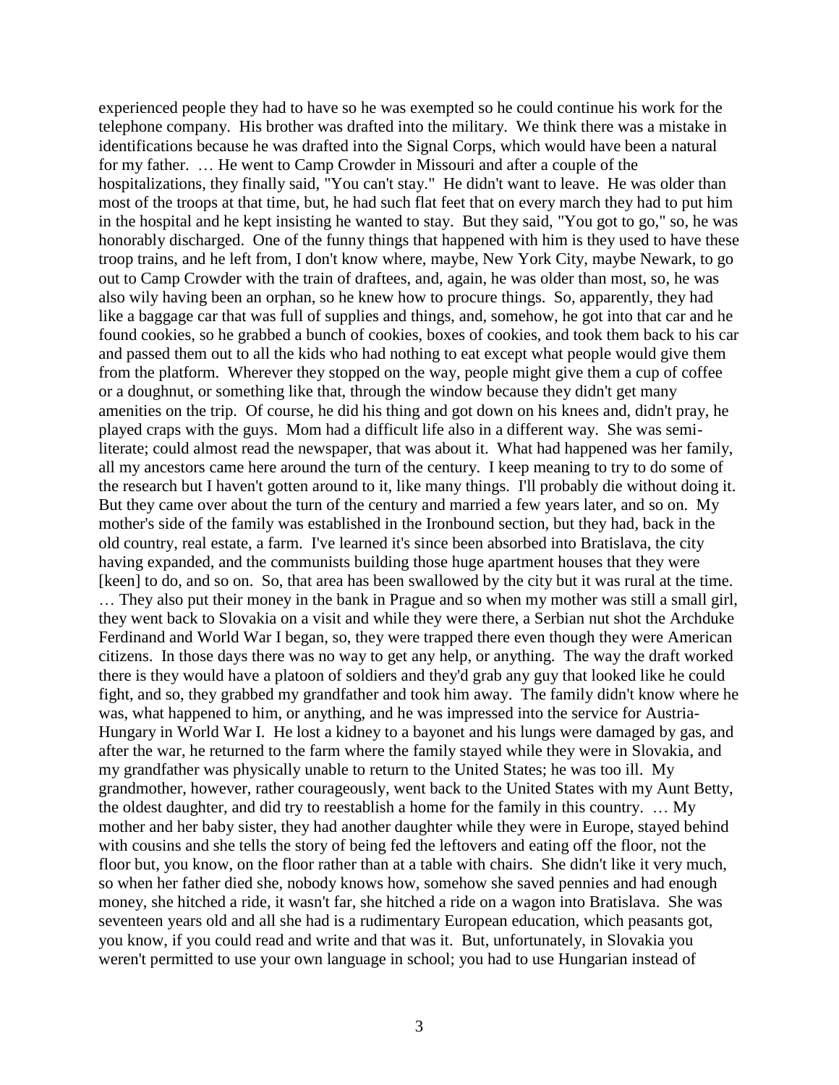experienced people they had to have so he was exempted so he could continue his work for the telephone company. His brother was drafted into the military. We think there was a mistake in identifications because he was drafted into the Signal Corps, which would have been a natural for my father. … He went to Camp Crowder in Missouri and after a couple of the hospitalizations, they finally said, "You can't stay." He didn't want to leave. He was older than most of the troops at that time, but, he had such flat feet that on every march they had to put him in the hospital and he kept insisting he wanted to stay. But they said, "You got to go," so, he was honorably discharged. One of the funny things that happened with him is they used to have these troop trains, and he left from, I don't know where, maybe, New York City, maybe Newark, to go out to Camp Crowder with the train of draftees, and, again, he was older than most, so, he was also wily having been an orphan, so he knew how to procure things. So, apparently, they had like a baggage car that was full of supplies and things, and, somehow, he got into that car and he found cookies, so he grabbed a bunch of cookies, boxes of cookies, and took them back to his car and passed them out to all the kids who had nothing to eat except what people would give them from the platform. Wherever they stopped on the way, people might give them a cup of coffee or a doughnut, or something like that, through the window because they didn't get many amenities on the trip. Of course, he did his thing and got down on his knees and, didn't pray, he played craps with the guys. Mom had a difficult life also in a different way. She was semiliterate; could almost read the newspaper, that was about it. What had happened was her family, all my ancestors came here around the turn of the century. I keep meaning to try to do some of the research but I haven't gotten around to it, like many things. I'll probably die without doing it. But they came over about the turn of the century and married a few years later, and so on. My mother's side of the family was established in the Ironbound section, but they had, back in the old country, real estate, a farm. I've learned it's since been absorbed into Bratislava, the city having expanded, and the communists building those huge apartment houses that they were [keen] to do, and so on. So, that area has been swallowed by the city but it was rural at the time. … They also put their money in the bank in Prague and so when my mother was still a small girl, they went back to Slovakia on a visit and while they were there, a Serbian nut shot the Archduke Ferdinand and World War I began, so, they were trapped there even though they were American citizens. In those days there was no way to get any help, or anything. The way the draft worked there is they would have a platoon of soldiers and they'd grab any guy that looked like he could fight, and so, they grabbed my grandfather and took him away. The family didn't know where he was, what happened to him, or anything, and he was impressed into the service for Austria-Hungary in World War I. He lost a kidney to a bayonet and his lungs were damaged by gas, and after the war, he returned to the farm where the family stayed while they were in Slovakia, and my grandfather was physically unable to return to the United States; he was too ill. My grandmother, however, rather courageously, went back to the United States with my Aunt Betty, the oldest daughter, and did try to reestablish a home for the family in this country. … My mother and her baby sister, they had another daughter while they were in Europe, stayed behind with cousins and she tells the story of being fed the leftovers and eating off the floor, not the floor but, you know, on the floor rather than at a table with chairs. She didn't like it very much, so when her father died she, nobody knows how, somehow she saved pennies and had enough money, she hitched a ride, it wasn't far, she hitched a ride on a wagon into Bratislava. She was seventeen years old and all she had is a rudimentary European education, which peasants got, you know, if you could read and write and that was it. But, unfortunately, in Slovakia you weren't permitted to use your own language in school; you had to use Hungarian instead of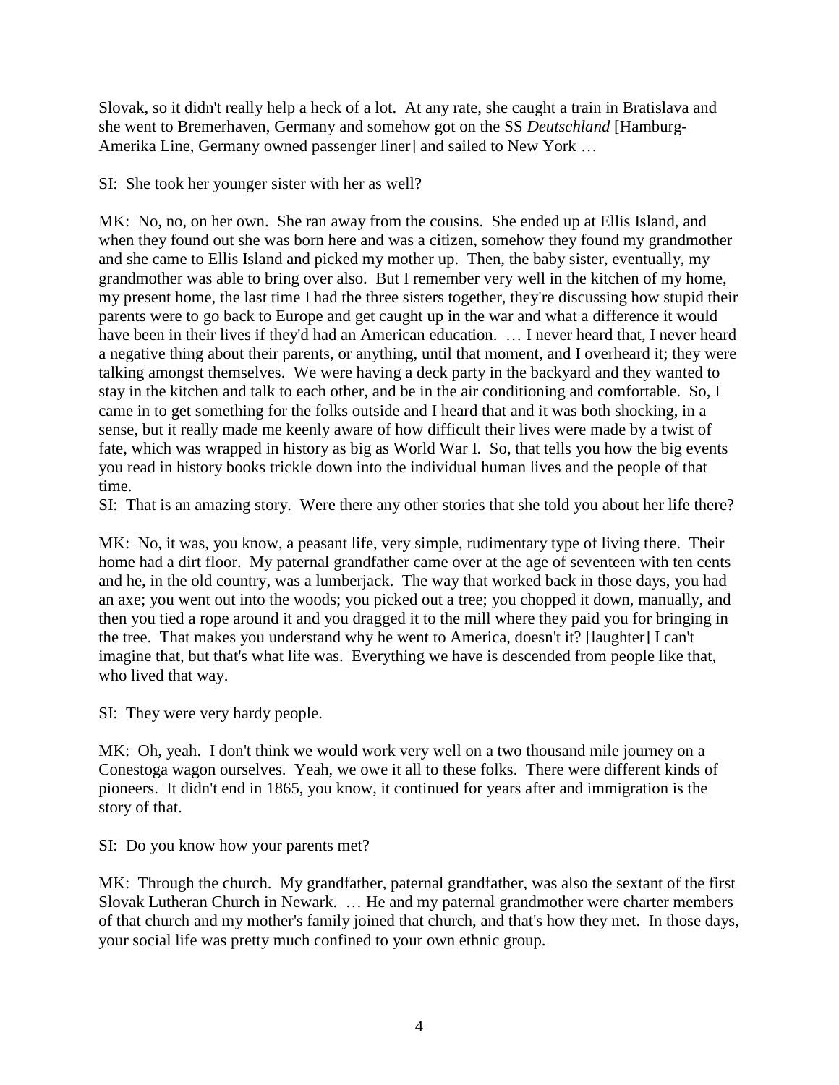Slovak, so it didn't really help a heck of a lot. At any rate, she caught a train in Bratislava and she went to Bremerhaven, Germany and somehow got on the SS *Deutschland* [\[Hamburg-](http://en.wikipedia.org/wiki/Hamburg_America_Line)[Amerika Line,](http://en.wikipedia.org/wiki/Hamburg_America_Line) [Germany](http://en.wikipedia.org/wiki/Germany) owned passenger liner] and sailed to New York …

SI: She took her younger sister with her as well?

MK: No, no, on her own. She ran away from the cousins. She ended up at Ellis Island, and when they found out she was born here and was a citizen, somehow they found my grandmother and she came to Ellis Island and picked my mother up. Then, the baby sister, eventually, my grandmother was able to bring over also. But I remember very well in the kitchen of my home, my present home, the last time I had the three sisters together, they're discussing how stupid their parents were to go back to Europe and get caught up in the war and what a difference it would have been in their lives if they'd had an American education. … I never heard that, I never heard a negative thing about their parents, or anything, until that moment, and I overheard it; they were talking amongst themselves. We were having a deck party in the backyard and they wanted to stay in the kitchen and talk to each other, and be in the air conditioning and comfortable. So, I came in to get something for the folks outside and I heard that and it was both shocking, in a sense, but it really made me keenly aware of how difficult their lives were made by a twist of fate, which was wrapped in history as big as World War I. So, that tells you how the big events you read in history books trickle down into the individual human lives and the people of that time.

SI: That is an amazing story. Were there any other stories that she told you about her life there?

MK: No, it was, you know, a peasant life, very simple, rudimentary type of living there. Their home had a dirt floor. My paternal grandfather came over at the age of seventeen with ten cents and he, in the old country, was a lumberjack. The way that worked back in those days, you had an axe; you went out into the woods; you picked out a tree; you chopped it down, manually, and then you tied a rope around it and you dragged it to the mill where they paid you for bringing in the tree. That makes you understand why he went to America, doesn't it? [laughter] I can't imagine that, but that's what life was. Everything we have is descended from people like that, who lived that way.

SI: They were very hardy people.

MK: Oh, yeah. I don't think we would work very well on a two thousand mile journey on a Conestoga wagon ourselves. Yeah, we owe it all to these folks. There were different kinds of pioneers. It didn't end in 1865, you know, it continued for years after and immigration is the story of that.

SI: Do you know how your parents met?

MK: Through the church. My grandfather, paternal grandfather, was also the sextant of the first Slovak Lutheran Church in Newark. … He and my paternal grandmother were charter members of that church and my mother's family joined that church, and that's how they met. In those days, your social life was pretty much confined to your own ethnic group.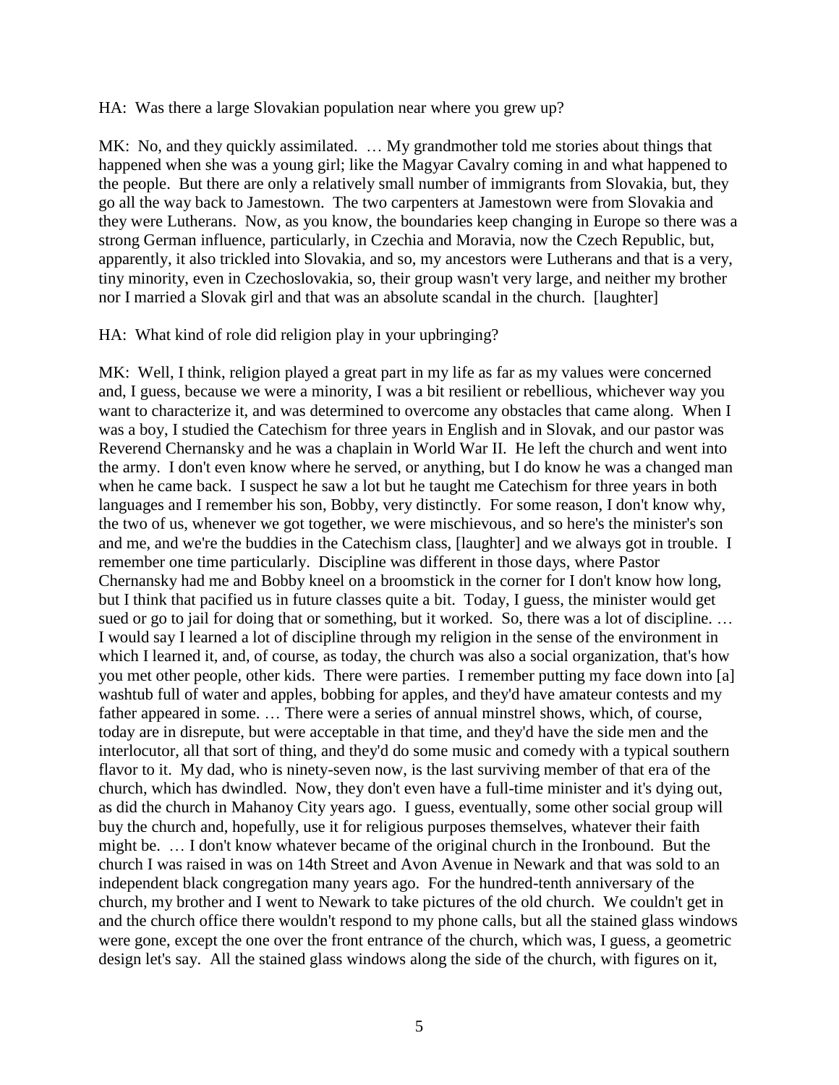HA: Was there a large Slovakian population near where you grew up?

MK: No, and they quickly assimilated. … My grandmother told me stories about things that happened when she was a young girl; like the Magyar Cavalry coming in and what happened to the people. But there are only a relatively small number of immigrants from Slovakia, but, they go all the way back to Jamestown. The two carpenters at Jamestown were from Slovakia and they were Lutherans. Now, as you know, the boundaries keep changing in Europe so there was a strong German influence, particularly, in Czechia and Moravia, now the Czech Republic, but, apparently, it also trickled into Slovakia, and so, my ancestors were Lutherans and that is a very, tiny minority, even in Czechoslovakia, so, their group wasn't very large, and neither my brother nor I married a Slovak girl and that was an absolute scandal in the church. [laughter]

#### HA: What kind of role did religion play in your upbringing?

MK: Well, I think, religion played a great part in my life as far as my values were concerned and, I guess, because we were a minority, I was a bit resilient or rebellious, whichever way you want to characterize it, and was determined to overcome any obstacles that came along. When I was a boy, I studied the Catechism for three years in English and in Slovak, and our pastor was Reverend Chernansky and he was a chaplain in World War II. He left the church and went into the army. I don't even know where he served, or anything, but I do know he was a changed man when he came back. I suspect he saw a lot but he taught me Catechism for three years in both languages and I remember his son, Bobby, very distinctly. For some reason, I don't know why, the two of us, whenever we got together, we were mischievous, and so here's the minister's son and me, and we're the buddies in the Catechism class, [laughter] and we always got in trouble. I remember one time particularly. Discipline was different in those days, where Pastor Chernansky had me and Bobby kneel on a broomstick in the corner for I don't know how long, but I think that pacified us in future classes quite a bit. Today, I guess, the minister would get sued or go to jail for doing that or something, but it worked. So, there was a lot of discipline. … I would say I learned a lot of discipline through my religion in the sense of the environment in which I learned it, and, of course, as today, the church was also a social organization, that's how you met other people, other kids. There were parties. I remember putting my face down into [a] washtub full of water and apples, bobbing for apples, and they'd have amateur contests and my father appeared in some. … There were a series of annual minstrel shows, which, of course, today are in disrepute, but were acceptable in that time, and they'd have the side men and the interlocutor, all that sort of thing, and they'd do some music and comedy with a typical southern flavor to it. My dad, who is ninety-seven now, is the last surviving member of that era of the church, which has dwindled. Now, they don't even have a full-time minister and it's dying out, as did the church in Mahanoy City years ago. I guess, eventually, some other social group will buy the church and, hopefully, use it for religious purposes themselves, whatever their faith might be. … I don't know whatever became of the original church in the Ironbound. But the church I was raised in was on 14th Street and Avon Avenue in Newark and that was sold to an independent black congregation many years ago. For the hundred-tenth anniversary of the church, my brother and I went to Newark to take pictures of the old church. We couldn't get in and the church office there wouldn't respond to my phone calls, but all the stained glass windows were gone, except the one over the front entrance of the church, which was, I guess, a geometric design let's say. All the stained glass windows along the side of the church, with figures on it,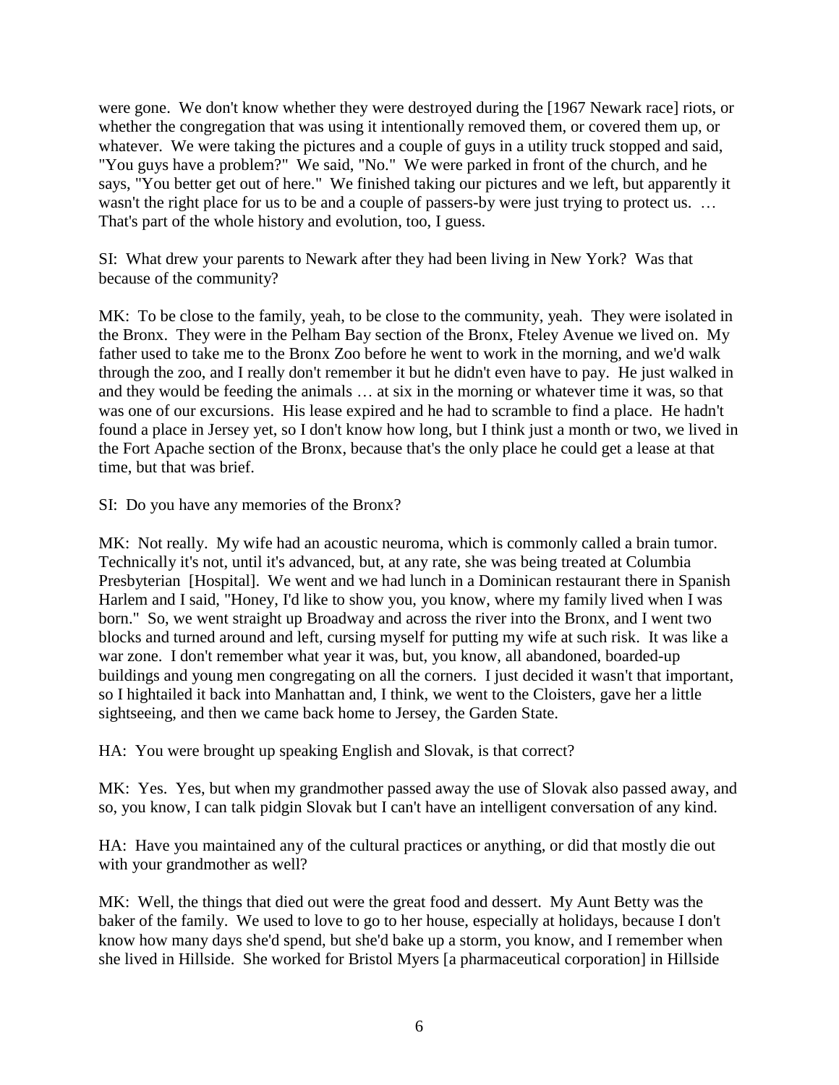were gone. We don't know whether they were destroyed during the [1967 Newark race] riots, or whether the congregation that was using it intentionally removed them, or covered them up, or whatever. We were taking the pictures and a couple of guys in a utility truck stopped and said, "You guys have a problem?" We said, "No." We were parked in front of the church, and he says, "You better get out of here." We finished taking our pictures and we left, but apparently it wasn't the right place for us to be and a couple of passers-by were just trying to protect us. ... That's part of the whole history and evolution, too, I guess.

SI: What drew your parents to Newark after they had been living in New York? Was that because of the community?

MK: To be close to the family, yeah, to be close to the community, yeah. They were isolated in the Bronx. They were in the Pelham Bay section of the Bronx, Fteley Avenue we lived on. My father used to take me to the Bronx Zoo before he went to work in the morning, and we'd walk through the zoo, and I really don't remember it but he didn't even have to pay. He just walked in and they would be feeding the animals … at six in the morning or whatever time it was, so that was one of our excursions. His lease expired and he had to scramble to find a place. He hadn't found a place in Jersey yet, so I don't know how long, but I think just a month or two, we lived in the Fort Apache section of the Bronx, because that's the only place he could get a lease at that time, but that was brief.

SI: Do you have any memories of the Bronx?

MK: Not really. My wife had an acoustic neuroma, which is commonly called a brain tumor. Technically it's not, until it's advanced, but, at any rate, she was being treated at Columbia Presbyterian [Hospital]. We went and we had lunch in a Dominican restaurant there in Spanish Harlem and I said, "Honey, I'd like to show you, you know, where my family lived when I was born." So, we went straight up Broadway and across the river into the Bronx, and I went two blocks and turned around and left, cursing myself for putting my wife at such risk. It was like a war zone. I don't remember what year it was, but, you know, all abandoned, boarded-up buildings and young men congregating on all the corners. I just decided it wasn't that important, so I hightailed it back into Manhattan and, I think, we went to the Cloisters, gave her a little sightseeing, and then we came back home to Jersey, the Garden State.

HA: You were brought up speaking English and Slovak, is that correct?

MK: Yes. Yes, but when my grandmother passed away the use of Slovak also passed away, and so, you know, I can talk pidgin Slovak but I can't have an intelligent conversation of any kind.

HA: Have you maintained any of the cultural practices or anything, or did that mostly die out with your grandmother as well?

MK: Well, the things that died out were the great food and dessert. My Aunt Betty was the baker of the family. We used to love to go to her house, especially at holidays, because I don't know how many days she'd spend, but she'd bake up a storm, you know, and I remember when she lived in Hillside. She worked for Bristol Myers [a pharmaceutical corporation] in Hillside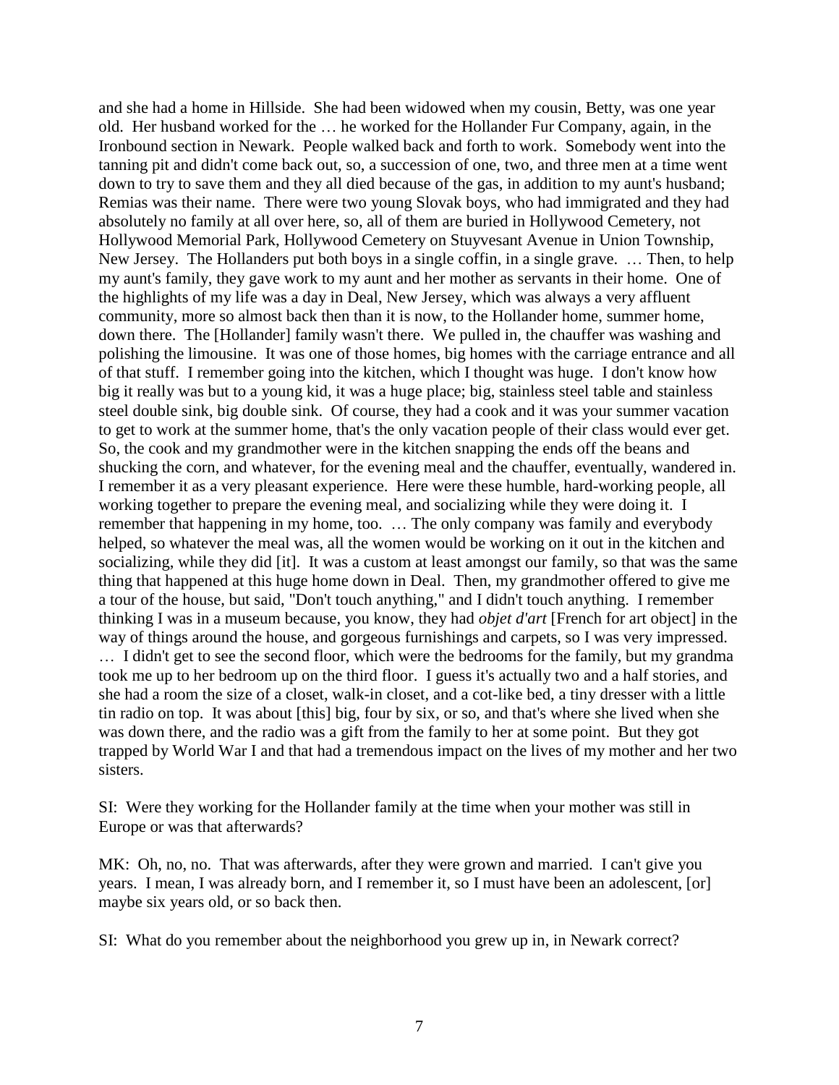and she had a home in Hillside. She had been widowed when my cousin, Betty, was one year old. Her husband worked for the … he worked for the Hollander Fur Company, again, in the Ironbound section in Newark. People walked back and forth to work. Somebody went into the tanning pit and didn't come back out, so, a succession of one, two, and three men at a time went down to try to save them and they all died because of the gas, in addition to my aunt's husband; Remias was their name. There were two young Slovak boys, who had immigrated and they had absolutely no family at all over here, so, all of them are buried in Hollywood Cemetery, not Hollywood Memorial Park, Hollywood Cemetery on Stuyvesant Avenue in Union Township, New Jersey. The Hollanders put both boys in a single coffin, in a single grave. … Then, to help my aunt's family, they gave work to my aunt and her mother as servants in their home. One of the highlights of my life was a day in Deal, New Jersey, which was always a very affluent community, more so almost back then than it is now, to the Hollander home, summer home, down there. The [Hollander] family wasn't there. We pulled in, the chauffer was washing and polishing the limousine. It was one of those homes, big homes with the carriage entrance and all of that stuff. I remember going into the kitchen, which I thought was huge. I don't know how big it really was but to a young kid, it was a huge place; big, stainless steel table and stainless steel double sink, big double sink. Of course, they had a cook and it was your summer vacation to get to work at the summer home, that's the only vacation people of their class would ever get. So, the cook and my grandmother were in the kitchen snapping the ends off the beans and shucking the corn, and whatever, for the evening meal and the chauffer, eventually, wandered in. I remember it as a very pleasant experience. Here were these humble, hard-working people, all working together to prepare the evening meal, and socializing while they were doing it. I remember that happening in my home, too. … The only company was family and everybody helped, so whatever the meal was, all the women would be working on it out in the kitchen and socializing, while they did [it]. It was a custom at least amongst our family, so that was the same thing that happened at this huge home down in Deal. Then, my grandmother offered to give me a tour of the house, but said, "Don't touch anything," and I didn't touch anything. I remember thinking I was in a museum because, you know, they had *objet d'art* [French for art object] in the way of things around the house, and gorgeous furnishings and carpets, so I was very impressed. … I didn't get to see the second floor, which were the bedrooms for the family, but my grandma took me up to her bedroom up on the third floor. I guess it's actually two and a half stories, and she had a room the size of a closet, walk-in closet, and a cot-like bed, a tiny dresser with a little tin radio on top. It was about [this] big, four by six, or so, and that's where she lived when she was down there, and the radio was a gift from the family to her at some point. But they got trapped by World War I and that had a tremendous impact on the lives of my mother and her two sisters.

SI: Were they working for the Hollander family at the time when your mother was still in Europe or was that afterwards?

MK: Oh, no, no. That was afterwards, after they were grown and married. I can't give you years. I mean, I was already born, and I remember it, so I must have been an adolescent, [or] maybe six years old, or so back then.

SI: What do you remember about the neighborhood you grew up in, in Newark correct?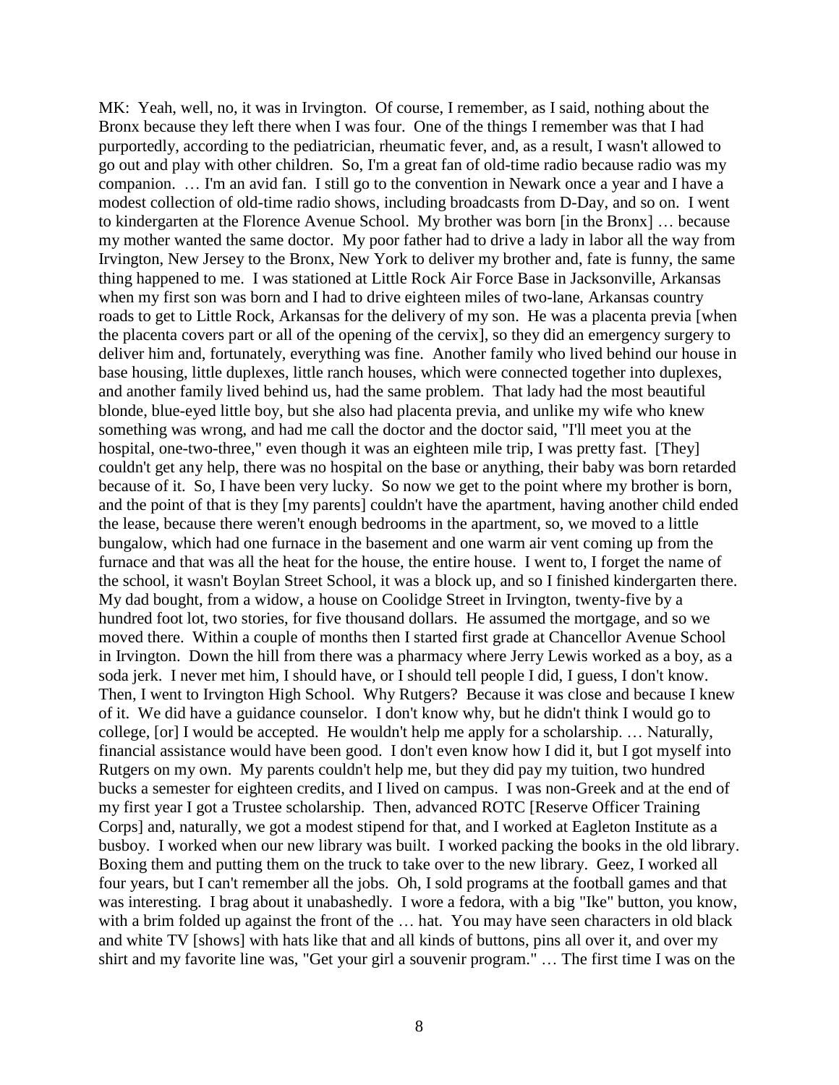MK: Yeah, well, no, it was in Irvington. Of course, I remember, as I said, nothing about the Bronx because they left there when I was four. One of the things I remember was that I had purportedly, according to the pediatrician, rheumatic fever, and, as a result, I wasn't allowed to go out and play with other children. So, I'm a great fan of old-time radio because radio was my companion. … I'm an avid fan. I still go to the convention in Newark once a year and I have a modest collection of old-time radio shows, including broadcasts from D-Day, and so on. I went to kindergarten at the Florence Avenue School. My brother was born [in the Bronx] … because my mother wanted the same doctor. My poor father had to drive a lady in labor all the way from Irvington, New Jersey to the Bronx, New York to deliver my brother and, fate is funny, the same thing happened to me. I was stationed at Little Rock Air Force Base in Jacksonville, Arkansas when my first son was born and I had to drive eighteen miles of two-lane, Arkansas country roads to get to Little Rock, Arkansas for the delivery of my son. He was a placenta previa [when the placenta covers part or all of the opening of the cervix], so they did an emergency surgery to deliver him and, fortunately, everything was fine. Another family who lived behind our house in base housing, little duplexes, little ranch houses, which were connected together into duplexes, and another family lived behind us, had the same problem. That lady had the most beautiful blonde, blue-eyed little boy, but she also had placenta previa, and unlike my wife who knew something was wrong, and had me call the doctor and the doctor said, "I'll meet you at the hospital, one-two-three," even though it was an eighteen mile trip, I was pretty fast. [They] couldn't get any help, there was no hospital on the base or anything, their baby was born retarded because of it. So, I have been very lucky. So now we get to the point where my brother is born, and the point of that is they [my parents] couldn't have the apartment, having another child ended the lease, because there weren't enough bedrooms in the apartment, so, we moved to a little bungalow, which had one furnace in the basement and one warm air vent coming up from the furnace and that was all the heat for the house, the entire house. I went to, I forget the name of the school, it wasn't Boylan Street School, it was a block up, and so I finished kindergarten there. My dad bought, from a widow, a house on Coolidge Street in Irvington, twenty-five by a hundred foot lot, two stories, for five thousand dollars. He assumed the mortgage, and so we moved there. Within a couple of months then I started first grade at Chancellor Avenue School in Irvington. Down the hill from there was a pharmacy where Jerry Lewis worked as a boy, as a soda jerk. I never met him, I should have, or I should tell people I did, I guess, I don't know. Then, I went to Irvington High School. Why Rutgers? Because it was close and because I knew of it. We did have a guidance counselor. I don't know why, but he didn't think I would go to college, [or] I would be accepted. He wouldn't help me apply for a scholarship. … Naturally, financial assistance would have been good. I don't even know how I did it, but I got myself into Rutgers on my own. My parents couldn't help me, but they did pay my tuition, two hundred bucks a semester for eighteen credits, and I lived on campus. I was non-Greek and at the end of my first year I got a Trustee scholarship. Then, advanced ROTC [Reserve Officer Training Corps] and, naturally, we got a modest stipend for that, and I worked at Eagleton Institute as a busboy. I worked when our new library was built. I worked packing the books in the old library. Boxing them and putting them on the truck to take over to the new library. Geez, I worked all four years, but I can't remember all the jobs. Oh, I sold programs at the football games and that was interesting. I brag about it unabashedly. I wore a fedora, with a big "Ike" button, you know, with a brim folded up against the front of the ... hat. You may have seen characters in old black and white TV [shows] with hats like that and all kinds of buttons, pins all over it, and over my shirt and my favorite line was, "Get your girl a souvenir program." … The first time I was on the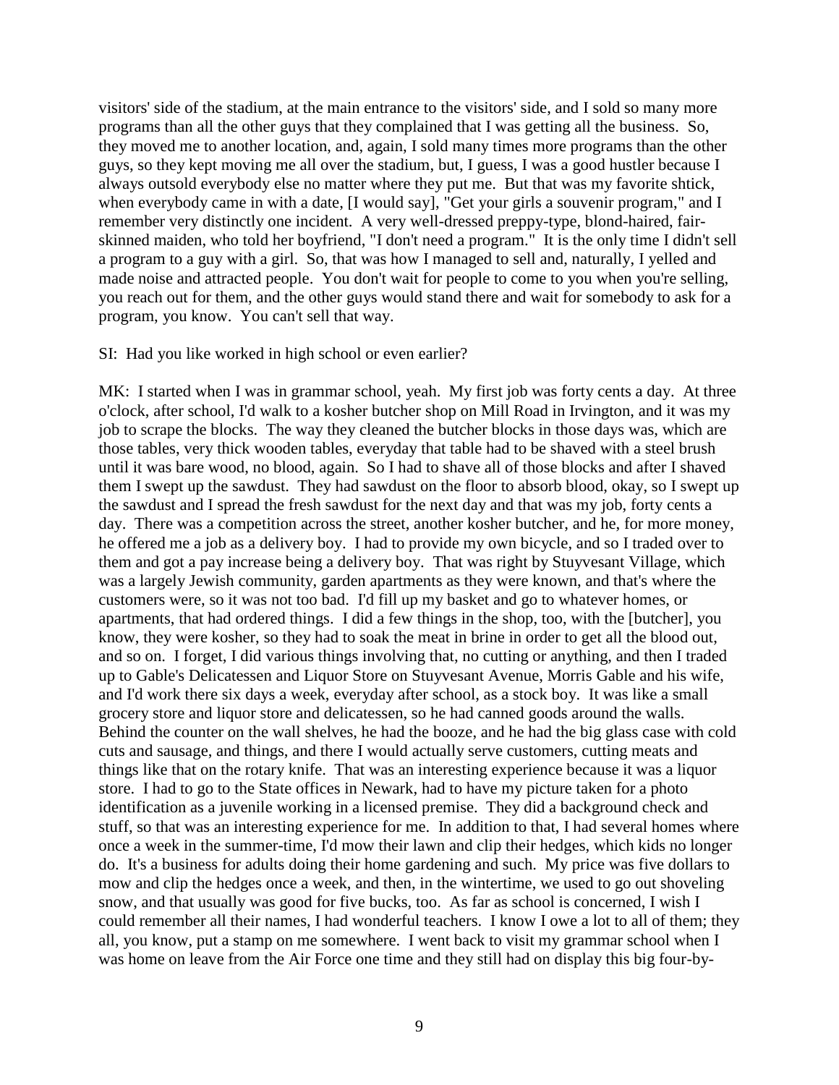visitors' side of the stadium, at the main entrance to the visitors' side, and I sold so many more programs than all the other guys that they complained that I was getting all the business. So, they moved me to another location, and, again, I sold many times more programs than the other guys, so they kept moving me all over the stadium, but, I guess, I was a good hustler because I always outsold everybody else no matter where they put me. But that was my favorite shtick, when everybody came in with a date, [I would say], "Get your girls a souvenir program," and I remember very distinctly one incident. A very well-dressed preppy-type, blond-haired, fairskinned maiden, who told her boyfriend, "I don't need a program." It is the only time I didn't sell a program to a guy with a girl. So, that was how I managed to sell and, naturally, I yelled and made noise and attracted people. You don't wait for people to come to you when you're selling, you reach out for them, and the other guys would stand there and wait for somebody to ask for a program, you know. You can't sell that way.

#### SI: Had you like worked in high school or even earlier?

MK: I started when I was in grammar school, yeah. My first job was forty cents a day. At three o'clock, after school, I'd walk to a kosher butcher shop on Mill Road in Irvington, and it was my job to scrape the blocks. The way they cleaned the butcher blocks in those days was, which are those tables, very thick wooden tables, everyday that table had to be shaved with a steel brush until it was bare wood, no blood, again. So I had to shave all of those blocks and after I shaved them I swept up the sawdust. They had sawdust on the floor to absorb blood, okay, so I swept up the sawdust and I spread the fresh sawdust for the next day and that was my job, forty cents a day. There was a competition across the street, another kosher butcher, and he, for more money, he offered me a job as a delivery boy. I had to provide my own bicycle, and so I traded over to them and got a pay increase being a delivery boy. That was right by Stuyvesant Village, which was a largely Jewish community, garden apartments as they were known, and that's where the customers were, so it was not too bad. I'd fill up my basket and go to whatever homes, or apartments, that had ordered things. I did a few things in the shop, too, with the [butcher], you know, they were kosher, so they had to soak the meat in brine in order to get all the blood out, and so on. I forget, I did various things involving that, no cutting or anything, and then I traded up to Gable's Delicatessen and Liquor Store on Stuyvesant Avenue, Morris Gable and his wife, and I'd work there six days a week, everyday after school, as a stock boy. It was like a small grocery store and liquor store and delicatessen, so he had canned goods around the walls. Behind the counter on the wall shelves, he had the booze, and he had the big glass case with cold cuts and sausage, and things, and there I would actually serve customers, cutting meats and things like that on the rotary knife. That was an interesting experience because it was a liquor store. I had to go to the State offices in Newark, had to have my picture taken for a photo identification as a juvenile working in a licensed premise. They did a background check and stuff, so that was an interesting experience for me. In addition to that, I had several homes where once a week in the summer-time, I'd mow their lawn and clip their hedges, which kids no longer do. It's a business for adults doing their home gardening and such. My price was five dollars to mow and clip the hedges once a week, and then, in the wintertime, we used to go out shoveling snow, and that usually was good for five bucks, too. As far as school is concerned, I wish I could remember all their names, I had wonderful teachers. I know I owe a lot to all of them; they all, you know, put a stamp on me somewhere. I went back to visit my grammar school when I was home on leave from the Air Force one time and they still had on display this big four-by-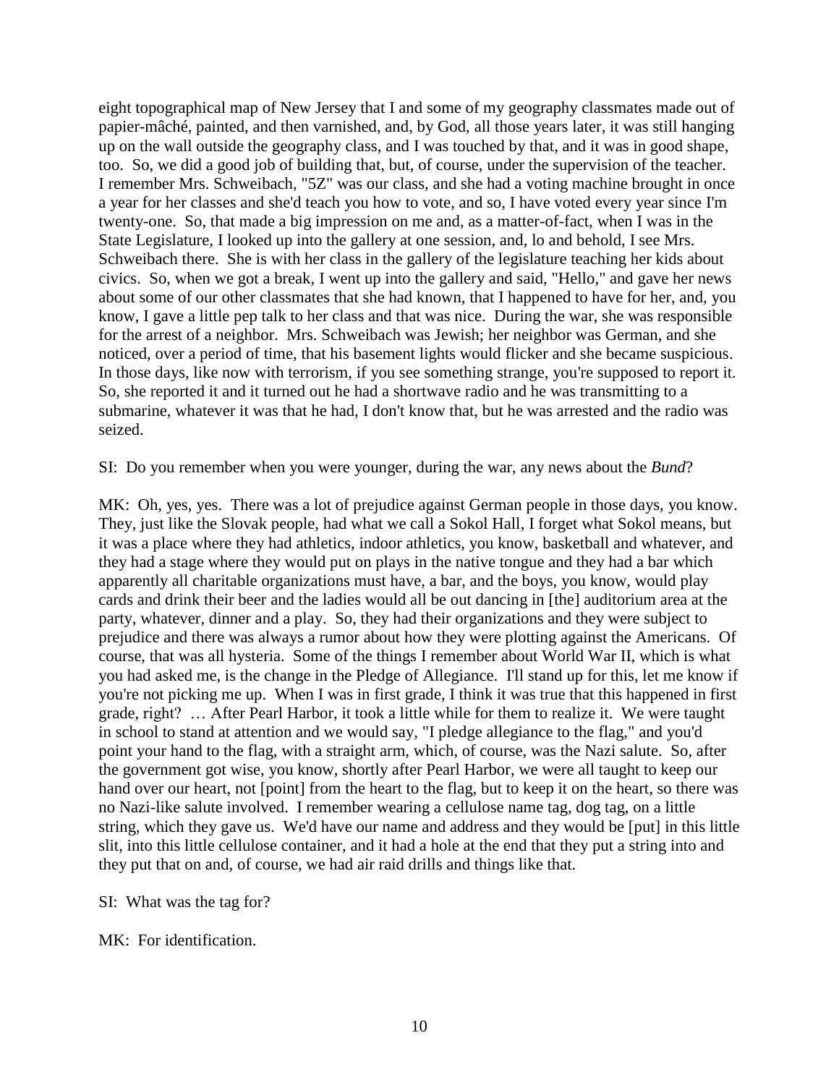eight topographical map of New Jersey that I and some of my geography classmates made out of papier-mâché, painted, and then varnished, and, by God, all those years later, it was still hanging up on the wall outside the geography class, and I was touched by that, and it was in good shape, too. So, we did a good job of building that, but, of course, under the supervision of the teacher. I remember Mrs. Schweibach, "5Z" was our class, and she had a voting machine brought in once a year for her classes and she'd teach you how to vote, and so, I have voted every year since I'm twenty-one. So, that made a big impression on me and, as a matter-of-fact, when I was in the State Legislature, I looked up into the gallery at one session, and, lo and behold, I see Mrs. Schweibach there. She is with her class in the gallery of the legislature teaching her kids about civics. So, when we got a break, I went up into the gallery and said, "Hello," and gave her news about some of our other classmates that she had known, that I happened to have for her, and, you know, I gave a little pep talk to her class and that was nice. During the war, she was responsible for the arrest of a neighbor. Mrs. Schweibach was Jewish; her neighbor was German, and she noticed, over a period of time, that his basement lights would flicker and she became suspicious. In those days, like now with terrorism, if you see something strange, you're supposed to report it. So, she reported it and it turned out he had a shortwave radio and he was transmitting to a submarine, whatever it was that he had, I don't know that, but he was arrested and the radio was seized.

SI: Do you remember when you were younger, during the war, any news about the *Bund*?

MK: Oh, yes, yes. There was a lot of prejudice against German people in those days, you know. They, just like the Slovak people, had what we call a Sokol Hall, I forget what Sokol means, but it was a place where they had athletics, indoor athletics, you know, basketball and whatever, and they had a stage where they would put on plays in the native tongue and they had a bar which apparently all charitable organizations must have, a bar, and the boys, you know, would play cards and drink their beer and the ladies would all be out dancing in [the] auditorium area at the party, whatever, dinner and a play. So, they had their organizations and they were subject to prejudice and there was always a rumor about how they were plotting against the Americans. Of course, that was all hysteria. Some of the things I remember about World War II, which is what you had asked me, is the change in the Pledge of Allegiance. I'll stand up for this, let me know if you're not picking me up. When I was in first grade, I think it was true that this happened in first grade, right? … After Pearl Harbor, it took a little while for them to realize it. We were taught in school to stand at attention and we would say, "I pledge allegiance to the flag," and you'd point your hand to the flag, with a straight arm, which, of course, was the Nazi salute. So, after the government got wise, you know, shortly after Pearl Harbor, we were all taught to keep our hand over our heart, not [point] from the heart to the flag, but to keep it on the heart, so there was no Nazi-like salute involved. I remember wearing a cellulose name tag, dog tag, on a little string, which they gave us. We'd have our name and address and they would be [put] in this little slit, into this little cellulose container, and it had a hole at the end that they put a string into and they put that on and, of course, we had air raid drills and things like that.

SI: What was the tag for?

MK: For identification.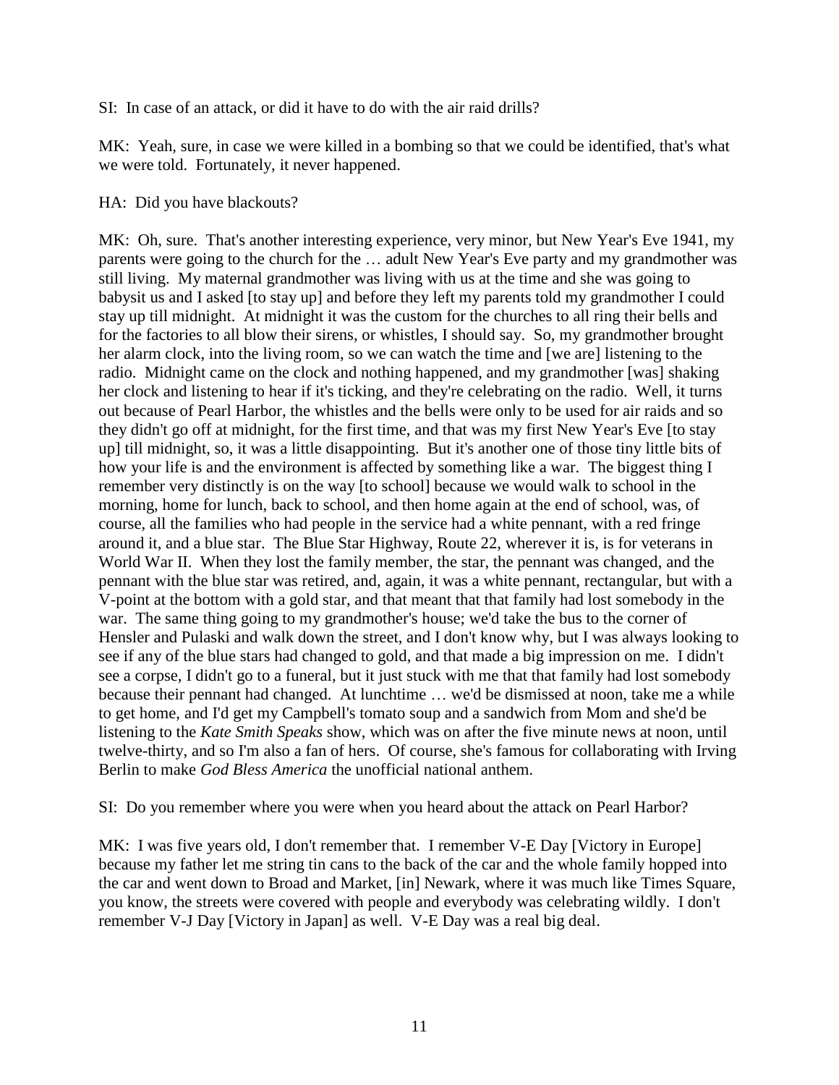SI: In case of an attack, or did it have to do with the air raid drills?

MK: Yeah, sure, in case we were killed in a bombing so that we could be identified, that's what we were told. Fortunately, it never happened.

HA: Did you have blackouts?

MK: Oh, sure. That's another interesting experience, very minor, but New Year's Eve 1941, my parents were going to the church for the … adult New Year's Eve party and my grandmother was still living. My maternal grandmother was living with us at the time and she was going to babysit us and I asked [to stay up] and before they left my parents told my grandmother I could stay up till midnight. At midnight it was the custom for the churches to all ring their bells and for the factories to all blow their sirens, or whistles, I should say. So, my grandmother brought her alarm clock, into the living room, so we can watch the time and [we are] listening to the radio. Midnight came on the clock and nothing happened, and my grandmother [was] shaking her clock and listening to hear if it's ticking, and they're celebrating on the radio. Well, it turns out because of Pearl Harbor, the whistles and the bells were only to be used for air raids and so they didn't go off at midnight, for the first time, and that was my first New Year's Eve [to stay up] till midnight, so, it was a little disappointing. But it's another one of those tiny little bits of how your life is and the environment is affected by something like a war. The biggest thing I remember very distinctly is on the way [to school] because we would walk to school in the morning, home for lunch, back to school, and then home again at the end of school, was, of course, all the families who had people in the service had a white pennant, with a red fringe around it, and a blue star. The Blue Star Highway, Route 22, wherever it is, is for veterans in World War II. When they lost the family member, the star, the pennant was changed, and the pennant with the blue star was retired, and, again, it was a white pennant, rectangular, but with a V-point at the bottom with a gold star, and that meant that that family had lost somebody in the war. The same thing going to my grandmother's house; we'd take the bus to the corner of Hensler and Pulaski and walk down the street, and I don't know why, but I was always looking to see if any of the blue stars had changed to gold, and that made a big impression on me. I didn't see a corpse, I didn't go to a funeral, but it just stuck with me that that family had lost somebody because their pennant had changed. At lunchtime … we'd be dismissed at noon, take me a while to get home, and I'd get my Campbell's tomato soup and a sandwich from Mom and she'd be listening to the *Kate Smith Speaks* show, which was on after the five minute news at noon, until twelve-thirty, and so I'm also a fan of hers. Of course, she's famous for collaborating with Irving Berlin to make *God Bless America* the unofficial national anthem.

SI: Do you remember where you were when you heard about the attack on Pearl Harbor?

MK: I was five years old, I don't remember that. I remember V-E Day [Victory in Europe] because my father let me string tin cans to the back of the car and the whole family hopped into the car and went down to Broad and Market, [in] Newark, where it was much like Times Square, you know, the streets were covered with people and everybody was celebrating wildly. I don't remember V-J Day [Victory in Japan] as well. V-E Day was a real big deal.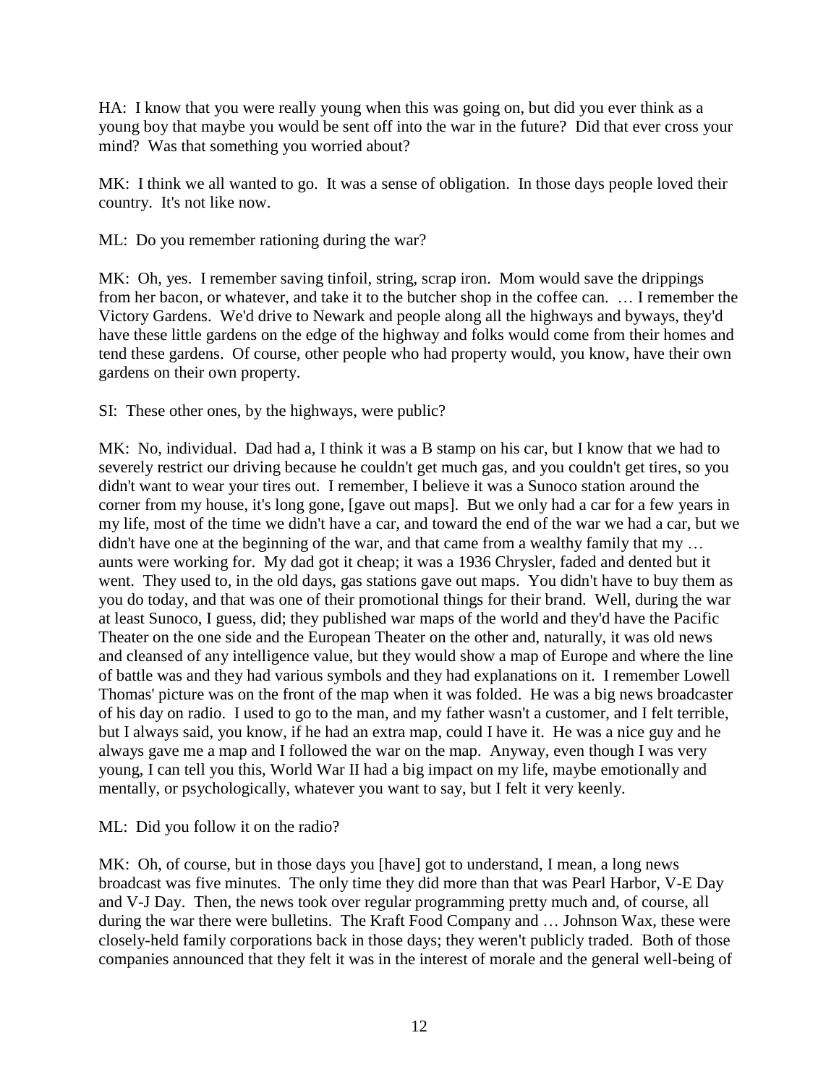HA: I know that you were really young when this was going on, but did you ever think as a young boy that maybe you would be sent off into the war in the future? Did that ever cross your mind? Was that something you worried about?

MK: I think we all wanted to go. It was a sense of obligation. In those days people loved their country. It's not like now.

ML: Do you remember rationing during the war?

MK: Oh, yes. I remember saving tinfoil, string, scrap iron. Mom would save the drippings from her bacon, or whatever, and take it to the butcher shop in the coffee can. … I remember the Victory Gardens. We'd drive to Newark and people along all the highways and byways, they'd have these little gardens on the edge of the highway and folks would come from their homes and tend these gardens. Of course, other people who had property would, you know, have their own gardens on their own property.

SI: These other ones, by the highways, were public?

MK: No, individual. Dad had a, I think it was a B stamp on his car, but I know that we had to severely restrict our driving because he couldn't get much gas, and you couldn't get tires, so you didn't want to wear your tires out. I remember, I believe it was a Sunoco station around the corner from my house, it's long gone, [gave out maps]. But we only had a car for a few years in my life, most of the time we didn't have a car, and toward the end of the war we had a car, but we didn't have one at the beginning of the war, and that came from a wealthy family that my ... aunts were working for. My dad got it cheap; it was a 1936 Chrysler, faded and dented but it went. They used to, in the old days, gas stations gave out maps. You didn't have to buy them as you do today, and that was one of their promotional things for their brand. Well, during the war at least Sunoco, I guess, did; they published war maps of the world and they'd have the Pacific Theater on the one side and the European Theater on the other and, naturally, it was old news and cleansed of any intelligence value, but they would show a map of Europe and where the line of battle was and they had various symbols and they had explanations on it. I remember Lowell Thomas' picture was on the front of the map when it was folded. He was a big news broadcaster of his day on radio. I used to go to the man, and my father wasn't a customer, and I felt terrible, but I always said, you know, if he had an extra map, could I have it. He was a nice guy and he always gave me a map and I followed the war on the map. Anyway, even though I was very young, I can tell you this, World War II had a big impact on my life, maybe emotionally and mentally, or psychologically, whatever you want to say, but I felt it very keenly.

ML: Did you follow it on the radio?

MK: Oh, of course, but in those days you [have] got to understand, I mean, a long news broadcast was five minutes. The only time they did more than that was Pearl Harbor, V-E Day and V-J Day. Then, the news took over regular programming pretty much and, of course, all during the war there were bulletins. The Kraft Food Company and … Johnson Wax, these were closely-held family corporations back in those days; they weren't publicly traded. Both of those companies announced that they felt it was in the interest of morale and the general well-being of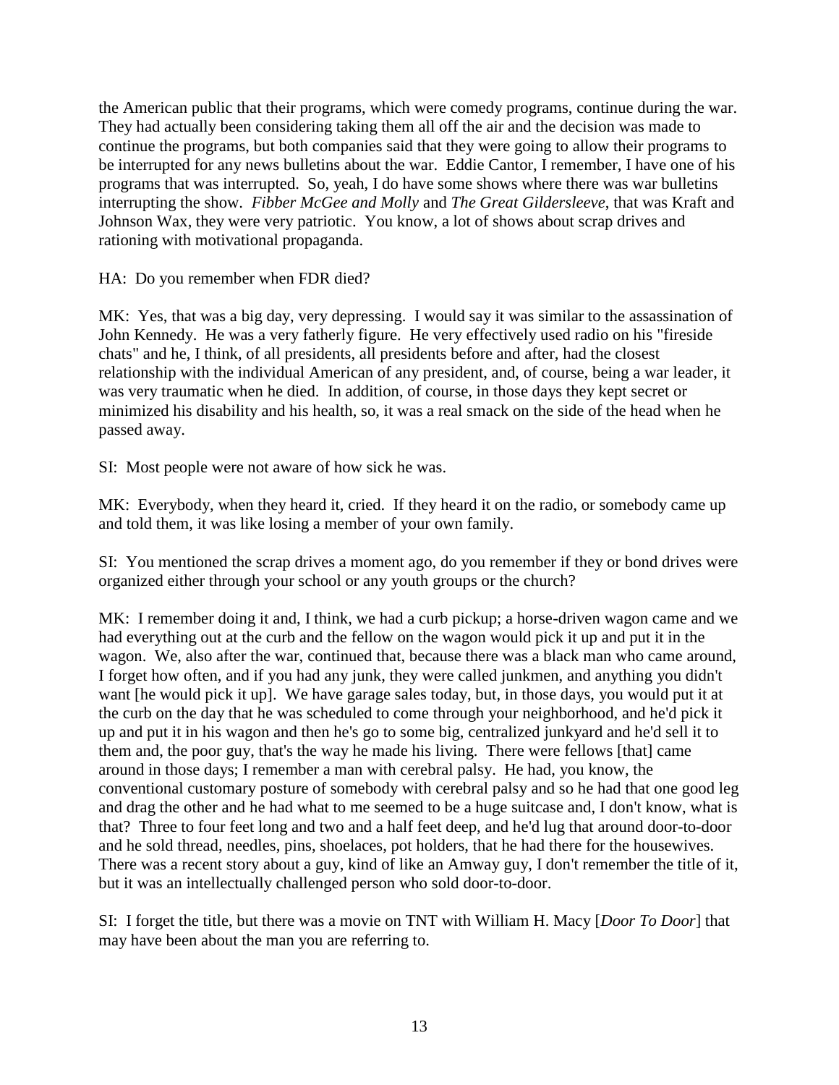the American public that their programs, which were comedy programs, continue during the war. They had actually been considering taking them all off the air and the decision was made to continue the programs, but both companies said that they were going to allow their programs to be interrupted for any news bulletins about the war. Eddie Cantor, I remember, I have one of his programs that was interrupted. So, yeah, I do have some shows where there was war bulletins interrupting the show. *Fibber McGee and Molly* and *The Great Gildersleeve*, that was Kraft and Johnson Wax, they were very patriotic. You know, a lot of shows about scrap drives and rationing with motivational propaganda.

HA: Do you remember when FDR died?

MK: Yes, that was a big day, very depressing. I would say it was similar to the assassination of John Kennedy. He was a very fatherly figure. He very effectively used radio on his "fireside chats" and he, I think, of all presidents, all presidents before and after, had the closest relationship with the individual American of any president, and, of course, being a war leader, it was very traumatic when he died. In addition, of course, in those days they kept secret or minimized his disability and his health, so, it was a real smack on the side of the head when he passed away.

SI: Most people were not aware of how sick he was.

MK: Everybody, when they heard it, cried. If they heard it on the radio, or somebody came up and told them, it was like losing a member of your own family.

SI: You mentioned the scrap drives a moment ago, do you remember if they or bond drives were organized either through your school or any youth groups or the church?

MK: I remember doing it and, I think, we had a curb pickup; a horse-driven wagon came and we had everything out at the curb and the fellow on the wagon would pick it up and put it in the wagon. We, also after the war, continued that, because there was a black man who came around, I forget how often, and if you had any junk, they were called junkmen, and anything you didn't want [he would pick it up]. We have garage sales today, but, in those days, you would put it at the curb on the day that he was scheduled to come through your neighborhood, and he'd pick it up and put it in his wagon and then he's go to some big, centralized junkyard and he'd sell it to them and, the poor guy, that's the way he made his living. There were fellows [that] came around in those days; I remember a man with cerebral palsy. He had, you know, the conventional customary posture of somebody with cerebral palsy and so he had that one good leg and drag the other and he had what to me seemed to be a huge suitcase and, I don't know, what is that? Three to four feet long and two and a half feet deep, and he'd lug that around door-to-door and he sold thread, needles, pins, shoelaces, pot holders, that he had there for the housewives. There was a recent story about a guy, kind of like an Amway guy, I don't remember the title of it, but it was an intellectually challenged person who sold door-to-door.

SI: I forget the title, but there was a movie on TNT with William H. Macy [*Door To Door*] that may have been about the man you are referring to.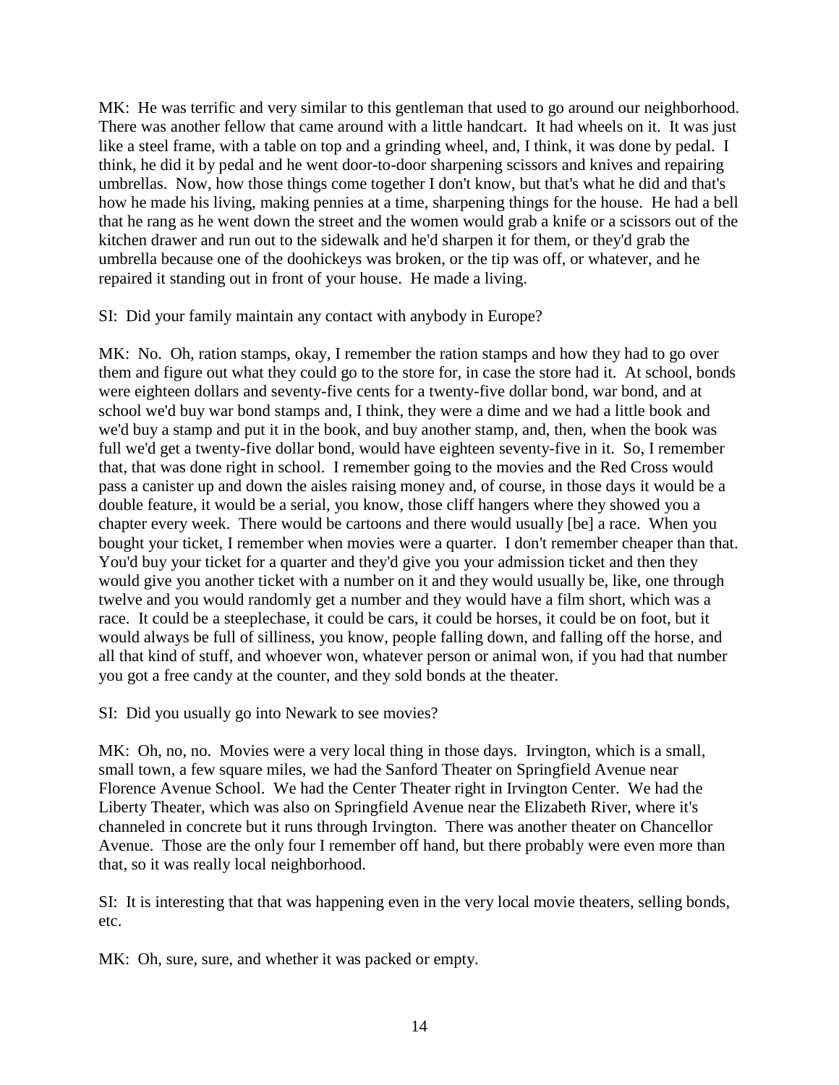MK: He was terrific and very similar to this gentleman that used to go around our neighborhood. There was another fellow that came around with a little handcart. It had wheels on it. It was just like a steel frame, with a table on top and a grinding wheel, and, I think, it was done by pedal. I think, he did it by pedal and he went door-to-door sharpening scissors and knives and repairing umbrellas. Now, how those things come together I don't know, but that's what he did and that's how he made his living, making pennies at a time, sharpening things for the house. He had a bell that he rang as he went down the street and the women would grab a knife or a scissors out of the kitchen drawer and run out to the sidewalk and he'd sharpen it for them, or they'd grab the umbrella because one of the doohickeys was broken, or the tip was off, or whatever, and he repaired it standing out in front of your house. He made a living.

SI: Did your family maintain any contact with anybody in Europe?

MK: No. Oh, ration stamps, okay, I remember the ration stamps and how they had to go over them and figure out what they could go to the store for, in case the store had it. At school, bonds were eighteen dollars and seventy-five cents for a twenty-five dollar bond, war bond, and at school we'd buy war bond stamps and, I think, they were a dime and we had a little book and we'd buy a stamp and put it in the book, and buy another stamp, and, then, when the book was full we'd get a twenty-five dollar bond, would have eighteen seventy-five in it. So, I remember that, that was done right in school. I remember going to the movies and the Red Cross would pass a canister up and down the aisles raising money and, of course, in those days it would be a double feature, it would be a serial, you know, those cliff hangers where they showed you a chapter every week. There would be cartoons and there would usually [be] a race. When you bought your ticket, I remember when movies were a quarter. I don't remember cheaper than that. You'd buy your ticket for a quarter and they'd give you your admission ticket and then they would give you another ticket with a number on it and they would usually be, like, one through twelve and you would randomly get a number and they would have a film short, which was a race. It could be a steeplechase, it could be cars, it could be horses, it could be on foot, but it would always be full of silliness, you know, people falling down, and falling off the horse, and all that kind of stuff, and whoever won, whatever person or animal won, if you had that number you got a free candy at the counter, and they sold bonds at the theater.

SI: Did you usually go into Newark to see movies?

MK: Oh, no, no. Movies were a very local thing in those days. Irvington, which is a small, small town, a few square miles, we had the Sanford Theater on Springfield Avenue near Florence Avenue School. We had the Center Theater right in Irvington Center. We had the Liberty Theater, which was also on Springfield Avenue near the Elizabeth River, where it's channeled in concrete but it runs through Irvington. There was another theater on Chancellor Avenue. Those are the only four I remember off hand, but there probably were even more than that, so it was really local neighborhood.

SI: It is interesting that that was happening even in the very local movie theaters, selling bonds, etc.

MK: Oh, sure, sure, and whether it was packed or empty.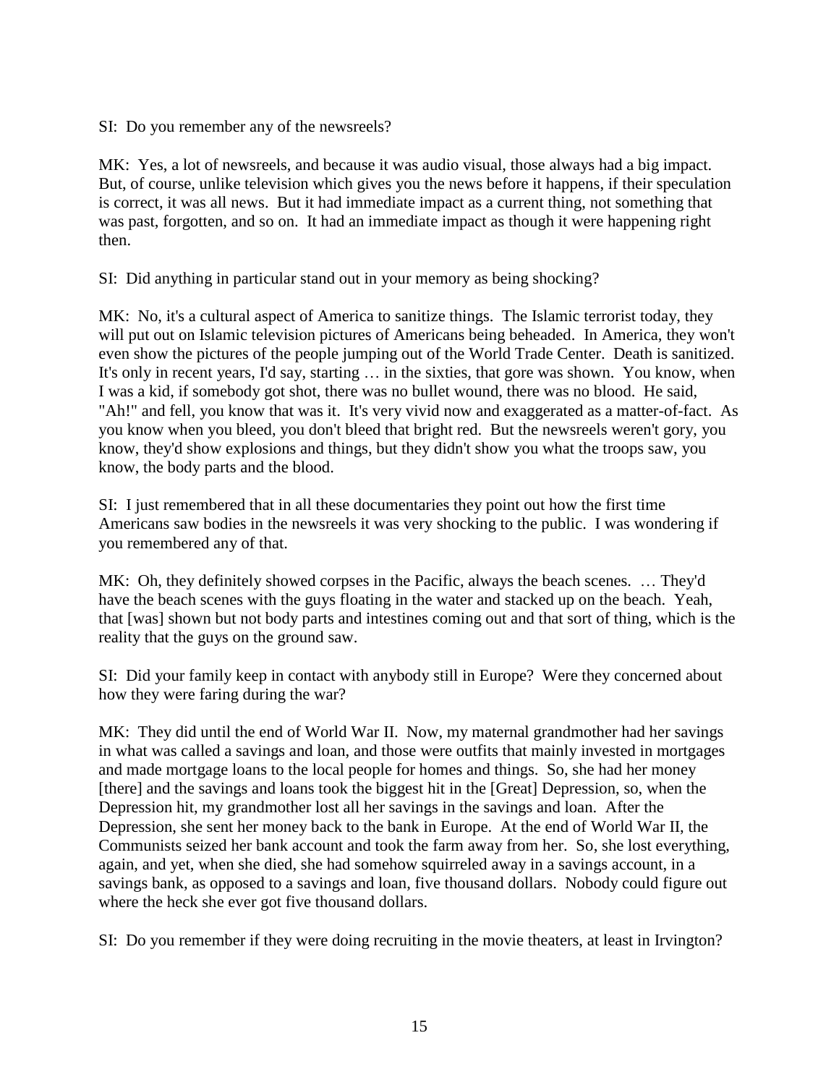SI: Do you remember any of the newsreels?

MK: Yes, a lot of newsreels, and because it was audio visual, those always had a big impact. But, of course, unlike television which gives you the news before it happens, if their speculation is correct, it was all news. But it had immediate impact as a current thing, not something that was past, forgotten, and so on. It had an immediate impact as though it were happening right then.

SI: Did anything in particular stand out in your memory as being shocking?

MK: No, it's a cultural aspect of America to sanitize things. The Islamic terrorist today, they will put out on Islamic television pictures of Americans being beheaded. In America, they won't even show the pictures of the people jumping out of the World Trade Center. Death is sanitized. It's only in recent years, I'd say, starting … in the sixties, that gore was shown. You know, when I was a kid, if somebody got shot, there was no bullet wound, there was no blood. He said, "Ah!" and fell, you know that was it. It's very vivid now and exaggerated as a matter-of-fact. As you know when you bleed, you don't bleed that bright red. But the newsreels weren't gory, you know, they'd show explosions and things, but they didn't show you what the troops saw, you know, the body parts and the blood.

SI: I just remembered that in all these documentaries they point out how the first time Americans saw bodies in the newsreels it was very shocking to the public. I was wondering if you remembered any of that.

MK: Oh, they definitely showed corpses in the Pacific, always the beach scenes. … They'd have the beach scenes with the guys floating in the water and stacked up on the beach. Yeah, that [was] shown but not body parts and intestines coming out and that sort of thing, which is the reality that the guys on the ground saw.

SI: Did your family keep in contact with anybody still in Europe? Were they concerned about how they were faring during the war?

MK: They did until the end of World War II. Now, my maternal grandmother had her savings in what was called a savings and loan, and those were outfits that mainly invested in mortgages and made mortgage loans to the local people for homes and things. So, she had her money [there] and the savings and loans took the biggest hit in the [Great] Depression, so, when the Depression hit, my grandmother lost all her savings in the savings and loan. After the Depression, she sent her money back to the bank in Europe. At the end of World War II, the Communists seized her bank account and took the farm away from her. So, she lost everything, again, and yet, when she died, she had somehow squirreled away in a savings account, in a savings bank, as opposed to a savings and loan, five thousand dollars. Nobody could figure out where the heck she ever got five thousand dollars.

SI: Do you remember if they were doing recruiting in the movie theaters, at least in Irvington?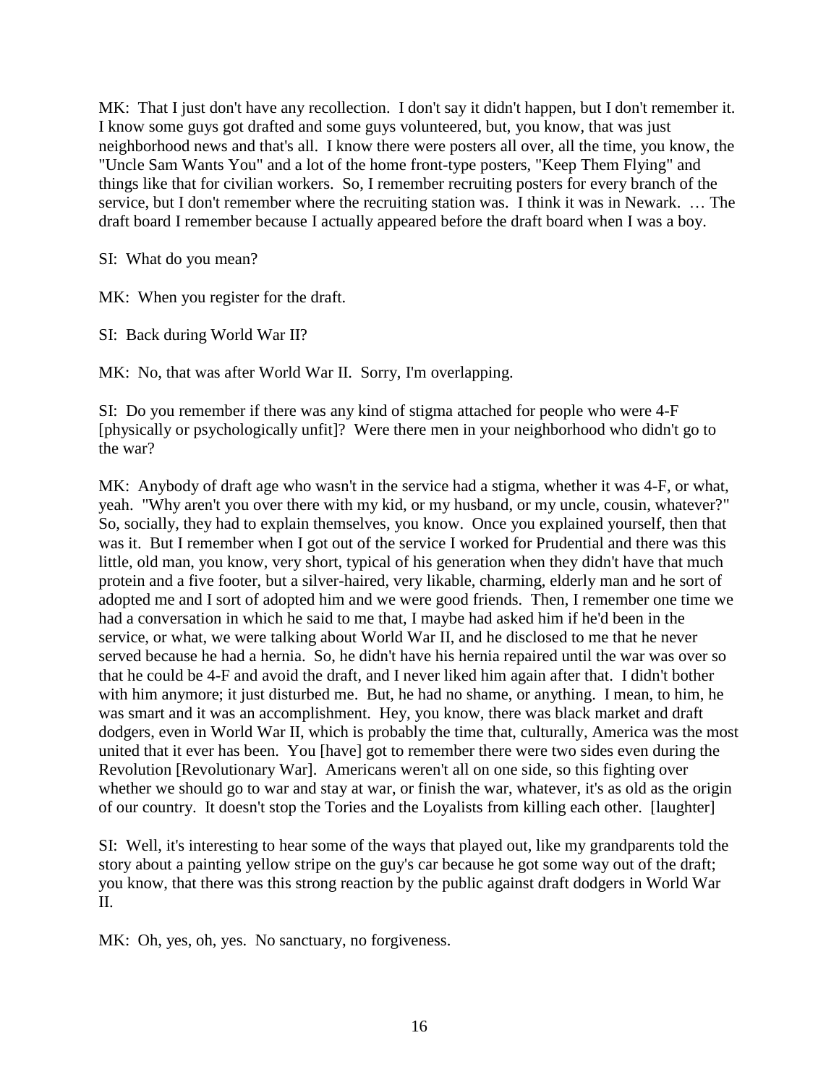MK: That I just don't have any recollection. I don't say it didn't happen, but I don't remember it. I know some guys got drafted and some guys volunteered, but, you know, that was just neighborhood news and that's all. I know there were posters all over, all the time, you know, the "Uncle Sam Wants You" and a lot of the home front-type posters, "Keep Them Flying" and things like that for civilian workers. So, I remember recruiting posters for every branch of the service, but I don't remember where the recruiting station was. I think it was in Newark. … The draft board I remember because I actually appeared before the draft board when I was a boy.

SI: What do you mean?

MK: When you register for the draft.

SI: Back during World War II?

MK: No, that was after World War II. Sorry, I'm overlapping.

SI: Do you remember if there was any kind of stigma attached for people who were 4-F [physically or psychologically unfit]? Were there men in your neighborhood who didn't go to the war?

MK: Anybody of draft age who wasn't in the service had a stigma, whether it was 4-F, or what, yeah. "Why aren't you over there with my kid, or my husband, or my uncle, cousin, whatever?" So, socially, they had to explain themselves, you know. Once you explained yourself, then that was it. But I remember when I got out of the service I worked for Prudential and there was this little, old man, you know, very short, typical of his generation when they didn't have that much protein and a five footer, but a silver-haired, very likable, charming, elderly man and he sort of adopted me and I sort of adopted him and we were good friends. Then, I remember one time we had a conversation in which he said to me that, I maybe had asked him if he'd been in the service, or what, we were talking about World War II, and he disclosed to me that he never served because he had a hernia. So, he didn't have his hernia repaired until the war was over so that he could be 4-F and avoid the draft, and I never liked him again after that. I didn't bother with him anymore; it just disturbed me. But, he had no shame, or anything. I mean, to him, he was smart and it was an accomplishment. Hey, you know, there was black market and draft dodgers, even in World War II, which is probably the time that, culturally, America was the most united that it ever has been. You [have] got to remember there were two sides even during the Revolution [Revolutionary War]. Americans weren't all on one side, so this fighting over whether we should go to war and stay at war, or finish the war, whatever, it's as old as the origin of our country. It doesn't stop the Tories and the Loyalists from killing each other. [laughter]

SI: Well, it's interesting to hear some of the ways that played out, like my grandparents told the story about a painting yellow stripe on the guy's car because he got some way out of the draft; you know, that there was this strong reaction by the public against draft dodgers in World War II.

MK: Oh, yes, oh, yes. No sanctuary, no forgiveness.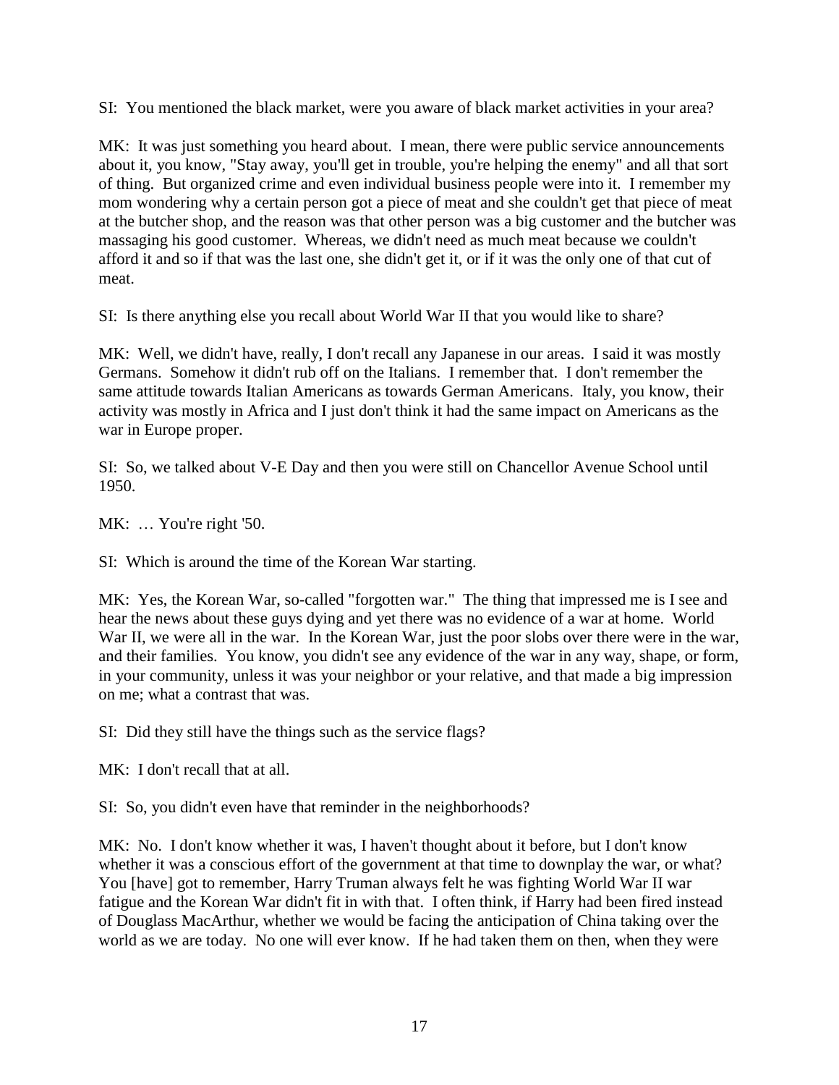SI: You mentioned the black market, were you aware of black market activities in your area?

MK: It was just something you heard about. I mean, there were public service announcements about it, you know, "Stay away, you'll get in trouble, you're helping the enemy" and all that sort of thing. But organized crime and even individual business people were into it. I remember my mom wondering why a certain person got a piece of meat and she couldn't get that piece of meat at the butcher shop, and the reason was that other person was a big customer and the butcher was massaging his good customer. Whereas, we didn't need as much meat because we couldn't afford it and so if that was the last one, she didn't get it, or if it was the only one of that cut of meat.

SI: Is there anything else you recall about World War II that you would like to share?

MK: Well, we didn't have, really, I don't recall any Japanese in our areas. I said it was mostly Germans. Somehow it didn't rub off on the Italians. I remember that. I don't remember the same attitude towards Italian Americans as towards German Americans. Italy, you know, their activity was mostly in Africa and I just don't think it had the same impact on Americans as the war in Europe proper.

SI: So, we talked about V-E Day and then you were still on Chancellor Avenue School until 1950.

MK: ... You're right '50.

SI: Which is around the time of the Korean War starting.

MK: Yes, the Korean War, so-called "forgotten war." The thing that impressed me is I see and hear the news about these guys dying and yet there was no evidence of a war at home. World War II, we were all in the war. In the Korean War, just the poor slobs over there were in the war, and their families. You know, you didn't see any evidence of the war in any way, shape, or form, in your community, unless it was your neighbor or your relative, and that made a big impression on me; what a contrast that was.

SI: Did they still have the things such as the service flags?

MK: I don't recall that at all.

SI: So, you didn't even have that reminder in the neighborhoods?

MK: No. I don't know whether it was, I haven't thought about it before, but I don't know whether it was a conscious effort of the government at that time to downplay the war, or what? You [have] got to remember, Harry Truman always felt he was fighting World War II war fatigue and the Korean War didn't fit in with that. I often think, if Harry had been fired instead of Douglass MacArthur, whether we would be facing the anticipation of China taking over the world as we are today. No one will ever know. If he had taken them on then, when they were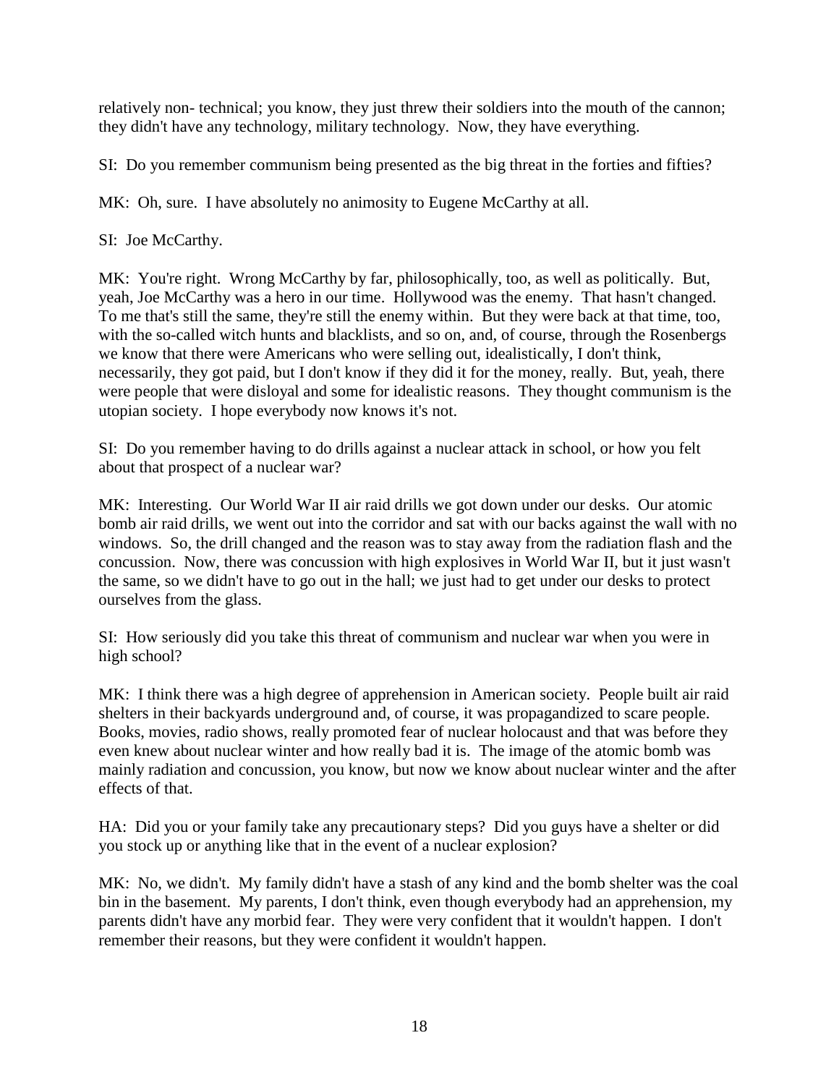relatively non- technical; you know, they just threw their soldiers into the mouth of the cannon; they didn't have any technology, military technology. Now, they have everything.

SI: Do you remember communism being presented as the big threat in the forties and fifties?

MK: Oh, sure. I have absolutely no animosity to Eugene McCarthy at all.

SI: Joe McCarthy.

MK: You're right. Wrong McCarthy by far, philosophically, too, as well as politically. But, yeah, Joe McCarthy was a hero in our time. Hollywood was the enemy. That hasn't changed. To me that's still the same, they're still the enemy within. But they were back at that time, too, with the so-called witch hunts and blacklists, and so on, and, of course, through the Rosenbergs we know that there were Americans who were selling out, idealistically, I don't think, necessarily, they got paid, but I don't know if they did it for the money, really. But, yeah, there were people that were disloyal and some for idealistic reasons. They thought communism is the utopian society. I hope everybody now knows it's not.

SI: Do you remember having to do drills against a nuclear attack in school, or how you felt about that prospect of a nuclear war?

MK: Interesting. Our World War II air raid drills we got down under our desks. Our atomic bomb air raid drills, we went out into the corridor and sat with our backs against the wall with no windows. So, the drill changed and the reason was to stay away from the radiation flash and the concussion. Now, there was concussion with high explosives in World War II, but it just wasn't the same, so we didn't have to go out in the hall; we just had to get under our desks to protect ourselves from the glass.

SI: How seriously did you take this threat of communism and nuclear war when you were in high school?

MK: I think there was a high degree of apprehension in American society. People built air raid shelters in their backyards underground and, of course, it was propagandized to scare people. Books, movies, radio shows, really promoted fear of nuclear holocaust and that was before they even knew about nuclear winter and how really bad it is. The image of the atomic bomb was mainly radiation and concussion, you know, but now we know about nuclear winter and the after effects of that.

HA: Did you or your family take any precautionary steps? Did you guys have a shelter or did you stock up or anything like that in the event of a nuclear explosion?

MK: No, we didn't. My family didn't have a stash of any kind and the bomb shelter was the coal bin in the basement. My parents, I don't think, even though everybody had an apprehension, my parents didn't have any morbid fear. They were very confident that it wouldn't happen. I don't remember their reasons, but they were confident it wouldn't happen.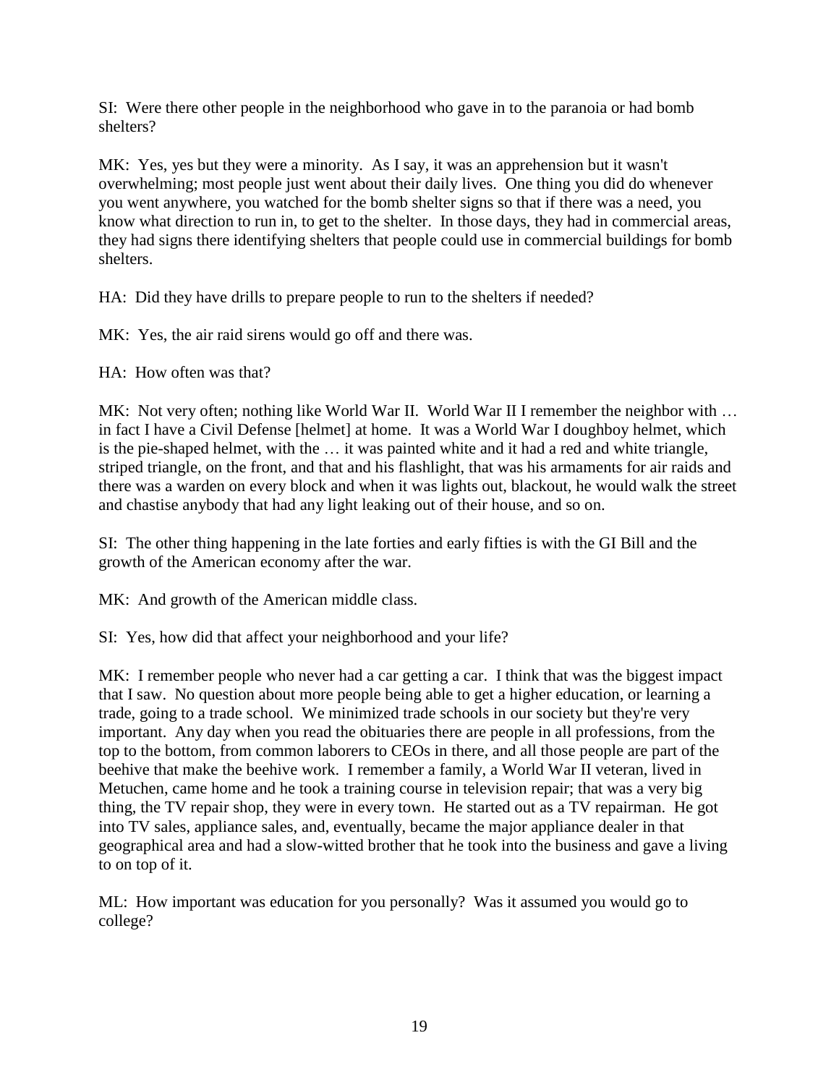SI: Were there other people in the neighborhood who gave in to the paranoia or had bomb shelters?

MK: Yes, yes but they were a minority. As I say, it was an apprehension but it wasn't overwhelming; most people just went about their daily lives. One thing you did do whenever you went anywhere, you watched for the bomb shelter signs so that if there was a need, you know what direction to run in, to get to the shelter. In those days, they had in commercial areas, they had signs there identifying shelters that people could use in commercial buildings for bomb shelters.

HA: Did they have drills to prepare people to run to the shelters if needed?

MK: Yes, the air raid sirens would go off and there was.

HA: How often was that?

MK: Not very often; nothing like World War II. World War II I remember the neighbor with ... in fact I have a Civil Defense [helmet] at home. It was a World War I doughboy helmet, which is the pie-shaped helmet, with the … it was painted white and it had a red and white triangle, striped triangle, on the front, and that and his flashlight, that was his armaments for air raids and there was a warden on every block and when it was lights out, blackout, he would walk the street and chastise anybody that had any light leaking out of their house, and so on.

SI: The other thing happening in the late forties and early fifties is with the GI Bill and the growth of the American economy after the war.

MK: And growth of the American middle class.

SI: Yes, how did that affect your neighborhood and your life?

MK: I remember people who never had a car getting a car. I think that was the biggest impact that I saw. No question about more people being able to get a higher education, or learning a trade, going to a trade school. We minimized trade schools in our society but they're very important. Any day when you read the obituaries there are people in all professions, from the top to the bottom, from common laborers to CEOs in there, and all those people are part of the beehive that make the beehive work. I remember a family, a World War II veteran, lived in Metuchen, came home and he took a training course in television repair; that was a very big thing, the TV repair shop, they were in every town. He started out as a TV repairman. He got into TV sales, appliance sales, and, eventually, became the major appliance dealer in that geographical area and had a slow-witted brother that he took into the business and gave a living to on top of it.

ML: How important was education for you personally? Was it assumed you would go to college?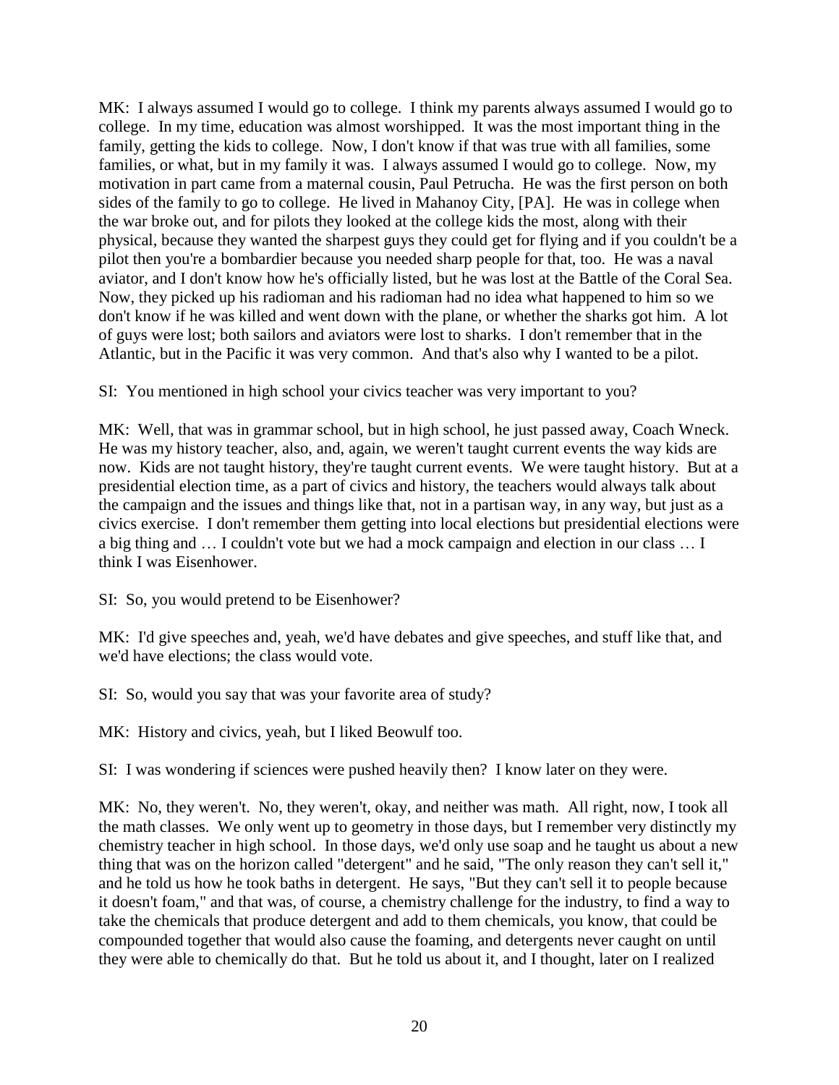MK: I always assumed I would go to college. I think my parents always assumed I would go to college. In my time, education was almost worshipped. It was the most important thing in the family, getting the kids to college. Now, I don't know if that was true with all families, some families, or what, but in my family it was. I always assumed I would go to college. Now, my motivation in part came from a maternal cousin, Paul Petrucha. He was the first person on both sides of the family to go to college. He lived in Mahanoy City, [PA]. He was in college when the war broke out, and for pilots they looked at the college kids the most, along with their physical, because they wanted the sharpest guys they could get for flying and if you couldn't be a pilot then you're a bombardier because you needed sharp people for that, too. He was a naval aviator, and I don't know how he's officially listed, but he was lost at the Battle of the Coral Sea. Now, they picked up his radioman and his radioman had no idea what happened to him so we don't know if he was killed and went down with the plane, or whether the sharks got him. A lot of guys were lost; both sailors and aviators were lost to sharks. I don't remember that in the Atlantic, but in the Pacific it was very common. And that's also why I wanted to be a pilot.

SI: You mentioned in high school your civics teacher was very important to you?

MK: Well, that was in grammar school, but in high school, he just passed away, Coach Wneck. He was my history teacher, also, and, again, we weren't taught current events the way kids are now. Kids are not taught history, they're taught current events. We were taught history. But at a presidential election time, as a part of civics and history, the teachers would always talk about the campaign and the issues and things like that, not in a partisan way, in any way, but just as a civics exercise. I don't remember them getting into local elections but presidential elections were a big thing and … I couldn't vote but we had a mock campaign and election in our class … I think I was Eisenhower.

SI: So, you would pretend to be Eisenhower?

MK: I'd give speeches and, yeah, we'd have debates and give speeches, and stuff like that, and we'd have elections; the class would vote.

SI: So, would you say that was your favorite area of study?

MK: History and civics, yeah, but I liked Beowulf too.

SI: I was wondering if sciences were pushed heavily then? I know later on they were.

MK: No, they weren't. No, they weren't, okay, and neither was math. All right, now, I took all the math classes. We only went up to geometry in those days, but I remember very distinctly my chemistry teacher in high school. In those days, we'd only use soap and he taught us about a new thing that was on the horizon called "detergent" and he said, "The only reason they can't sell it," and he told us how he took baths in detergent. He says, "But they can't sell it to people because it doesn't foam," and that was, of course, a chemistry challenge for the industry, to find a way to take the chemicals that produce detergent and add to them chemicals, you know, that could be compounded together that would also cause the foaming, and detergents never caught on until they were able to chemically do that. But he told us about it, and I thought, later on I realized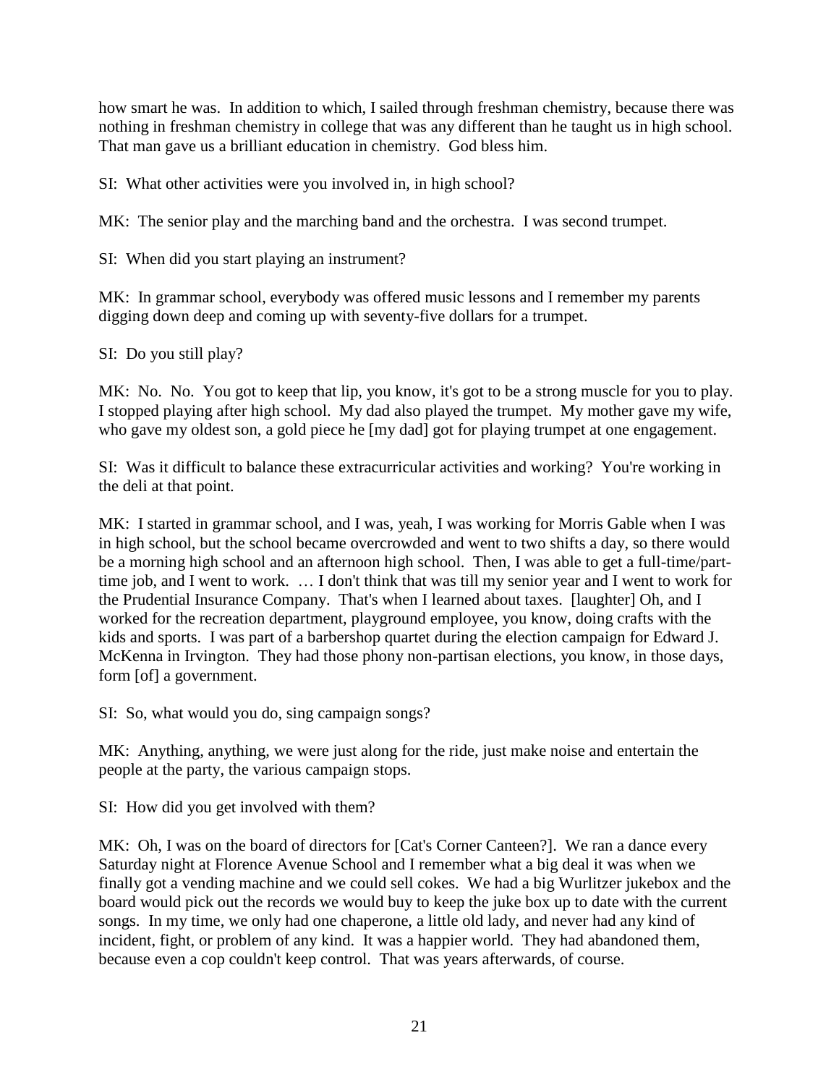how smart he was. In addition to which, I sailed through freshman chemistry, because there was nothing in freshman chemistry in college that was any different than he taught us in high school. That man gave us a brilliant education in chemistry. God bless him.

SI: What other activities were you involved in, in high school?

MK: The senior play and the marching band and the orchestra. I was second trumpet.

SI: When did you start playing an instrument?

MK: In grammar school, everybody was offered music lessons and I remember my parents digging down deep and coming up with seventy-five dollars for a trumpet.

SI: Do you still play?

MK: No. No. You got to keep that lip, you know, it's got to be a strong muscle for you to play. I stopped playing after high school. My dad also played the trumpet. My mother gave my wife, who gave my oldest son, a gold piece he [my dad] got for playing trumpet at one engagement.

SI: Was it difficult to balance these extracurricular activities and working? You're working in the deli at that point.

MK: I started in grammar school, and I was, yeah, I was working for Morris Gable when I was in high school, but the school became overcrowded and went to two shifts a day, so there would be a morning high school and an afternoon high school. Then, I was able to get a full-time/parttime job, and I went to work. … I don't think that was till my senior year and I went to work for the Prudential Insurance Company. That's when I learned about taxes. [laughter] Oh, and I worked for the recreation department, playground employee, you know, doing crafts with the kids and sports. I was part of a barbershop quartet during the election campaign for Edward J. McKenna in Irvington. They had those phony non-partisan elections, you know, in those days, form [of] a government.

SI: So, what would you do, sing campaign songs?

MK: Anything, anything, we were just along for the ride, just make noise and entertain the people at the party, the various campaign stops.

SI: How did you get involved with them?

MK: Oh, I was on the board of directors for [Cat's Corner Canteen?]. We ran a dance every Saturday night at Florence Avenue School and I remember what a big deal it was when we finally got a vending machine and we could sell cokes. We had a big Wurlitzer jukebox and the board would pick out the records we would buy to keep the juke box up to date with the current songs. In my time, we only had one chaperone, a little old lady, and never had any kind of incident, fight, or problem of any kind. It was a happier world. They had abandoned them, because even a cop couldn't keep control. That was years afterwards, of course.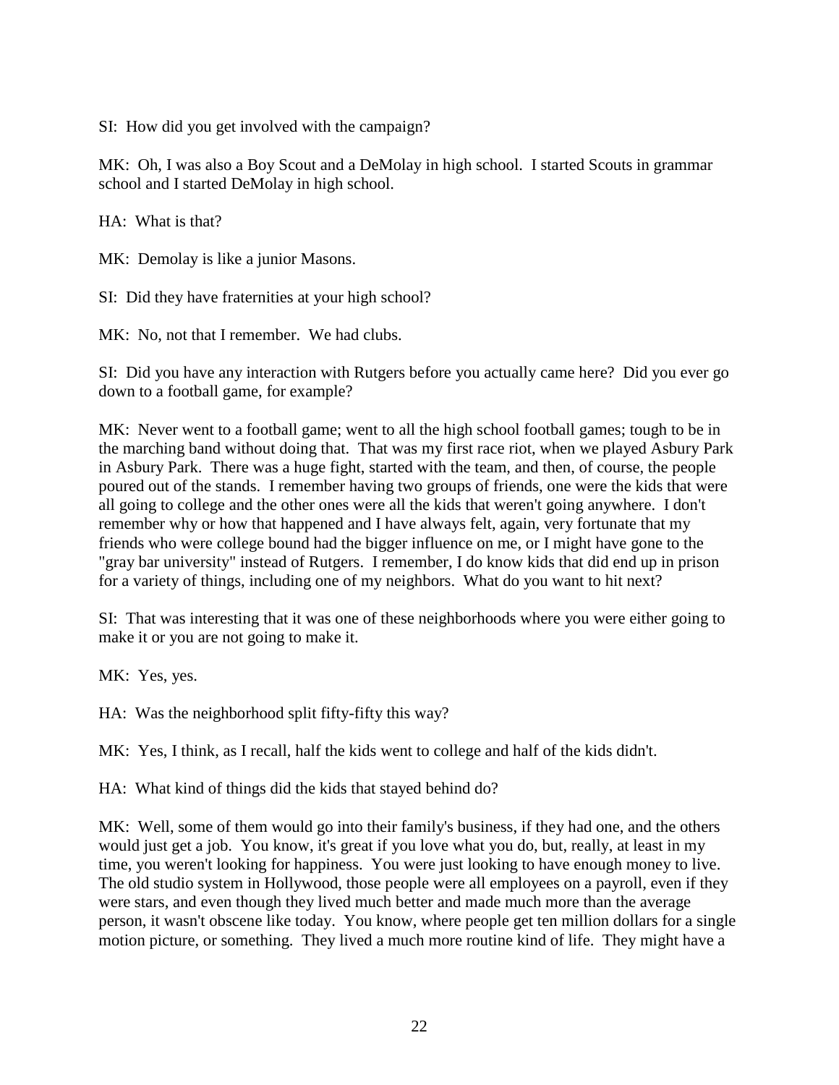SI: How did you get involved with the campaign?

MK: Oh, I was also a Boy Scout and a DeMolay in high school. I started Scouts in grammar school and I started DeMolay in high school.

HA: What is that?

MK: Demolay is like a junior Masons.

SI: Did they have fraternities at your high school?

MK: No, not that I remember. We had clubs.

SI: Did you have any interaction with Rutgers before you actually came here? Did you ever go down to a football game, for example?

MK: Never went to a football game; went to all the high school football games; tough to be in the marching band without doing that. That was my first race riot, when we played Asbury Park in Asbury Park. There was a huge fight, started with the team, and then, of course, the people poured out of the stands. I remember having two groups of friends, one were the kids that were all going to college and the other ones were all the kids that weren't going anywhere. I don't remember why or how that happened and I have always felt, again, very fortunate that my friends who were college bound had the bigger influence on me, or I might have gone to the "gray bar university" instead of Rutgers. I remember, I do know kids that did end up in prison for a variety of things, including one of my neighbors. What do you want to hit next?

SI: That was interesting that it was one of these neighborhoods where you were either going to make it or you are not going to make it.

MK: Yes, yes.

HA: Was the neighborhood split fifty-fifty this way?

MK: Yes, I think, as I recall, half the kids went to college and half of the kids didn't.

HA: What kind of things did the kids that stayed behind do?

MK: Well, some of them would go into their family's business, if they had one, and the others would just get a job. You know, it's great if you love what you do, but, really, at least in my time, you weren't looking for happiness. You were just looking to have enough money to live. The old studio system in Hollywood, those people were all employees on a payroll, even if they were stars, and even though they lived much better and made much more than the average person, it wasn't obscene like today. You know, where people get ten million dollars for a single motion picture, or something. They lived a much more routine kind of life. They might have a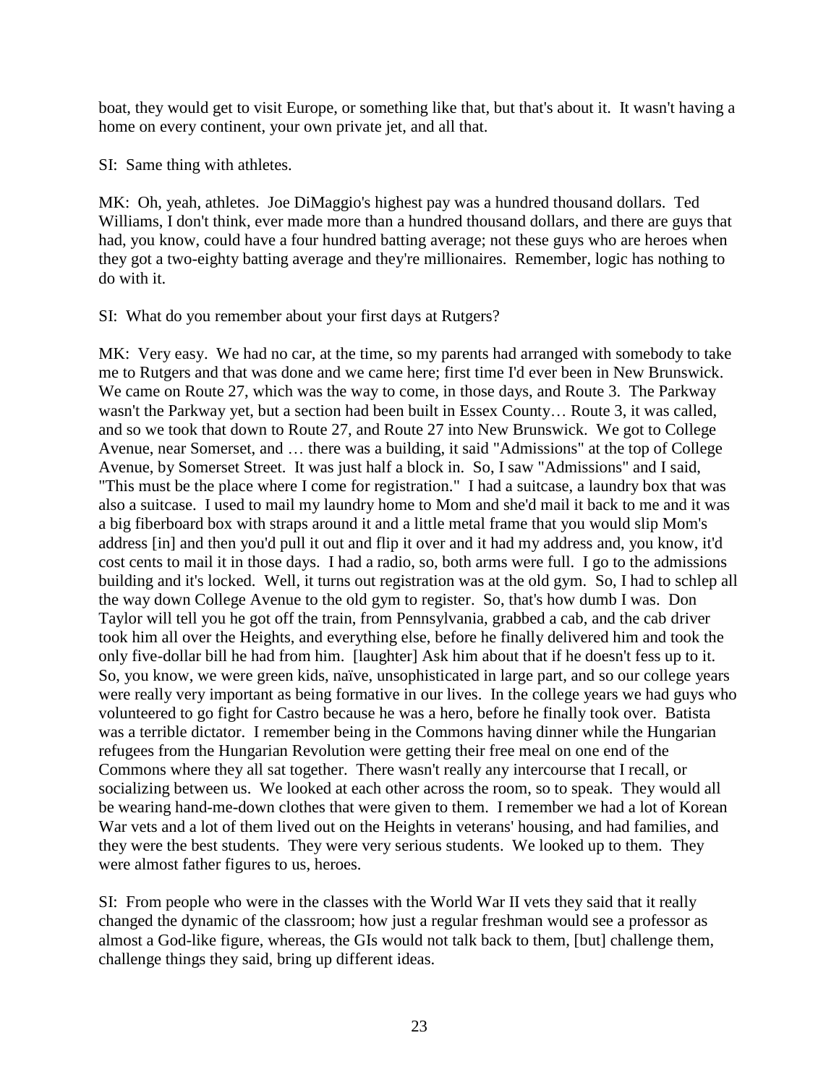boat, they would get to visit Europe, or something like that, but that's about it. It wasn't having a home on every continent, your own private jet, and all that.

SI: Same thing with athletes.

MK: Oh, yeah, athletes. Joe DiMaggio's highest pay was a hundred thousand dollars. Ted Williams, I don't think, ever made more than a hundred thousand dollars, and there are guys that had, you know, could have a four hundred batting average; not these guys who are heroes when they got a two-eighty batting average and they're millionaires. Remember, logic has nothing to do with it.

SI: What do you remember about your first days at Rutgers?

MK: Very easy. We had no car, at the time, so my parents had arranged with somebody to take me to Rutgers and that was done and we came here; first time I'd ever been in New Brunswick. We came on Route 27, which was the way to come, in those days, and Route 3. The Parkway wasn't the Parkway yet, but a section had been built in Essex County… Route 3, it was called, and so we took that down to Route 27, and Route 27 into New Brunswick. We got to College Avenue, near Somerset, and … there was a building, it said "Admissions" at the top of College Avenue, by Somerset Street. It was just half a block in. So, I saw "Admissions" and I said, "This must be the place where I come for registration." I had a suitcase, a laundry box that was also a suitcase. I used to mail my laundry home to Mom and she'd mail it back to me and it was a big fiberboard box with straps around it and a little metal frame that you would slip Mom's address [in] and then you'd pull it out and flip it over and it had my address and, you know, it'd cost cents to mail it in those days. I had a radio, so, both arms were full. I go to the admissions building and it's locked. Well, it turns out registration was at the old gym. So, I had to schlep all the way down College Avenue to the old gym to register. So, that's how dumb I was. Don Taylor will tell you he got off the train, from Pennsylvania, grabbed a cab, and the cab driver took him all over the Heights, and everything else, before he finally delivered him and took the only five-dollar bill he had from him. [laughter] Ask him about that if he doesn't fess up to it. So, you know, we were green kids, naïve, unsophisticated in large part, and so our college years were really very important as being formative in our lives. In the college years we had guys who volunteered to go fight for Castro because he was a hero, before he finally took over. Batista was a terrible dictator. I remember being in the Commons having dinner while the Hungarian refugees from the Hungarian Revolution were getting their free meal on one end of the Commons where they all sat together. There wasn't really any intercourse that I recall, or socializing between us. We looked at each other across the room, so to speak. They would all be wearing hand-me-down clothes that were given to them. I remember we had a lot of Korean War vets and a lot of them lived out on the Heights in veterans' housing, and had families, and they were the best students. They were very serious students. We looked up to them. They were almost father figures to us, heroes.

SI: From people who were in the classes with the World War II vets they said that it really changed the dynamic of the classroom; how just a regular freshman would see a professor as almost a God-like figure, whereas, the GIs would not talk back to them, [but] challenge them, challenge things they said, bring up different ideas.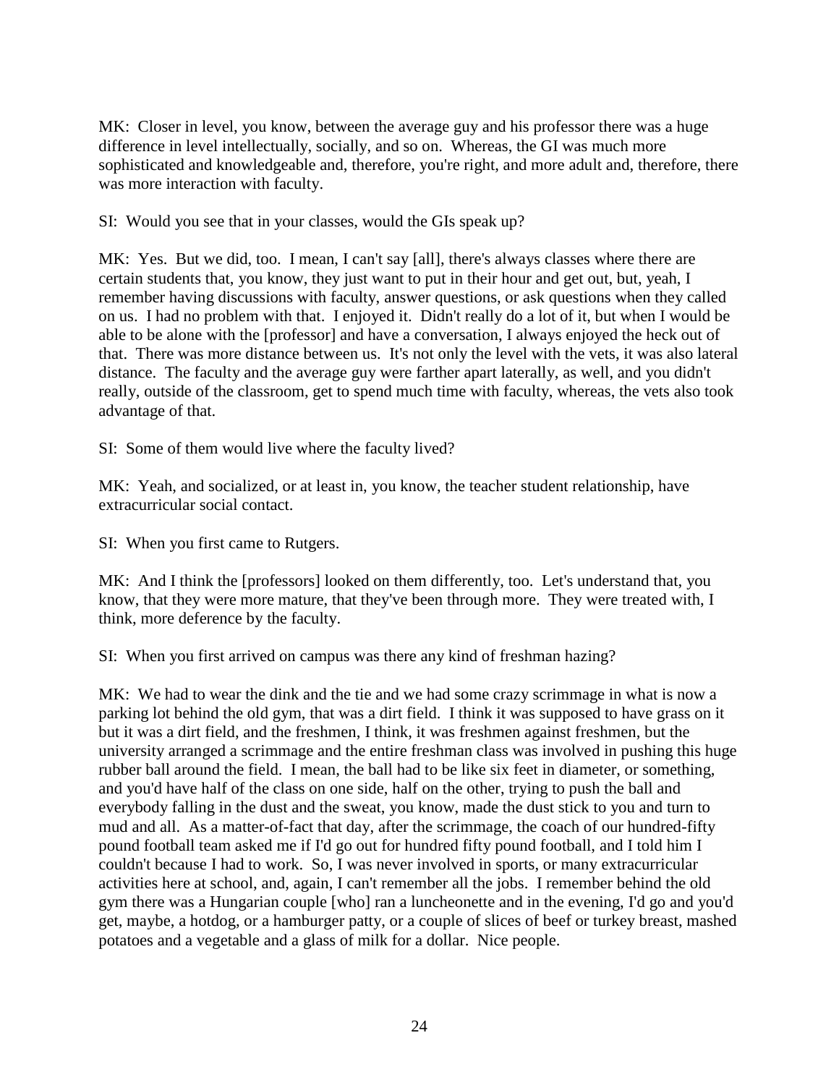MK: Closer in level, you know, between the average guy and his professor there was a huge difference in level intellectually, socially, and so on. Whereas, the GI was much more sophisticated and knowledgeable and, therefore, you're right, and more adult and, therefore, there was more interaction with faculty.

SI: Would you see that in your classes, would the GIs speak up?

MK: Yes. But we did, too. I mean, I can't say [all], there's always classes where there are certain students that, you know, they just want to put in their hour and get out, but, yeah, I remember having discussions with faculty, answer questions, or ask questions when they called on us. I had no problem with that. I enjoyed it. Didn't really do a lot of it, but when I would be able to be alone with the [professor] and have a conversation, I always enjoyed the heck out of that. There was more distance between us. It's not only the level with the vets, it was also lateral distance. The faculty and the average guy were farther apart laterally, as well, and you didn't really, outside of the classroom, get to spend much time with faculty, whereas, the vets also took advantage of that.

SI: Some of them would live where the faculty lived?

MK: Yeah, and socialized, or at least in, you know, the teacher student relationship, have extracurricular social contact.

SI: When you first came to Rutgers.

MK: And I think the [professors] looked on them differently, too. Let's understand that, you know, that they were more mature, that they've been through more. They were treated with, I think, more deference by the faculty.

SI: When you first arrived on campus was there any kind of freshman hazing?

MK: We had to wear the dink and the tie and we had some crazy scrimmage in what is now a parking lot behind the old gym, that was a dirt field. I think it was supposed to have grass on it but it was a dirt field, and the freshmen, I think, it was freshmen against freshmen, but the university arranged a scrimmage and the entire freshman class was involved in pushing this huge rubber ball around the field. I mean, the ball had to be like six feet in diameter, or something, and you'd have half of the class on one side, half on the other, trying to push the ball and everybody falling in the dust and the sweat, you know, made the dust stick to you and turn to mud and all. As a matter-of-fact that day, after the scrimmage, the coach of our hundred-fifty pound football team asked me if I'd go out for hundred fifty pound football, and I told him I couldn't because I had to work. So, I was never involved in sports, or many extracurricular activities here at school, and, again, I can't remember all the jobs. I remember behind the old gym there was a Hungarian couple [who] ran a luncheonette and in the evening, I'd go and you'd get, maybe, a hotdog, or a hamburger patty, or a couple of slices of beef or turkey breast, mashed potatoes and a vegetable and a glass of milk for a dollar. Nice people.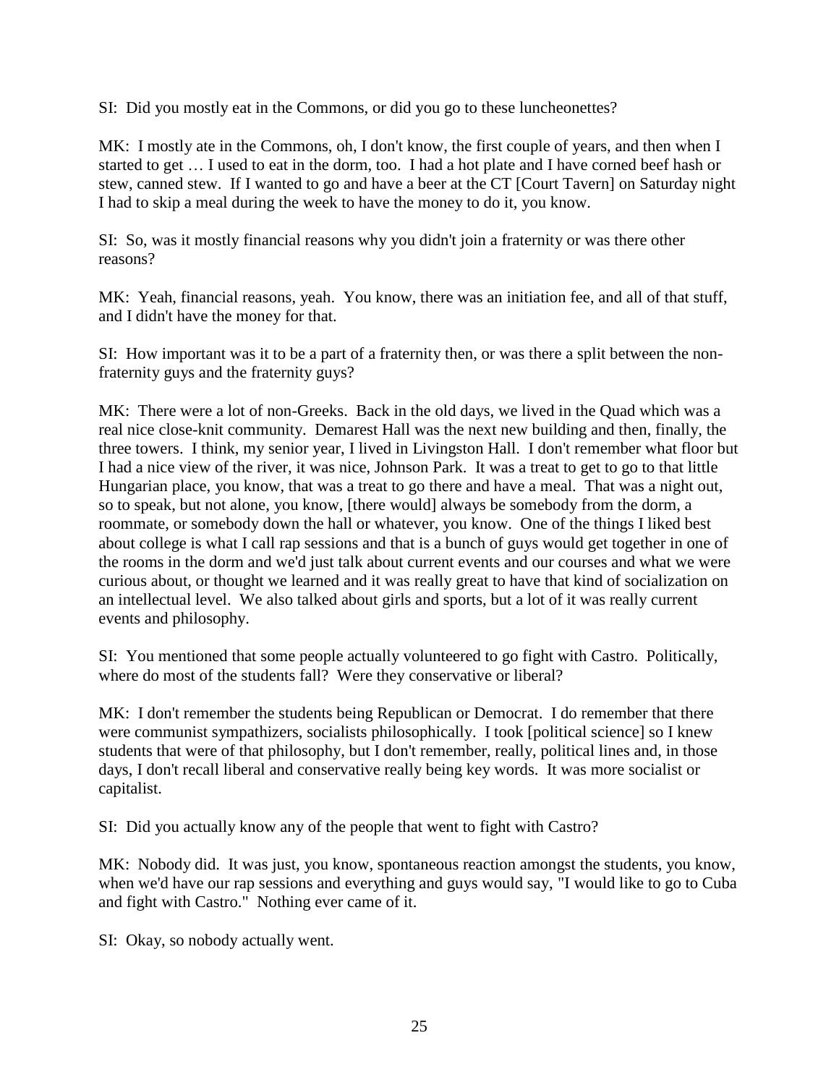SI: Did you mostly eat in the Commons, or did you go to these luncheonettes?

MK: I mostly ate in the Commons, oh, I don't know, the first couple of years, and then when I started to get … I used to eat in the dorm, too. I had a hot plate and I have corned beef hash or stew, canned stew. If I wanted to go and have a beer at the CT [Court Tavern] on Saturday night I had to skip a meal during the week to have the money to do it, you know.

SI: So, was it mostly financial reasons why you didn't join a fraternity or was there other reasons?

MK: Yeah, financial reasons, yeah. You know, there was an initiation fee, and all of that stuff, and I didn't have the money for that.

SI: How important was it to be a part of a fraternity then, or was there a split between the nonfraternity guys and the fraternity guys?

MK: There were a lot of non-Greeks. Back in the old days, we lived in the Quad which was a real nice close-knit community. Demarest Hall was the next new building and then, finally, the three towers. I think, my senior year, I lived in Livingston Hall. I don't remember what floor but I had a nice view of the river, it was nice, Johnson Park. It was a treat to get to go to that little Hungarian place, you know, that was a treat to go there and have a meal. That was a night out, so to speak, but not alone, you know, [there would] always be somebody from the dorm, a roommate, or somebody down the hall or whatever, you know. One of the things I liked best about college is what I call rap sessions and that is a bunch of guys would get together in one of the rooms in the dorm and we'd just talk about current events and our courses and what we were curious about, or thought we learned and it was really great to have that kind of socialization on an intellectual level. We also talked about girls and sports, but a lot of it was really current events and philosophy.

SI: You mentioned that some people actually volunteered to go fight with Castro. Politically, where do most of the students fall? Were they conservative or liberal?

MK: I don't remember the students being Republican or Democrat. I do remember that there were communist sympathizers, socialists philosophically. I took [political science] so I knew students that were of that philosophy, but I don't remember, really, political lines and, in those days, I don't recall liberal and conservative really being key words. It was more socialist or capitalist.

SI: Did you actually know any of the people that went to fight with Castro?

MK: Nobody did. It was just, you know, spontaneous reaction amongst the students, you know, when we'd have our rap sessions and everything and guys would say, "I would like to go to Cuba and fight with Castro." Nothing ever came of it.

SI: Okay, so nobody actually went.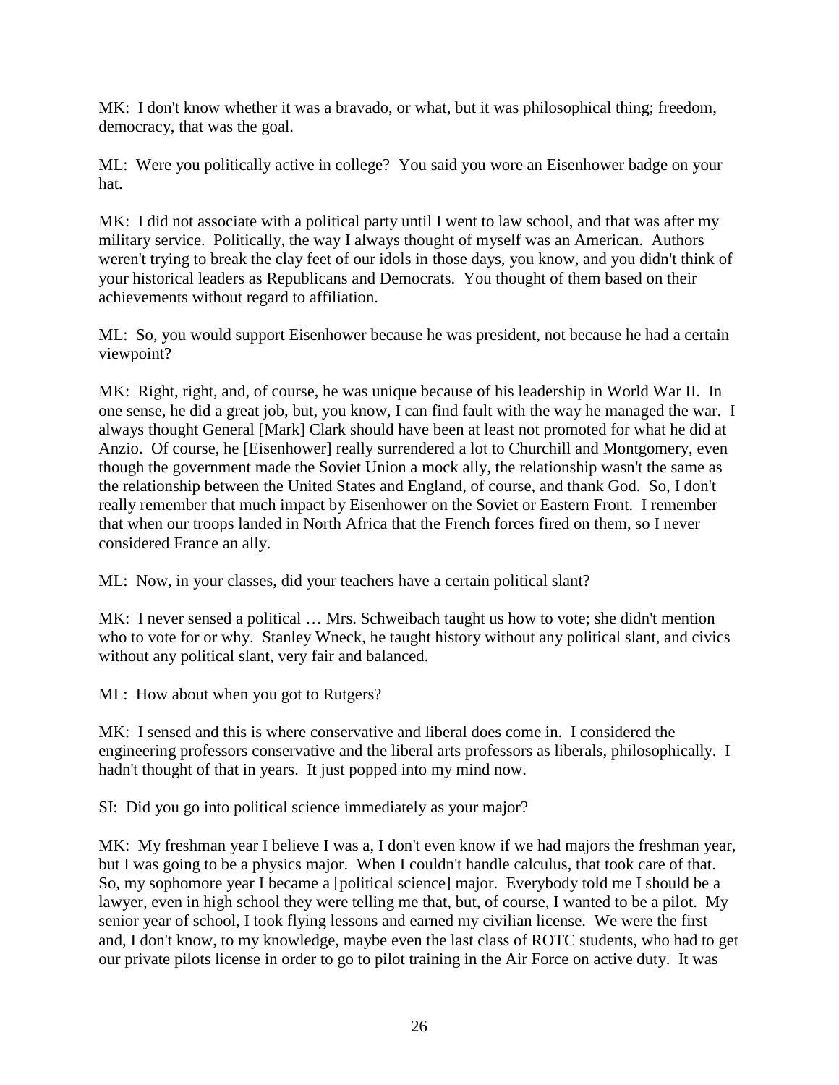MK: I don't know whether it was a bravado, or what, but it was philosophical thing; freedom, democracy, that was the goal.

ML: Were you politically active in college? You said you wore an Eisenhower badge on your hat.

MK: I did not associate with a political party until I went to law school, and that was after my military service. Politically, the way I always thought of myself was an American. Authors weren't trying to break the clay feet of our idols in those days, you know, and you didn't think of your historical leaders as Republicans and Democrats. You thought of them based on their achievements without regard to affiliation.

ML: So, you would support Eisenhower because he was president, not because he had a certain viewpoint?

MK: Right, right, and, of course, he was unique because of his leadership in World War II. In one sense, he did a great job, but, you know, I can find fault with the way he managed the war. I always thought General [Mark] Clark should have been at least not promoted for what he did at Anzio. Of course, he [Eisenhower] really surrendered a lot to Churchill and Montgomery, even though the government made the Soviet Union a mock ally, the relationship wasn't the same as the relationship between the United States and England, of course, and thank God. So, I don't really remember that much impact by Eisenhower on the Soviet or Eastern Front. I remember that when our troops landed in North Africa that the French forces fired on them, so I never considered France an ally.

ML: Now, in your classes, did your teachers have a certain political slant?

MK: I never sensed a political … Mrs. Schweibach taught us how to vote; she didn't mention who to vote for or why. Stanley Wneck, he taught history without any political slant, and civics without any political slant, very fair and balanced.

ML: How about when you got to Rutgers?

MK: I sensed and this is where conservative and liberal does come in. I considered the engineering professors conservative and the liberal arts professors as liberals, philosophically. I hadn't thought of that in years. It just popped into my mind now.

SI: Did you go into political science immediately as your major?

MK: My freshman year I believe I was a, I don't even know if we had majors the freshman year, but I was going to be a physics major. When I couldn't handle calculus, that took care of that. So, my sophomore year I became a [political science] major. Everybody told me I should be a lawyer, even in high school they were telling me that, but, of course, I wanted to be a pilot. My senior year of school, I took flying lessons and earned my civilian license. We were the first and, I don't know, to my knowledge, maybe even the last class of ROTC students, who had to get our private pilots license in order to go to pilot training in the Air Force on active duty. It was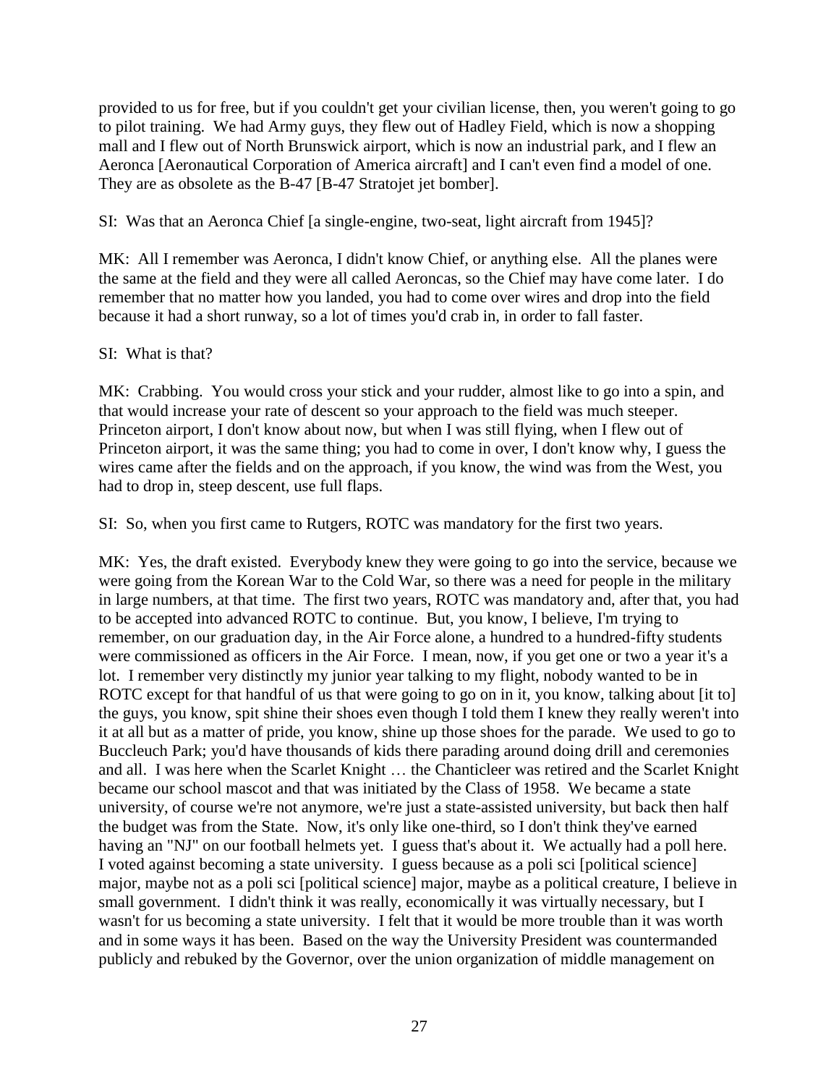provided to us for free, but if you couldn't get your civilian license, then, you weren't going to go to pilot training. We had Army guys, they flew out of Hadley Field, which is now a shopping mall and I flew out of North Brunswick airport, which is now an industrial park, and I flew an Aeronca [Aeronautical Corporation of America aircraft] and I can't even find a model of one. They are as obsolete as the B-47 [B-47 Stratojet jet bomber].

# SI: Was that an Aeronca Chief [a single-engine, two-seat, light aircraft from 1945]?

MK: All I remember was Aeronca, I didn't know Chief, or anything else. All the planes were the same at the field and they were all called Aeroncas, so the Chief may have come later. I do remember that no matter how you landed, you had to come over wires and drop into the field because it had a short runway, so a lot of times you'd crab in, in order to fall faster.

# SI: What is that?

MK: Crabbing. You would cross your stick and your rudder, almost like to go into a spin, and that would increase your rate of descent so your approach to the field was much steeper. Princeton airport, I don't know about now, but when I was still flying, when I flew out of Princeton airport, it was the same thing; you had to come in over, I don't know why, I guess the wires came after the fields and on the approach, if you know, the wind was from the West, you had to drop in, steep descent, use full flaps.

SI: So, when you first came to Rutgers, ROTC was mandatory for the first two years.

MK: Yes, the draft existed. Everybody knew they were going to go into the service, because we were going from the Korean War to the Cold War, so there was a need for people in the military in large numbers, at that time. The first two years, ROTC was mandatory and, after that, you had to be accepted into advanced ROTC to continue. But, you know, I believe, I'm trying to remember, on our graduation day, in the Air Force alone, a hundred to a hundred-fifty students were commissioned as officers in the Air Force. I mean, now, if you get one or two a year it's a lot. I remember very distinctly my junior year talking to my flight, nobody wanted to be in ROTC except for that handful of us that were going to go on in it, you know, talking about [it to] the guys, you know, spit shine their shoes even though I told them I knew they really weren't into it at all but as a matter of pride, you know, shine up those shoes for the parade. We used to go to Buccleuch Park; you'd have thousands of kids there parading around doing drill and ceremonies and all. I was here when the Scarlet Knight … the Chanticleer was retired and the Scarlet Knight became our school mascot and that was initiated by the Class of 1958. We became a state university, of course we're not anymore, we're just a state-assisted university, but back then half the budget was from the State. Now, it's only like one-third, so I don't think they've earned having an "NJ" on our football helmets yet. I guess that's about it. We actually had a poll here. I voted against becoming a state university. I guess because as a poli sci [political science] major, maybe not as a poli sci [political science] major, maybe as a political creature, I believe in small government. I didn't think it was really, economically it was virtually necessary, but I wasn't for us becoming a state university. I felt that it would be more trouble than it was worth and in some ways it has been. Based on the way the University President was countermanded publicly and rebuked by the Governor, over the union organization of middle management on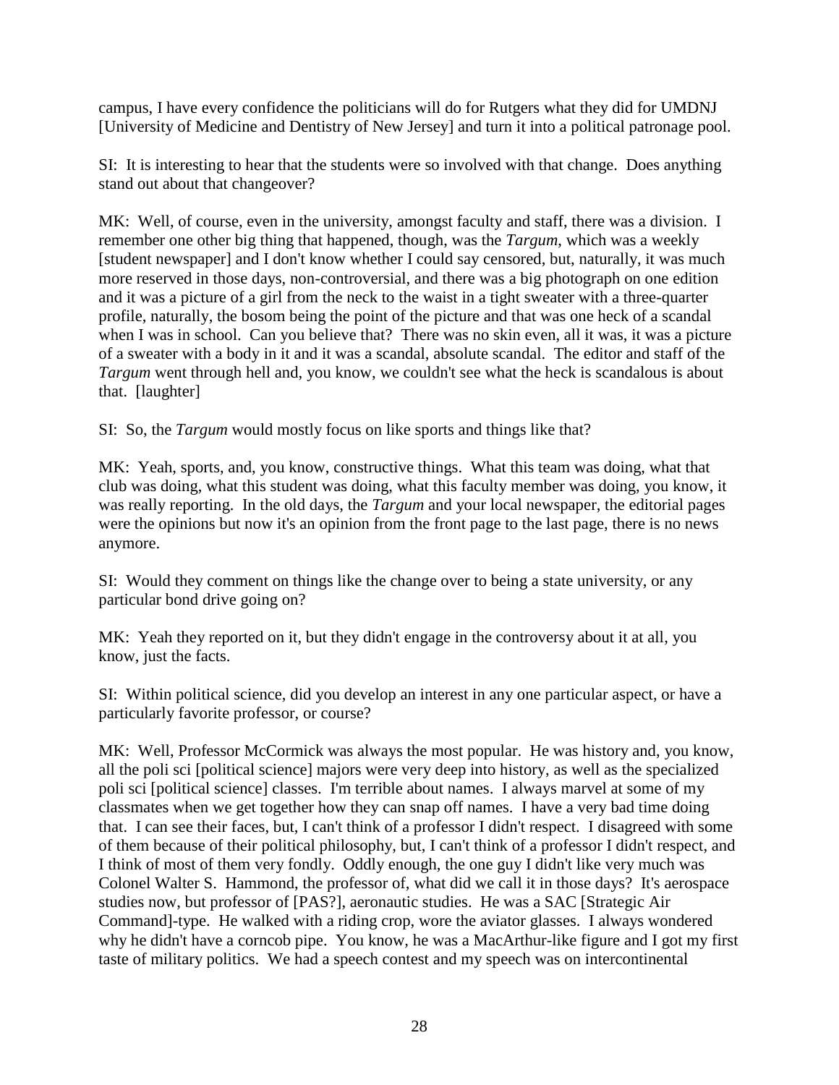campus, I have every confidence the politicians will do for Rutgers what they did for UMDNJ [University of Medicine and Dentistry of New Jersey] and turn it into a political patronage pool.

SI: It is interesting to hear that the students were so involved with that change. Does anything stand out about that changeover?

MK: Well, of course, even in the university, amongst faculty and staff, there was a division. I remember one other big thing that happened, though, was the *Targum*, which was a weekly [student newspaper] and I don't know whether I could say censored, but, naturally, it was much more reserved in those days, non-controversial, and there was a big photograph on one edition and it was a picture of a girl from the neck to the waist in a tight sweater with a three-quarter profile, naturally, the bosom being the point of the picture and that was one heck of a scandal when I was in school. Can you believe that? There was no skin even, all it was, it was a picture of a sweater with a body in it and it was a scandal, absolute scandal. The editor and staff of the *Targum* went through hell and, you know, we couldn't see what the heck is scandalous is about that. [laughter]

SI: So, the *Targum* would mostly focus on like sports and things like that?

MK: Yeah, sports, and, you know, constructive things. What this team was doing, what that club was doing, what this student was doing, what this faculty member was doing, you know, it was really reporting. In the old days, the *Targum* and your local newspaper, the editorial pages were the opinions but now it's an opinion from the front page to the last page, there is no news anymore.

SI: Would they comment on things like the change over to being a state university, or any particular bond drive going on?

MK: Yeah they reported on it, but they didn't engage in the controversy about it at all, you know, just the facts.

SI: Within political science, did you develop an interest in any one particular aspect, or have a particularly favorite professor, or course?

MK: Well, Professor McCormick was always the most popular. He was history and, you know, all the poli sci [political science] majors were very deep into history, as well as the specialized poli sci [political science] classes. I'm terrible about names. I always marvel at some of my classmates when we get together how they can snap off names. I have a very bad time doing that. I can see their faces, but, I can't think of a professor I didn't respect. I disagreed with some of them because of their political philosophy, but, I can't think of a professor I didn't respect, and I think of most of them very fondly. Oddly enough, the one guy I didn't like very much was Colonel Walter S. Hammond, the professor of, what did we call it in those days? It's aerospace studies now, but professor of [PAS?], aeronautic studies. He was a SAC [Strategic Air Command]-type. He walked with a riding crop, wore the aviator glasses. I always wondered why he didn't have a corncob pipe. You know, he was a MacArthur-like figure and I got my first taste of military politics. We had a speech contest and my speech was on intercontinental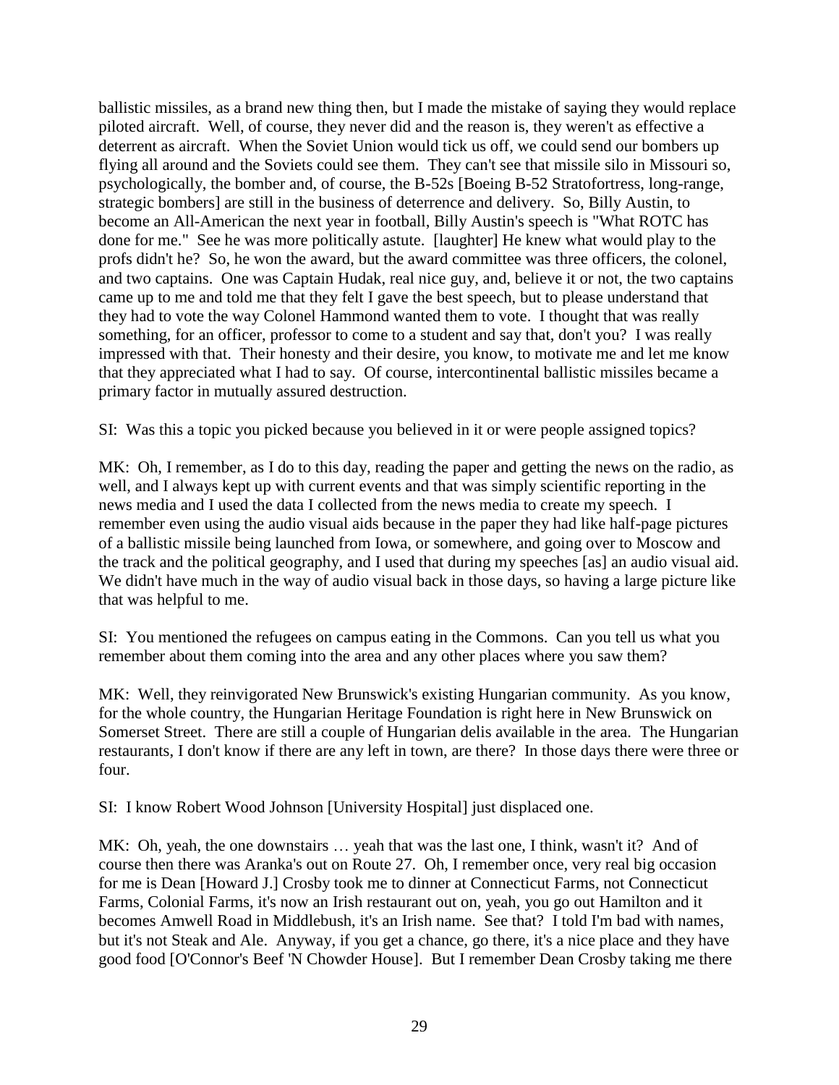ballistic missiles, as a brand new thing then, but I made the mistake of saying they would replace piloted aircraft. Well, of course, they never did and the reason is, they weren't as effective a deterrent as aircraft. When the Soviet Union would tick us off, we could send our bombers up flying all around and the Soviets could see them. They can't see that missile silo in Missouri so, psychologically, the bomber and, of course, the B-52s [Boeing B-52 Stratofortress, long-range, strategic bombers] are still in the business of deterrence and delivery. So, Billy Austin, to become an All-American the next year in football, Billy Austin's speech is "What ROTC has done for me." See he was more politically astute. [laughter] He knew what would play to the profs didn't he? So, he won the award, but the award committee was three officers, the colonel, and two captains. One was Captain Hudak, real nice guy, and, believe it or not, the two captains came up to me and told me that they felt I gave the best speech, but to please understand that they had to vote the way Colonel Hammond wanted them to vote. I thought that was really something, for an officer, professor to come to a student and say that, don't you? I was really impressed with that. Their honesty and their desire, you know, to motivate me and let me know that they appreciated what I had to say. Of course, intercontinental ballistic missiles became a primary factor in mutually assured destruction.

SI: Was this a topic you picked because you believed in it or were people assigned topics?

MK: Oh, I remember, as I do to this day, reading the paper and getting the news on the radio, as well, and I always kept up with current events and that was simply scientific reporting in the news media and I used the data I collected from the news media to create my speech. I remember even using the audio visual aids because in the paper they had like half-page pictures of a ballistic missile being launched from Iowa, or somewhere, and going over to Moscow and the track and the political geography, and I used that during my speeches [as] an audio visual aid. We didn't have much in the way of audio visual back in those days, so having a large picture like that was helpful to me.

SI: You mentioned the refugees on campus eating in the Commons. Can you tell us what you remember about them coming into the area and any other places where you saw them?

MK: Well, they reinvigorated New Brunswick's existing Hungarian community. As you know, for the whole country, the Hungarian Heritage Foundation is right here in New Brunswick on Somerset Street. There are still a couple of Hungarian delis available in the area. The Hungarian restaurants, I don't know if there are any left in town, are there? In those days there were three or four.

SI: I know Robert Wood Johnson [University Hospital] just displaced one.

MK: Oh, yeah, the one downstairs ... yeah that was the last one, I think, wasn't it? And of course then there was Aranka's out on Route 27. Oh, I remember once, very real big occasion for me is Dean [Howard J.] Crosby took me to dinner at Connecticut Farms, not Connecticut Farms, Colonial Farms, it's now an Irish restaurant out on, yeah, you go out Hamilton and it becomes Amwell Road in Middlebush, it's an Irish name. See that? I told I'm bad with names, but it's not Steak and Ale. Anyway, if you get a chance, go there, it's a nice place and they have good food [O'Connor's Beef 'N Chowder House]. But I remember Dean Crosby taking me there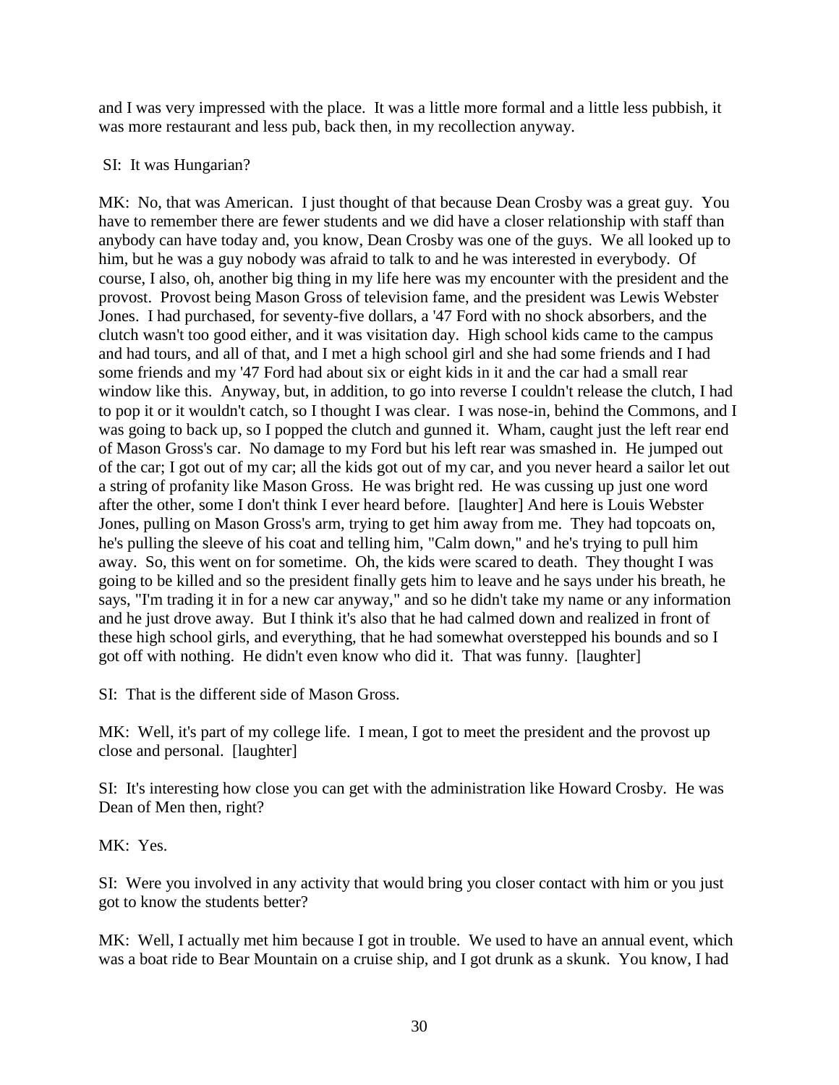and I was very impressed with the place. It was a little more formal and a little less pubbish, it was more restaurant and less pub, back then, in my recollection anyway.

# SI: It was Hungarian?

MK: No, that was American. I just thought of that because Dean Crosby was a great guy. You have to remember there are fewer students and we did have a closer relationship with staff than anybody can have today and, you know, Dean Crosby was one of the guys. We all looked up to him, but he was a guy nobody was afraid to talk to and he was interested in everybody. Of course, I also, oh, another big thing in my life here was my encounter with the president and the provost. Provost being Mason Gross of television fame, and the president was Lewis Webster Jones. I had purchased, for seventy-five dollars, a '47 Ford with no shock absorbers, and the clutch wasn't too good either, and it was visitation day. High school kids came to the campus and had tours, and all of that, and I met a high school girl and she had some friends and I had some friends and my '47 Ford had about six or eight kids in it and the car had a small rear window like this. Anyway, but, in addition, to go into reverse I couldn't release the clutch, I had to pop it or it wouldn't catch, so I thought I was clear. I was nose-in, behind the Commons, and I was going to back up, so I popped the clutch and gunned it. Wham, caught just the left rear end of Mason Gross's car. No damage to my Ford but his left rear was smashed in. He jumped out of the car; I got out of my car; all the kids got out of my car, and you never heard a sailor let out a string of profanity like Mason Gross. He was bright red. He was cussing up just one word after the other, some I don't think I ever heard before. [laughter] And here is Louis Webster Jones, pulling on Mason Gross's arm, trying to get him away from me. They had topcoats on, he's pulling the sleeve of his coat and telling him, "Calm down," and he's trying to pull him away. So, this went on for sometime. Oh, the kids were scared to death. They thought I was going to be killed and so the president finally gets him to leave and he says under his breath, he says, "I'm trading it in for a new car anyway," and so he didn't take my name or any information and he just drove away. But I think it's also that he had calmed down and realized in front of these high school girls, and everything, that he had somewhat overstepped his bounds and so I got off with nothing. He didn't even know who did it. That was funny. [laughter]

SI: That is the different side of Mason Gross.

MK: Well, it's part of my college life. I mean, I got to meet the president and the provost up close and personal. [laughter]

SI: It's interesting how close you can get with the administration like Howard Crosby. He was Dean of Men then, right?

MK: Yes.

SI: Were you involved in any activity that would bring you closer contact with him or you just got to know the students better?

MK: Well, I actually met him because I got in trouble. We used to have an annual event, which was a boat ride to Bear Mountain on a cruise ship, and I got drunk as a skunk. You know, I had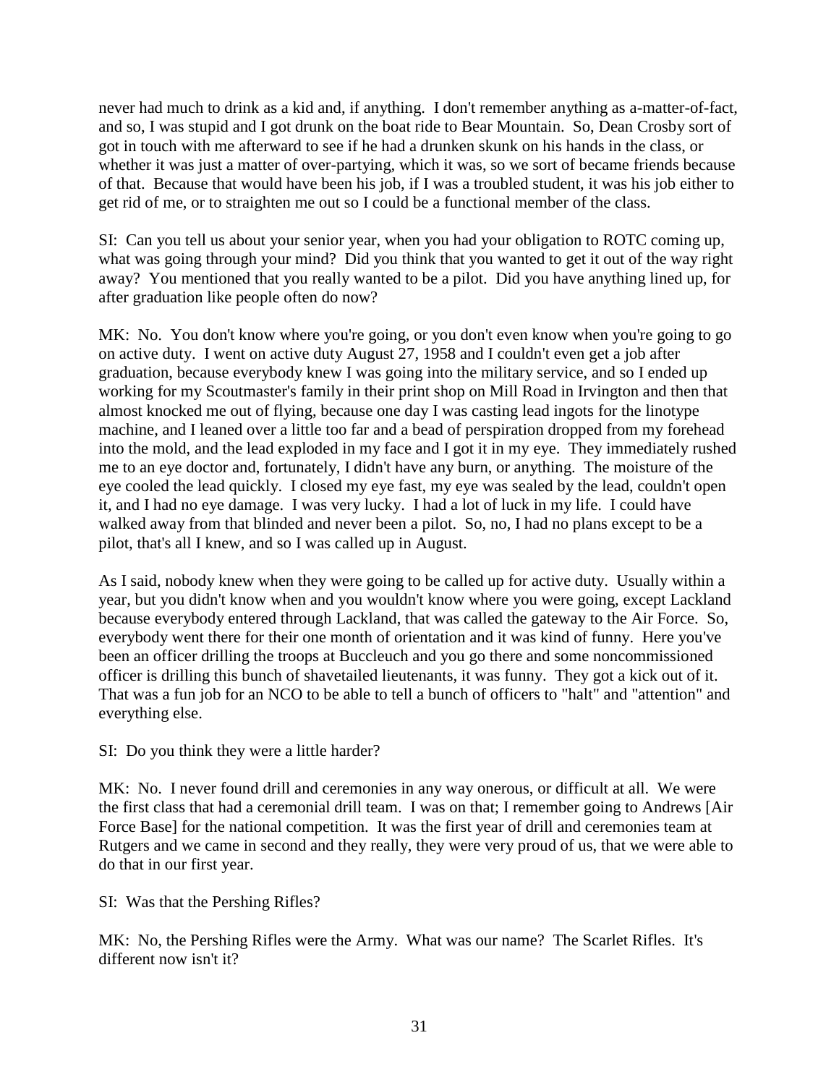never had much to drink as a kid and, if anything. I don't remember anything as a-matter-of-fact, and so, I was stupid and I got drunk on the boat ride to Bear Mountain. So, Dean Crosby sort of got in touch with me afterward to see if he had a drunken skunk on his hands in the class, or whether it was just a matter of over-partying, which it was, so we sort of became friends because of that. Because that would have been his job, if I was a troubled student, it was his job either to get rid of me, or to straighten me out so I could be a functional member of the class.

SI: Can you tell us about your senior year, when you had your obligation to ROTC coming up, what was going through your mind? Did you think that you wanted to get it out of the way right away? You mentioned that you really wanted to be a pilot. Did you have anything lined up, for after graduation like people often do now?

MK: No. You don't know where you're going, or you don't even know when you're going to go on active duty. I went on active duty August 27, 1958 and I couldn't even get a job after graduation, because everybody knew I was going into the military service, and so I ended up working for my Scoutmaster's family in their print shop on Mill Road in Irvington and then that almost knocked me out of flying, because one day I was casting lead ingots for the linotype machine, and I leaned over a little too far and a bead of perspiration dropped from my forehead into the mold, and the lead exploded in my face and I got it in my eye. They immediately rushed me to an eye doctor and, fortunately, I didn't have any burn, or anything. The moisture of the eye cooled the lead quickly. I closed my eye fast, my eye was sealed by the lead, couldn't open it, and I had no eye damage. I was very lucky. I had a lot of luck in my life. I could have walked away from that blinded and never been a pilot. So, no, I had no plans except to be a pilot, that's all I knew, and so I was called up in August.

As I said, nobody knew when they were going to be called up for active duty. Usually within a year, but you didn't know when and you wouldn't know where you were going, except Lackland because everybody entered through Lackland, that was called the gateway to the Air Force. So, everybody went there for their one month of orientation and it was kind of funny. Here you've been an officer drilling the troops at Buccleuch and you go there and some noncommissioned officer is drilling this bunch of shavetailed lieutenants, it was funny. They got a kick out of it. That was a fun job for an NCO to be able to tell a bunch of officers to "halt" and "attention" and everything else.

SI: Do you think they were a little harder?

MK: No. I never found drill and ceremonies in any way onerous, or difficult at all. We were the first class that had a ceremonial drill team. I was on that; I remember going to Andrews [Air Force Base] for the national competition. It was the first year of drill and ceremonies team at Rutgers and we came in second and they really, they were very proud of us, that we were able to do that in our first year.

SI: Was that the Pershing Rifles?

MK: No, the Pershing Rifles were the Army. What was our name? The Scarlet Rifles. It's different now isn't it?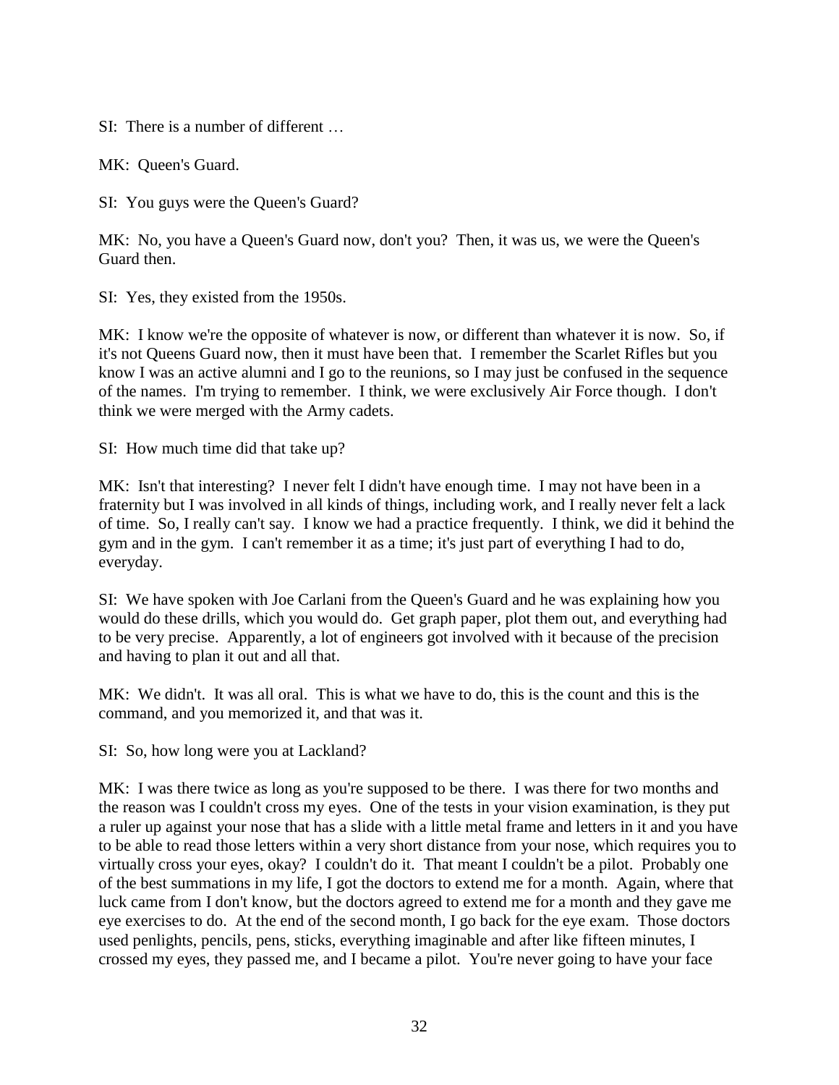SI: There is a number of different

MK: Queen's Guard.

SI: You guys were the Queen's Guard?

MK: No, you have a Queen's Guard now, don't you? Then, it was us, we were the Queen's Guard then.

SI: Yes, they existed from the 1950s.

MK: I know we're the opposite of whatever is now, or different than whatever it is now. So, if it's not Queens Guard now, then it must have been that. I remember the Scarlet Rifles but you know I was an active alumni and I go to the reunions, so I may just be confused in the sequence of the names. I'm trying to remember. I think, we were exclusively Air Force though. I don't think we were merged with the Army cadets.

SI: How much time did that take up?

MK: Isn't that interesting? I never felt I didn't have enough time. I may not have been in a fraternity but I was involved in all kinds of things, including work, and I really never felt a lack of time. So, I really can't say. I know we had a practice frequently. I think, we did it behind the gym and in the gym. I can't remember it as a time; it's just part of everything I had to do, everyday.

SI: We have spoken with Joe Carlani from the Queen's Guard and he was explaining how you would do these drills, which you would do. Get graph paper, plot them out, and everything had to be very precise. Apparently, a lot of engineers got involved with it because of the precision and having to plan it out and all that.

MK: We didn't. It was all oral. This is what we have to do, this is the count and this is the command, and you memorized it, and that was it.

SI: So, how long were you at Lackland?

MK: I was there twice as long as you're supposed to be there. I was there for two months and the reason was I couldn't cross my eyes. One of the tests in your vision examination, is they put a ruler up against your nose that has a slide with a little metal frame and letters in it and you have to be able to read those letters within a very short distance from your nose, which requires you to virtually cross your eyes, okay? I couldn't do it. That meant I couldn't be a pilot. Probably one of the best summations in my life, I got the doctors to extend me for a month. Again, where that luck came from I don't know, but the doctors agreed to extend me for a month and they gave me eye exercises to do. At the end of the second month, I go back for the eye exam. Those doctors used penlights, pencils, pens, sticks, everything imaginable and after like fifteen minutes, I crossed my eyes, they passed me, and I became a pilot. You're never going to have your face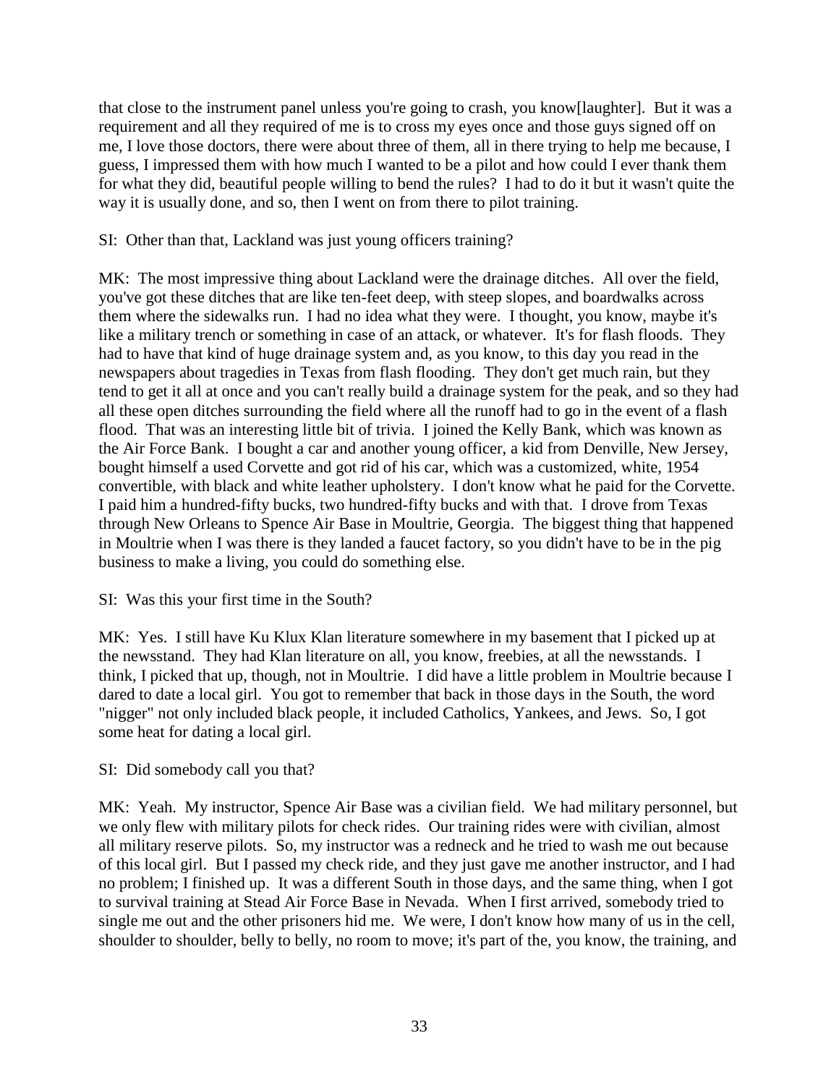that close to the instrument panel unless you're going to crash, you know[laughter]. But it was a requirement and all they required of me is to cross my eyes once and those guys signed off on me, I love those doctors, there were about three of them, all in there trying to help me because, I guess, I impressed them with how much I wanted to be a pilot and how could I ever thank them for what they did, beautiful people willing to bend the rules? I had to do it but it wasn't quite the way it is usually done, and so, then I went on from there to pilot training.

# SI: Other than that, Lackland was just young officers training?

MK: The most impressive thing about Lackland were the drainage ditches. All over the field, you've got these ditches that are like ten-feet deep, with steep slopes, and boardwalks across them where the sidewalks run. I had no idea what they were. I thought, you know, maybe it's like a military trench or something in case of an attack, or whatever. It's for flash floods. They had to have that kind of huge drainage system and, as you know, to this day you read in the newspapers about tragedies in Texas from flash flooding. They don't get much rain, but they tend to get it all at once and you can't really build a drainage system for the peak, and so they had all these open ditches surrounding the field where all the runoff had to go in the event of a flash flood. That was an interesting little bit of trivia. I joined the Kelly Bank, which was known as the Air Force Bank. I bought a car and another young officer, a kid from Denville, New Jersey, bought himself a used Corvette and got rid of his car, which was a customized, white, 1954 convertible, with black and white leather upholstery. I don't know what he paid for the Corvette. I paid him a hundred-fifty bucks, two hundred-fifty bucks and with that. I drove from Texas through New Orleans to Spence Air Base in Moultrie, Georgia. The biggest thing that happened in Moultrie when I was there is they landed a faucet factory, so you didn't have to be in the pig business to make a living, you could do something else.

# SI: Was this your first time in the South?

MK: Yes. I still have Ku Klux Klan literature somewhere in my basement that I picked up at the newsstand. They had Klan literature on all, you know, freebies, at all the newsstands. I think, I picked that up, though, not in Moultrie. I did have a little problem in Moultrie because I dared to date a local girl. You got to remember that back in those days in the South, the word "nigger" not only included black people, it included Catholics, Yankees, and Jews. So, I got some heat for dating a local girl.

# SI: Did somebody call you that?

MK: Yeah. My instructor, Spence Air Base was a civilian field. We had military personnel, but we only flew with military pilots for check rides. Our training rides were with civilian, almost all military reserve pilots. So, my instructor was a redneck and he tried to wash me out because of this local girl. But I passed my check ride, and they just gave me another instructor, and I had no problem; I finished up. It was a different South in those days, and the same thing, when I got to survival training at Stead Air Force Base in Nevada. When I first arrived, somebody tried to single me out and the other prisoners hid me. We were, I don't know how many of us in the cell, shoulder to shoulder, belly to belly, no room to move; it's part of the, you know, the training, and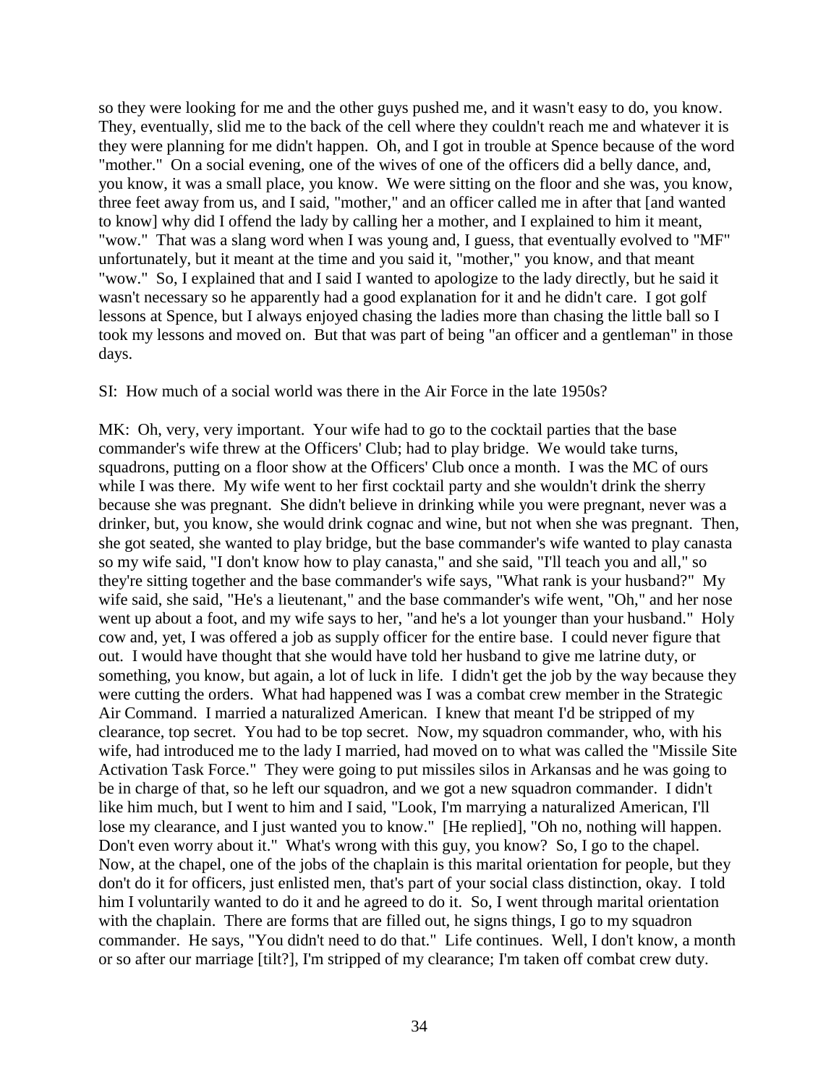so they were looking for me and the other guys pushed me, and it wasn't easy to do, you know. They, eventually, slid me to the back of the cell where they couldn't reach me and whatever it is they were planning for me didn't happen. Oh, and I got in trouble at Spence because of the word "mother." On a social evening, one of the wives of one of the officers did a belly dance, and, you know, it was a small place, you know. We were sitting on the floor and she was, you know, three feet away from us, and I said, "mother," and an officer called me in after that [and wanted to know] why did I offend the lady by calling her a mother, and I explained to him it meant, "wow." That was a slang word when I was young and, I guess, that eventually evolved to "MF" unfortunately, but it meant at the time and you said it, "mother," you know, and that meant "wow." So, I explained that and I said I wanted to apologize to the lady directly, but he said it wasn't necessary so he apparently had a good explanation for it and he didn't care. I got golf lessons at Spence, but I always enjoyed chasing the ladies more than chasing the little ball so I took my lessons and moved on. But that was part of being "an officer and a gentleman" in those days.

SI: How much of a social world was there in the Air Force in the late 1950s?

MK: Oh, very, very important. Your wife had to go to the cocktail parties that the base commander's wife threw at the Officers' Club; had to play bridge. We would take turns, squadrons, putting on a floor show at the Officers' Club once a month. I was the MC of ours while I was there. My wife went to her first cocktail party and she wouldn't drink the sherry because she was pregnant. She didn't believe in drinking while you were pregnant, never was a drinker, but, you know, she would drink cognac and wine, but not when she was pregnant. Then, she got seated, she wanted to play bridge, but the base commander's wife wanted to play canasta so my wife said, "I don't know how to play canasta," and she said, "I'll teach you and all," so they're sitting together and the base commander's wife says, "What rank is your husband?" My wife said, she said, "He's a lieutenant," and the base commander's wife went, "Oh," and her nose went up about a foot, and my wife says to her, "and he's a lot younger than your husband." Holy cow and, yet, I was offered a job as supply officer for the entire base. I could never figure that out. I would have thought that she would have told her husband to give me latrine duty, or something, you know, but again, a lot of luck in life. I didn't get the job by the way because they were cutting the orders. What had happened was I was a combat crew member in the Strategic Air Command. I married a naturalized American. I knew that meant I'd be stripped of my clearance, top secret. You had to be top secret. Now, my squadron commander, who, with his wife, had introduced me to the lady I married, had moved on to what was called the "Missile Site Activation Task Force." They were going to put missiles silos in Arkansas and he was going to be in charge of that, so he left our squadron, and we got a new squadron commander. I didn't like him much, but I went to him and I said, "Look, I'm marrying a naturalized American, I'll lose my clearance, and I just wanted you to know." [He replied], "Oh no, nothing will happen. Don't even worry about it." What's wrong with this guy, you know? So, I go to the chapel. Now, at the chapel, one of the jobs of the chaplain is this marital orientation for people, but they don't do it for officers, just enlisted men, that's part of your social class distinction, okay. I told him I voluntarily wanted to do it and he agreed to do it. So, I went through marital orientation with the chaplain. There are forms that are filled out, he signs things, I go to my squadron commander. He says, "You didn't need to do that." Life continues. Well, I don't know, a month or so after our marriage [tilt?], I'm stripped of my clearance; I'm taken off combat crew duty.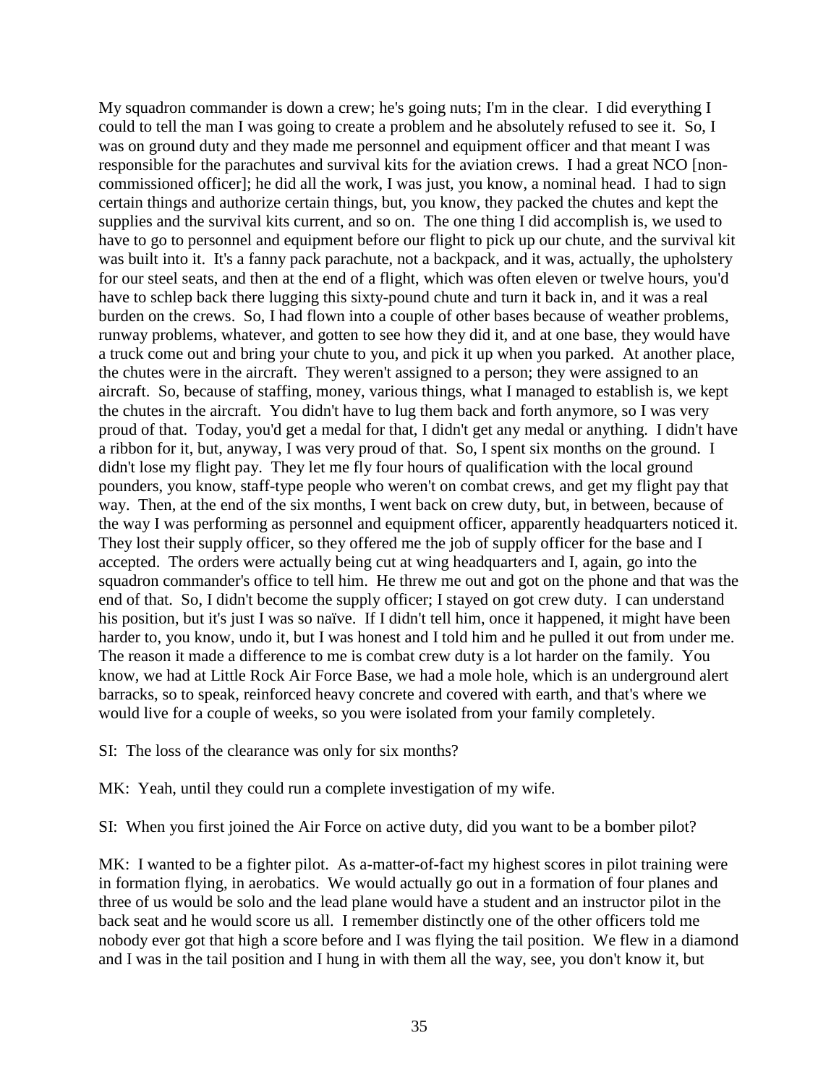My squadron commander is down a crew; he's going nuts; I'm in the clear. I did everything I could to tell the man I was going to create a problem and he absolutely refused to see it. So, I was on ground duty and they made me personnel and equipment officer and that meant I was responsible for the parachutes and survival kits for the aviation crews. I had a great NCO [noncommissioned officer]; he did all the work, I was just, you know, a nominal head. I had to sign certain things and authorize certain things, but, you know, they packed the chutes and kept the supplies and the survival kits current, and so on. The one thing I did accomplish is, we used to have to go to personnel and equipment before our flight to pick up our chute, and the survival kit was built into it. It's a fanny pack parachute, not a backpack, and it was, actually, the upholstery for our steel seats, and then at the end of a flight, which was often eleven or twelve hours, you'd have to schlep back there lugging this sixty-pound chute and turn it back in, and it was a real burden on the crews. So, I had flown into a couple of other bases because of weather problems, runway problems, whatever, and gotten to see how they did it, and at one base, they would have a truck come out and bring your chute to you, and pick it up when you parked. At another place, the chutes were in the aircraft. They weren't assigned to a person; they were assigned to an aircraft. So, because of staffing, money, various things, what I managed to establish is, we kept the chutes in the aircraft. You didn't have to lug them back and forth anymore, so I was very proud of that. Today, you'd get a medal for that, I didn't get any medal or anything. I didn't have a ribbon for it, but, anyway, I was very proud of that. So, I spent six months on the ground. I didn't lose my flight pay. They let me fly four hours of qualification with the local ground pounders, you know, staff-type people who weren't on combat crews, and get my flight pay that way. Then, at the end of the six months, I went back on crew duty, but, in between, because of the way I was performing as personnel and equipment officer, apparently headquarters noticed it. They lost their supply officer, so they offered me the job of supply officer for the base and I accepted. The orders were actually being cut at wing headquarters and I, again, go into the squadron commander's office to tell him. He threw me out and got on the phone and that was the end of that. So, I didn't become the supply officer; I stayed on got crew duty. I can understand his position, but it's just I was so naïve. If I didn't tell him, once it happened, it might have been harder to, you know, undo it, but I was honest and I told him and he pulled it out from under me. The reason it made a difference to me is combat crew duty is a lot harder on the family. You know, we had at Little Rock Air Force Base, we had a mole hole, which is an underground alert barracks, so to speak, reinforced heavy concrete and covered with earth, and that's where we would live for a couple of weeks, so you were isolated from your family completely.

SI: The loss of the clearance was only for six months?

MK: Yeah, until they could run a complete investigation of my wife.

SI: When you first joined the Air Force on active duty, did you want to be a bomber pilot?

MK: I wanted to be a fighter pilot. As a-matter-of-fact my highest scores in pilot training were in formation flying, in aerobatics. We would actually go out in a formation of four planes and three of us would be solo and the lead plane would have a student and an instructor pilot in the back seat and he would score us all. I remember distinctly one of the other officers told me nobody ever got that high a score before and I was flying the tail position. We flew in a diamond and I was in the tail position and I hung in with them all the way, see, you don't know it, but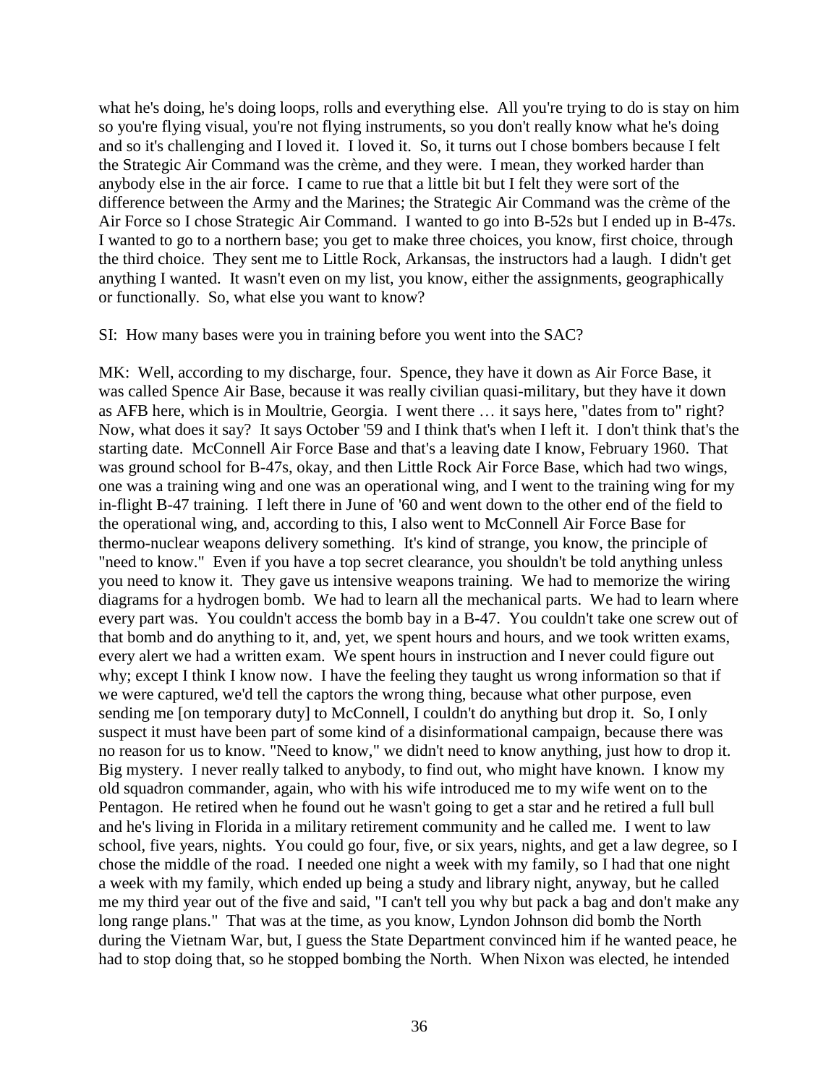what he's doing, he's doing loops, rolls and everything else. All you're trying to do is stay on him so you're flying visual, you're not flying instruments, so you don't really know what he's doing and so it's challenging and I loved it. I loved it. So, it turns out I chose bombers because I felt the Strategic Air Command was the crème, and they were. I mean, they worked harder than anybody else in the air force. I came to rue that a little bit but I felt they were sort of the difference between the Army and the Marines; the Strategic Air Command was the crème of the Air Force so I chose Strategic Air Command. I wanted to go into B-52s but I ended up in B-47s. I wanted to go to a northern base; you get to make three choices, you know, first choice, through the third choice. They sent me to Little Rock, Arkansas, the instructors had a laugh. I didn't get anything I wanted. It wasn't even on my list, you know, either the assignments, geographically or functionally. So, what else you want to know?

#### SI: How many bases were you in training before you went into the SAC?

MK: Well, according to my discharge, four. Spence, they have it down as Air Force Base, it was called Spence Air Base, because it was really civilian quasi-military, but they have it down as AFB here, which is in Moultrie, Georgia. I went there … it says here, "dates from to" right? Now, what does it say? It says October '59 and I think that's when I left it. I don't think that's the starting date. McConnell Air Force Base and that's a leaving date I know, February 1960. That was ground school for B-47s, okay, and then Little Rock Air Force Base, which had two wings, one was a training wing and one was an operational wing, and I went to the training wing for my in-flight B-47 training. I left there in June of '60 and went down to the other end of the field to the operational wing, and, according to this, I also went to McConnell Air Force Base for thermo-nuclear weapons delivery something. It's kind of strange, you know, the principle of "need to know." Even if you have a top secret clearance, you shouldn't be told anything unless you need to know it. They gave us intensive weapons training. We had to memorize the wiring diagrams for a hydrogen bomb. We had to learn all the mechanical parts. We had to learn where every part was. You couldn't access the bomb bay in a B-47. You couldn't take one screw out of that bomb and do anything to it, and, yet, we spent hours and hours, and we took written exams, every alert we had a written exam. We spent hours in instruction and I never could figure out why; except I think I know now. I have the feeling they taught us wrong information so that if we were captured, we'd tell the captors the wrong thing, because what other purpose, even sending me [on temporary duty] to McConnell, I couldn't do anything but drop it. So, I only suspect it must have been part of some kind of a disinformational campaign, because there was no reason for us to know. "Need to know," we didn't need to know anything, just how to drop it. Big mystery. I never really talked to anybody, to find out, who might have known. I know my old squadron commander, again, who with his wife introduced me to my wife went on to the Pentagon. He retired when he found out he wasn't going to get a star and he retired a full bull and he's living in Florida in a military retirement community and he called me. I went to law school, five years, nights. You could go four, five, or six years, nights, and get a law degree, so I chose the middle of the road. I needed one night a week with my family, so I had that one night a week with my family, which ended up being a study and library night, anyway, but he called me my third year out of the five and said, "I can't tell you why but pack a bag and don't make any long range plans." That was at the time, as you know, Lyndon Johnson did bomb the North during the Vietnam War, but, I guess the State Department convinced him if he wanted peace, he had to stop doing that, so he stopped bombing the North. When Nixon was elected, he intended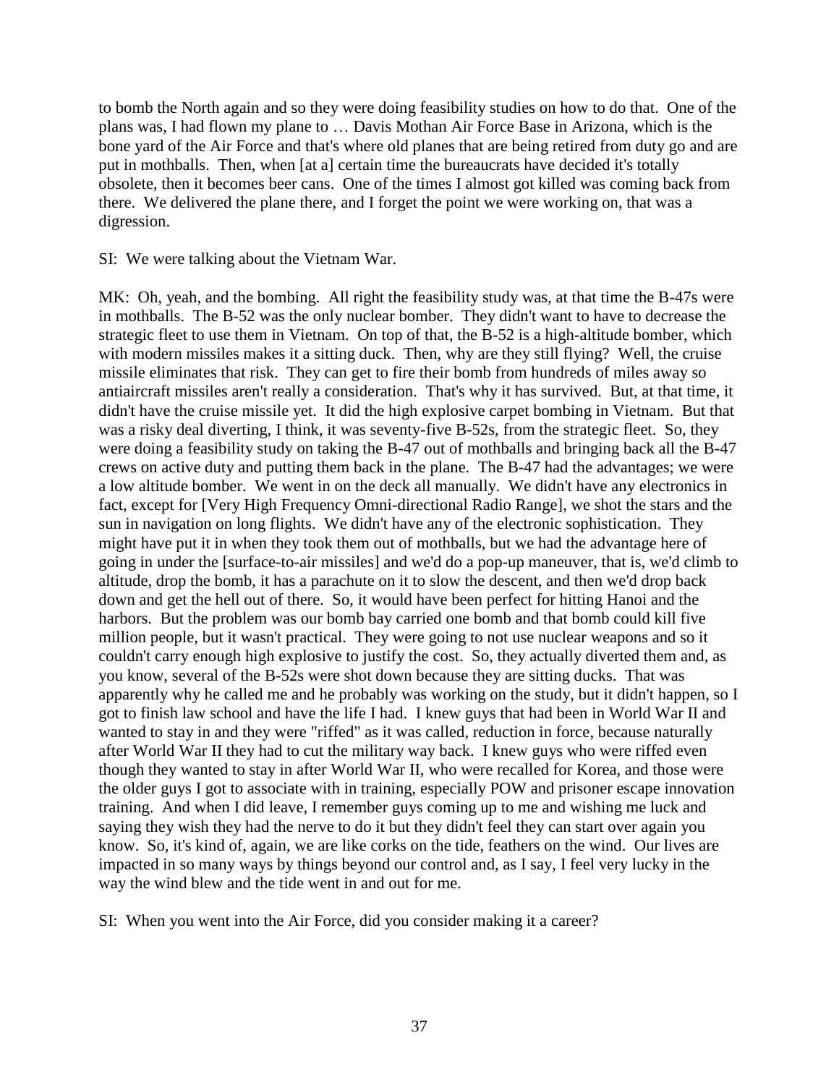to bomb the North again and so they were doing feasibility studies on how to do that. One of the plans was, I had flown my plane to … Davis Mothan Air Force Base in Arizona, which is the bone yard of the Air Force and that's where old planes that are being retired from duty go and are put in mothballs. Then, when [at a] certain time the bureaucrats have decided it's totally obsolete, then it becomes beer cans. One of the times I almost got killed was coming back from there. We delivered the plane there, and I forget the point we were working on, that was a digression.

SI: We were talking about the Vietnam War.

MK: Oh, yeah, and the bombing. All right the feasibility study was, at that time the B-47s were in mothballs. The B-52 was the only nuclear bomber. They didn't want to have to decrease the strategic fleet to use them in Vietnam. On top of that, the B-52 is a high-altitude bomber, which with modern missiles makes it a sitting duck. Then, why are they still flying? Well, the cruise missile eliminates that risk. They can get to fire their bomb from hundreds of miles away so antiaircraft missiles aren't really a consideration. That's why it has survived. But, at that time, it didn't have the cruise missile yet. It did the high explosive carpet bombing in Vietnam. But that was a risky deal diverting, I think, it was seventy-five B-52s, from the strategic fleet. So, they were doing a feasibility study on taking the B-47 out of mothballs and bringing back all the B-47 crews on active duty and putting them back in the plane. The B-47 had the advantages; we were a low altitude bomber. We went in on the deck all manually. We didn't have any electronics in fact, except for [Very High Frequency Omni-directional Radio Range], we shot the stars and the sun in navigation on long flights. We didn't have any of the electronic sophistication. They might have put it in when they took them out of mothballs, but we had the advantage here of going in under the [surface-to-air missiles] and we'd do a pop-up maneuver, that is, we'd climb to altitude, drop the bomb, it has a parachute on it to slow the descent, and then we'd drop back down and get the hell out of there. So, it would have been perfect for hitting Hanoi and the harbors. But the problem was our bomb bay carried one bomb and that bomb could kill five million people, but it wasn't practical. They were going to not use nuclear weapons and so it couldn't carry enough high explosive to justify the cost. So, they actually diverted them and, as you know, several of the B-52s were shot down because they are sitting ducks. That was apparently why he called me and he probably was working on the study, but it didn't happen, so I got to finish law school and have the life I had. I knew guys that had been in World War II and wanted to stay in and they were "riffed" as it was called, reduction in force, because naturally after World War II they had to cut the military way back. I knew guys who were riffed even though they wanted to stay in after World War II, who were recalled for Korea, and those were the older guys I got to associate with in training, especially POW and prisoner escape innovation training. And when I did leave, I remember guys coming up to me and wishing me luck and saying they wish they had the nerve to do it but they didn't feel they can start over again you know. So, it's kind of, again, we are like corks on the tide, feathers on the wind. Our lives are impacted in so many ways by things beyond our control and, as I say, I feel very lucky in the way the wind blew and the tide went in and out for me.

SI: When you went into the Air Force, did you consider making it a career?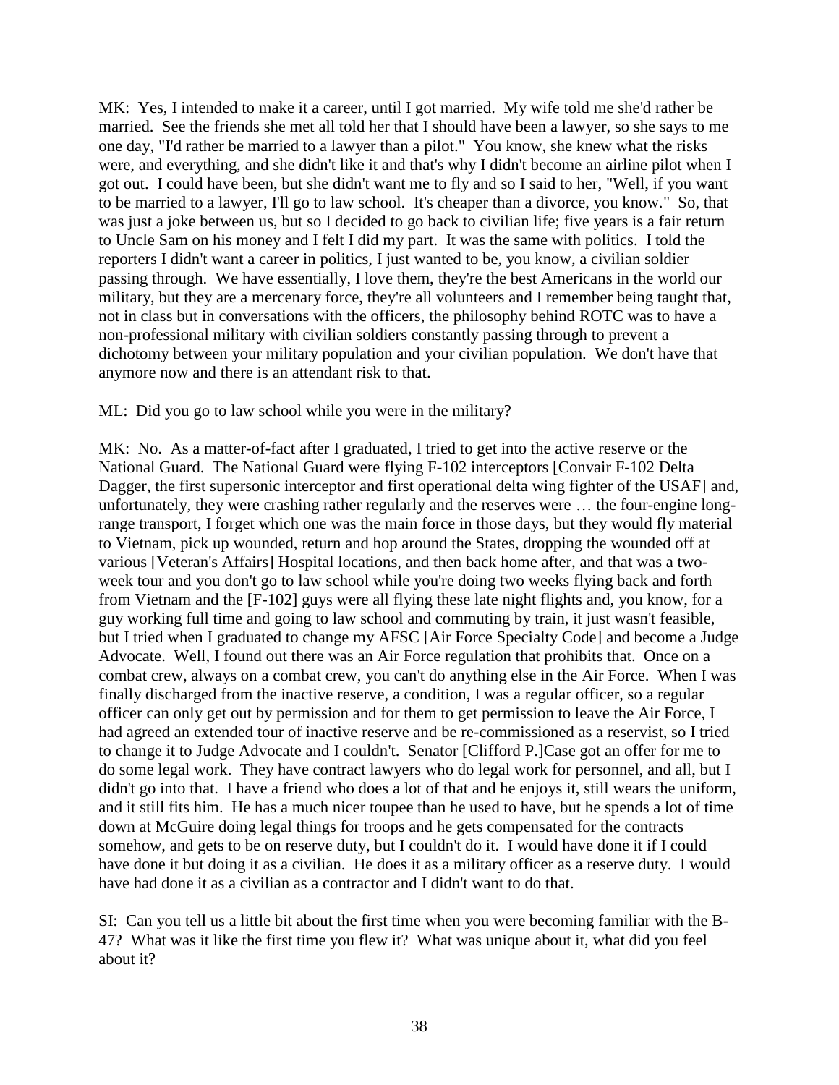MK: Yes, I intended to make it a career, until I got married. My wife told me she'd rather be married. See the friends she met all told her that I should have been a lawyer, so she says to me one day, "I'd rather be married to a lawyer than a pilot." You know, she knew what the risks were, and everything, and she didn't like it and that's why I didn't become an airline pilot when I got out. I could have been, but she didn't want me to fly and so I said to her, "Well, if you want to be married to a lawyer, I'll go to law school. It's cheaper than a divorce, you know." So, that was just a joke between us, but so I decided to go back to civilian life; five years is a fair return to Uncle Sam on his money and I felt I did my part. It was the same with politics. I told the reporters I didn't want a career in politics, I just wanted to be, you know, a civilian soldier passing through. We have essentially, I love them, they're the best Americans in the world our military, but they are a mercenary force, they're all volunteers and I remember being taught that, not in class but in conversations with the officers, the philosophy behind ROTC was to have a non-professional military with civilian soldiers constantly passing through to prevent a dichotomy between your military population and your civilian population. We don't have that anymore now and there is an attendant risk to that.

ML: Did you go to law school while you were in the military?

MK: No. As a matter-of-fact after I graduated, I tried to get into the active reserve or the National Guard. The National Guard were flying F-102 interceptors [Convair F-102 Delta Dagger, the first supersonic interceptor and first operational delta wing fighter of the USAF] and, unfortunately, they were crashing rather regularly and the reserves were … the four-engine longrange transport, I forget which one was the main force in those days, but they would fly material to Vietnam, pick up wounded, return and hop around the States, dropping the wounded off at various [Veteran's Affairs] Hospital locations, and then back home after, and that was a twoweek tour and you don't go to law school while you're doing two weeks flying back and forth from Vietnam and the [F-102] guys were all flying these late night flights and, you know, for a guy working full time and going to law school and commuting by train, it just wasn't feasible, but I tried when I graduated to change my AFSC [Air Force Specialty Code] and become a Judge Advocate. Well, I found out there was an Air Force regulation that prohibits that. Once on a combat crew, always on a combat crew, you can't do anything else in the Air Force. When I was finally discharged from the inactive reserve, a condition, I was a regular officer, so a regular officer can only get out by permission and for them to get permission to leave the Air Force, I had agreed an extended tour of inactive reserve and be re-commissioned as a reservist, so I tried to change it to Judge Advocate and I couldn't. Senator [Clifford P.]Case got an offer for me to do some legal work. They have contract lawyers who do legal work for personnel, and all, but I didn't go into that. I have a friend who does a lot of that and he enjoys it, still wears the uniform, and it still fits him. He has a much nicer toupee than he used to have, but he spends a lot of time down at McGuire doing legal things for troops and he gets compensated for the contracts somehow, and gets to be on reserve duty, but I couldn't do it. I would have done it if I could have done it but doing it as a civilian. He does it as a military officer as a reserve duty. I would have had done it as a civilian as a contractor and I didn't want to do that.

SI: Can you tell us a little bit about the first time when you were becoming familiar with the B-47? What was it like the first time you flew it? What was unique about it, what did you feel about it?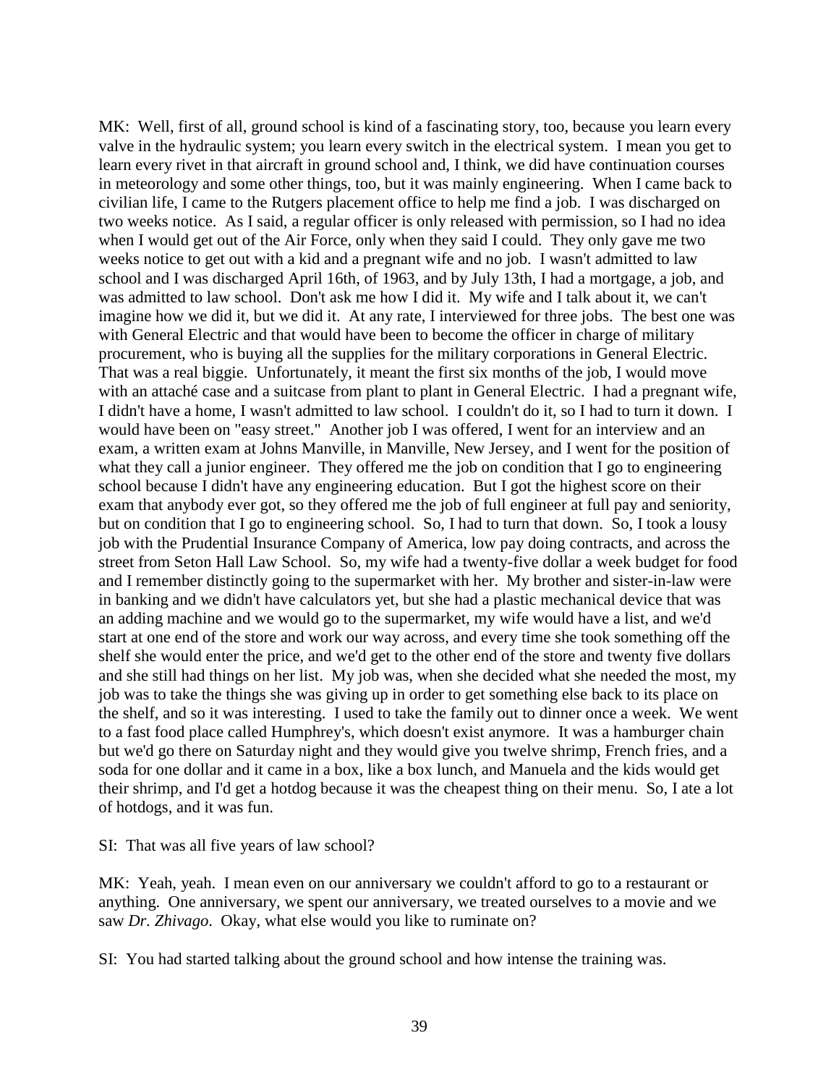MK: Well, first of all, ground school is kind of a fascinating story, too, because you learn every valve in the hydraulic system; you learn every switch in the electrical system. I mean you get to learn every rivet in that aircraft in ground school and, I think, we did have continuation courses in meteorology and some other things, too, but it was mainly engineering. When I came back to civilian life, I came to the Rutgers placement office to help me find a job. I was discharged on two weeks notice. As I said, a regular officer is only released with permission, so I had no idea when I would get out of the Air Force, only when they said I could. They only gave me two weeks notice to get out with a kid and a pregnant wife and no job. I wasn't admitted to law school and I was discharged April 16th, of 1963, and by July 13th, I had a mortgage, a job, and was admitted to law school. Don't ask me how I did it. My wife and I talk about it, we can't imagine how we did it, but we did it. At any rate, I interviewed for three jobs. The best one was with General Electric and that would have been to become the officer in charge of military procurement, who is buying all the supplies for the military corporations in General Electric. That was a real biggie. Unfortunately, it meant the first six months of the job, I would move with an attaché case and a suitcase from plant to plant in General Electric. I had a pregnant wife, I didn't have a home, I wasn't admitted to law school. I couldn't do it, so I had to turn it down. I would have been on "easy street." Another job I was offered, I went for an interview and an exam, a written exam at Johns Manville, in Manville, New Jersey, and I went for the position of what they call a junior engineer. They offered me the job on condition that I go to engineering school because I didn't have any engineering education. But I got the highest score on their exam that anybody ever got, so they offered me the job of full engineer at full pay and seniority, but on condition that I go to engineering school. So, I had to turn that down. So, I took a lousy job with the Prudential Insurance Company of America, low pay doing contracts, and across the street from Seton Hall Law School. So, my wife had a twenty-five dollar a week budget for food and I remember distinctly going to the supermarket with her. My brother and sister-in-law were in banking and we didn't have calculators yet, but she had a plastic mechanical device that was an adding machine and we would go to the supermarket, my wife would have a list, and we'd start at one end of the store and work our way across, and every time she took something off the shelf she would enter the price, and we'd get to the other end of the store and twenty five dollars and she still had things on her list. My job was, when she decided what she needed the most, my job was to take the things she was giving up in order to get something else back to its place on the shelf, and so it was interesting. I used to take the family out to dinner once a week. We went to a fast food place called Humphrey's, which doesn't exist anymore. It was a hamburger chain but we'd go there on Saturday night and they would give you twelve shrimp, French fries, and a soda for one dollar and it came in a box, like a box lunch, and Manuela and the kids would get their shrimp, and I'd get a hotdog because it was the cheapest thing on their menu. So, I ate a lot of hotdogs, and it was fun.

SI: That was all five years of law school?

MK: Yeah, yeah. I mean even on our anniversary we couldn't afford to go to a restaurant or anything. One anniversary, we spent our anniversary, we treated ourselves to a movie and we saw *Dr. Zhivago*. Okay, what else would you like to ruminate on?

SI: You had started talking about the ground school and how intense the training was.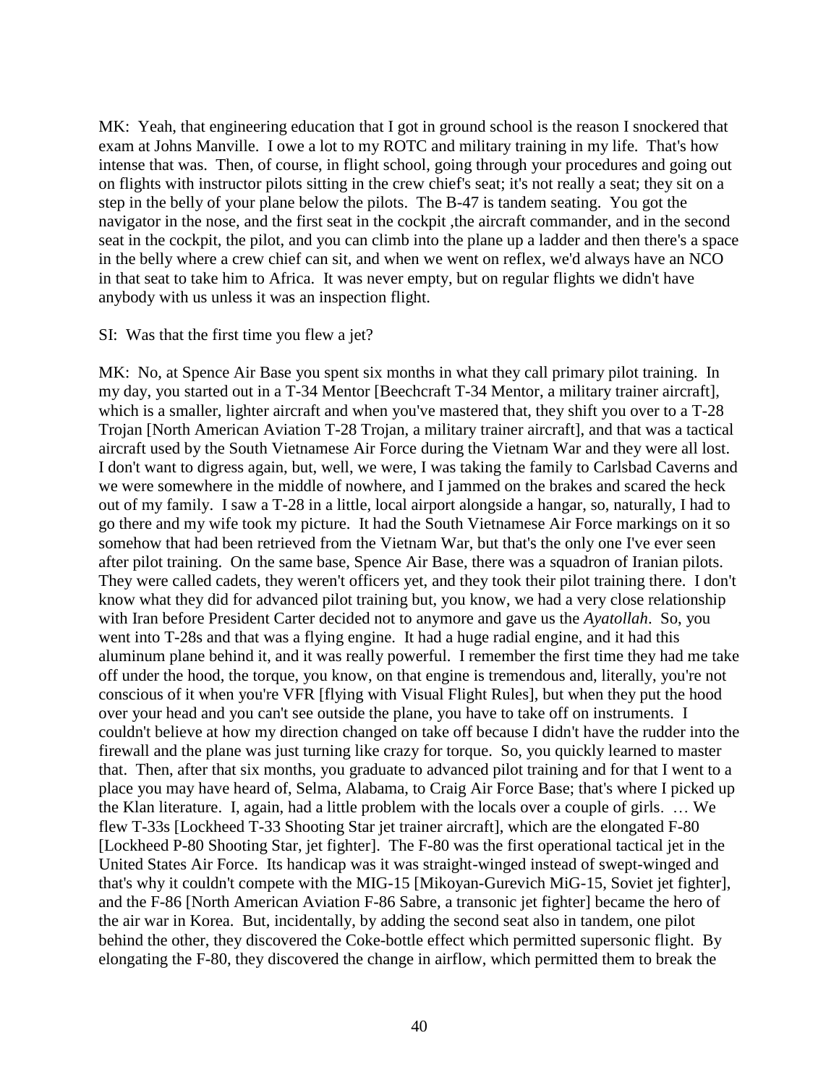MK: Yeah, that engineering education that I got in ground school is the reason I snockered that exam at Johns Manville. I owe a lot to my ROTC and military training in my life. That's how intense that was. Then, of course, in flight school, going through your procedures and going out on flights with instructor pilots sitting in the crew chief's seat; it's not really a seat; they sit on a step in the belly of your plane below the pilots. The B-47 is tandem seating. You got the navigator in the nose, and the first seat in the cockpit ,the aircraft commander, and in the second seat in the cockpit, the pilot, and you can climb into the plane up a ladder and then there's a space in the belly where a crew chief can sit, and when we went on reflex, we'd always have an NCO in that seat to take him to Africa. It was never empty, but on regular flights we didn't have anybody with us unless it was an inspection flight.

#### SI: Was that the first time you flew a jet?

MK: No, at Spence Air Base you spent six months in what they call primary pilot training. In my day, you started out in a T-34 Mentor [\[Beechcraft](http://en.wikipedia.org/wiki/Beechcraft) T-34 Mentor, a military [trainer aircraft\]](http://en.wikipedia.org/wiki/Trainer_aircraft), which is a smaller, lighter aircraft and when you've mastered that, they shift you over to a T-28 Trojan [\[North American Aviation](http://en.wikipedia.org/wiki/North_American_Aviation) T-28 Trojan, a military [trainer aircraft\]](http://en.wikipedia.org/wiki/Trainer_aircraft), and that was a tactical aircraft used by the South Vietnamese Air Force during the Vietnam War and they were all lost. I don't want to digress again, but, well, we were, I was taking the family to Carlsbad Caverns and we were somewhere in the middle of nowhere, and I jammed on the brakes and scared the heck out of my family. I saw a T-28 in a little, local airport alongside a hangar, so, naturally, I had to go there and my wife took my picture. It had the South Vietnamese Air Force markings on it so somehow that had been retrieved from the Vietnam War, but that's the only one I've ever seen after pilot training. On the same base, Spence Air Base, there was a squadron of Iranian pilots. They were called cadets, they weren't officers yet, and they took their pilot training there. I don't know what they did for advanced pilot training but, you know, we had a very close relationship with Iran before President Carter decided not to anymore and gave us the *Ayatollah*. So, you went into T-28s and that was a flying engine. It had a huge radial engine, and it had this aluminum plane behind it, and it was really powerful. I remember the first time they had me take off under the hood, the torque, you know, on that engine is tremendous and, literally, you're not conscious of it when you're VFR [flying with Visual Flight Rules], but when they put the hood over your head and you can't see outside the plane, you have to take off on instruments. I couldn't believe at how my direction changed on take off because I didn't have the rudder into the firewall and the plane was just turning like crazy for torque. So, you quickly learned to master that. Then, after that six months, you graduate to advanced pilot training and for that I went to a place you may have heard of, Selma, Alabama, to Craig Air Force Base; that's where I picked up the Klan literature. I, again, had a little problem with the locals over a couple of girls. … We flew T-33s [Lockheed T-33 Shooting Star jet trainer aircraft], which are the elongated F-80 [Lockheed P-80 Shooting Star, jet fighter]. The F-80 was the first operational tactical jet in the United States Air Force. Its handicap was it was straight-winged instead of swept-winged and that's why it couldn't compete with the MIG-15 [\[Mikoyan-Gurevich](http://en.wikipedia.org/wiki/Mikoyan) MiG-15, Soviet jet fighter], and the F-86 [\[North American Aviation](http://en.wikipedia.org/wiki/North_American_Aviation) F-86 Sabre, a [transonic](http://en.wikipedia.org/wiki/Transonic) jet [fighter\]](http://en.wikipedia.org/wiki/Fighter_aircraft) became the hero of the air war in Korea. But, incidentally, by adding the second seat also in tandem, one pilot behind the other, they discovered the Coke-bottle effect which permitted supersonic flight. By elongating the F-80, they discovered the change in airflow, which permitted them to break the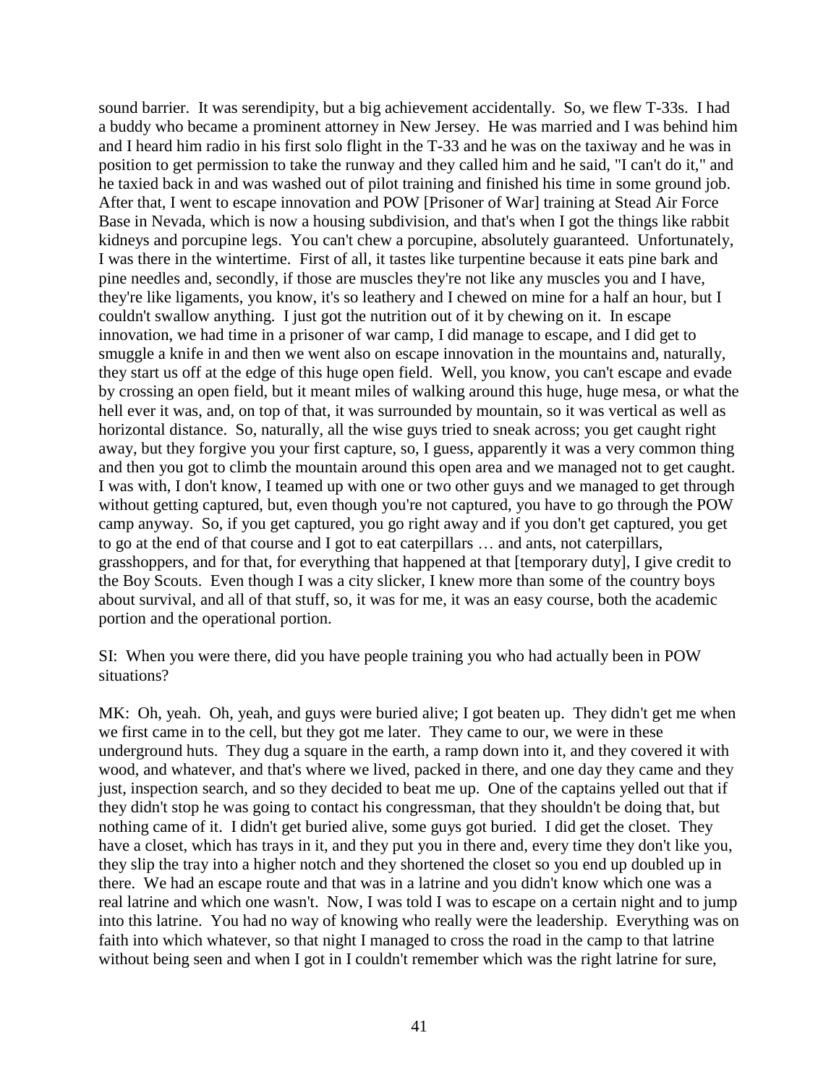sound barrier. It was serendipity, but a big achievement accidentally. So, we flew T-33s. I had a buddy who became a prominent attorney in New Jersey. He was married and I was behind him and I heard him radio in his first solo flight in the T-33 and he was on the taxiway and he was in position to get permission to take the runway and they called him and he said, "I can't do it," and he taxied back in and was washed out of pilot training and finished his time in some ground job. After that, I went to escape innovation and POW [Prisoner of War] training at Stead Air Force Base in Nevada, which is now a housing subdivision, and that's when I got the things like rabbit kidneys and porcupine legs. You can't chew a porcupine, absolutely guaranteed. Unfortunately, I was there in the wintertime. First of all, it tastes like turpentine because it eats pine bark and pine needles and, secondly, if those are muscles they're not like any muscles you and I have, they're like ligaments, you know, it's so leathery and I chewed on mine for a half an hour, but I couldn't swallow anything. I just got the nutrition out of it by chewing on it. In escape innovation, we had time in a prisoner of war camp, I did manage to escape, and I did get to smuggle a knife in and then we went also on escape innovation in the mountains and, naturally, they start us off at the edge of this huge open field. Well, you know, you can't escape and evade by crossing an open field, but it meant miles of walking around this huge, huge mesa, or what the hell ever it was, and, on top of that, it was surrounded by mountain, so it was vertical as well as horizontal distance. So, naturally, all the wise guys tried to sneak across; you get caught right away, but they forgive you your first capture, so, I guess, apparently it was a very common thing and then you got to climb the mountain around this open area and we managed not to get caught. I was with, I don't know, I teamed up with one or two other guys and we managed to get through without getting captured, but, even though you're not captured, you have to go through the POW camp anyway. So, if you get captured, you go right away and if you don't get captured, you get to go at the end of that course and I got to eat caterpillars … and ants, not caterpillars, grasshoppers, and for that, for everything that happened at that [temporary duty], I give credit to the Boy Scouts. Even though I was a city slicker, I knew more than some of the country boys about survival, and all of that stuff, so, it was for me, it was an easy course, both the academic portion and the operational portion.

SI: When you were there, did you have people training you who had actually been in POW situations?

MK: Oh, yeah. Oh, yeah, and guys were buried alive; I got beaten up. They didn't get me when we first came in to the cell, but they got me later. They came to our, we were in these underground huts. They dug a square in the earth, a ramp down into it, and they covered it with wood, and whatever, and that's where we lived, packed in there, and one day they came and they just, inspection search, and so they decided to beat me up. One of the captains yelled out that if they didn't stop he was going to contact his congressman, that they shouldn't be doing that, but nothing came of it. I didn't get buried alive, some guys got buried. I did get the closet. They have a closet, which has trays in it, and they put you in there and, every time they don't like you, they slip the tray into a higher notch and they shortened the closet so you end up doubled up in there. We had an escape route and that was in a latrine and you didn't know which one was a real latrine and which one wasn't. Now, I was told I was to escape on a certain night and to jump into this latrine. You had no way of knowing who really were the leadership. Everything was on faith into which whatever, so that night I managed to cross the road in the camp to that latrine without being seen and when I got in I couldn't remember which was the right latrine for sure,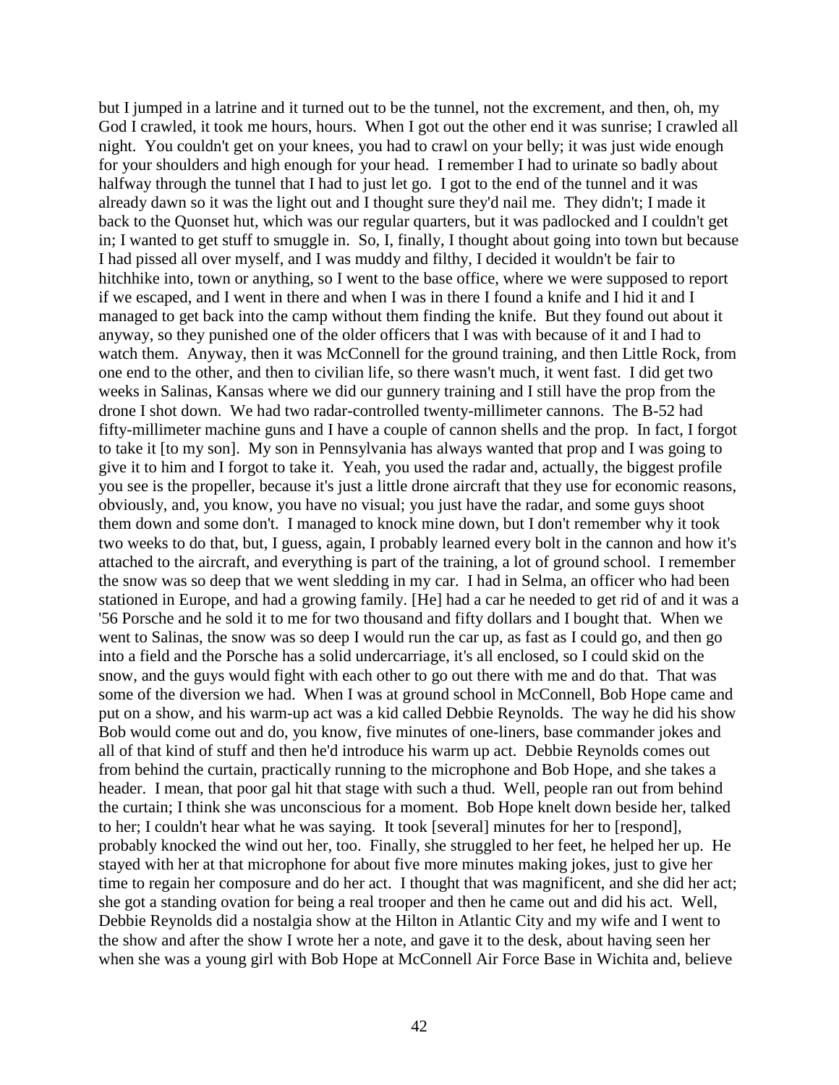but I jumped in a latrine and it turned out to be the tunnel, not the excrement, and then, oh, my God I crawled, it took me hours, hours. When I got out the other end it was sunrise; I crawled all night. You couldn't get on your knees, you had to crawl on your belly; it was just wide enough for your shoulders and high enough for your head. I remember I had to urinate so badly about halfway through the tunnel that I had to just let go. I got to the end of the tunnel and it was already dawn so it was the light out and I thought sure they'd nail me. They didn't; I made it back to the Quonset hut, which was our regular quarters, but it was padlocked and I couldn't get in; I wanted to get stuff to smuggle in. So, I, finally, I thought about going into town but because I had pissed all over myself, and I was muddy and filthy, I decided it wouldn't be fair to hitchhike into, town or anything, so I went to the base office, where we were supposed to report if we escaped, and I went in there and when I was in there I found a knife and I hid it and I managed to get back into the camp without them finding the knife. But they found out about it anyway, so they punished one of the older officers that I was with because of it and I had to watch them. Anyway, then it was McConnell for the ground training, and then Little Rock, from one end to the other, and then to civilian life, so there wasn't much, it went fast. I did get two weeks in Salinas, Kansas where we did our gunnery training and I still have the prop from the drone I shot down. We had two radar-controlled twenty-millimeter cannons. The B-52 had fifty-millimeter machine guns and I have a couple of cannon shells and the prop. In fact, I forgot to take it [to my son]. My son in Pennsylvania has always wanted that prop and I was going to give it to him and I forgot to take it. Yeah, you used the radar and, actually, the biggest profile you see is the propeller, because it's just a little drone aircraft that they use for economic reasons, obviously, and, you know, you have no visual; you just have the radar, and some guys shoot them down and some don't. I managed to knock mine down, but I don't remember why it took two weeks to do that, but, I guess, again, I probably learned every bolt in the cannon and how it's attached to the aircraft, and everything is part of the training, a lot of ground school. I remember the snow was so deep that we went sledding in my car. I had in Selma, an officer who had been stationed in Europe, and had a growing family. [He] had a car he needed to get rid of and it was a '56 Porsche and he sold it to me for two thousand and fifty dollars and I bought that. When we went to Salinas, the snow was so deep I would run the car up, as fast as I could go, and then go into a field and the Porsche has a solid undercarriage, it's all enclosed, so I could skid on the snow, and the guys would fight with each other to go out there with me and do that. That was some of the diversion we had. When I was at ground school in McConnell, Bob Hope came and put on a show, and his warm-up act was a kid called Debbie Reynolds. The way he did his show Bob would come out and do, you know, five minutes of one-liners, base commander jokes and all of that kind of stuff and then he'd introduce his warm up act. Debbie Reynolds comes out from behind the curtain, practically running to the microphone and Bob Hope, and she takes a header. I mean, that poor gal hit that stage with such a thud. Well, people ran out from behind the curtain; I think she was unconscious for a moment. Bob Hope knelt down beside her, talked to her; I couldn't hear what he was saying. It took [several] minutes for her to [respond], probably knocked the wind out her, too. Finally, she struggled to her feet, he helped her up. He stayed with her at that microphone for about five more minutes making jokes, just to give her time to regain her composure and do her act. I thought that was magnificent, and she did her act; she got a standing ovation for being a real trooper and then he came out and did his act. Well, Debbie Reynolds did a nostalgia show at the Hilton in Atlantic City and my wife and I went to the show and after the show I wrote her a note, and gave it to the desk, about having seen her when she was a young girl with Bob Hope at McConnell Air Force Base in Wichita and, believe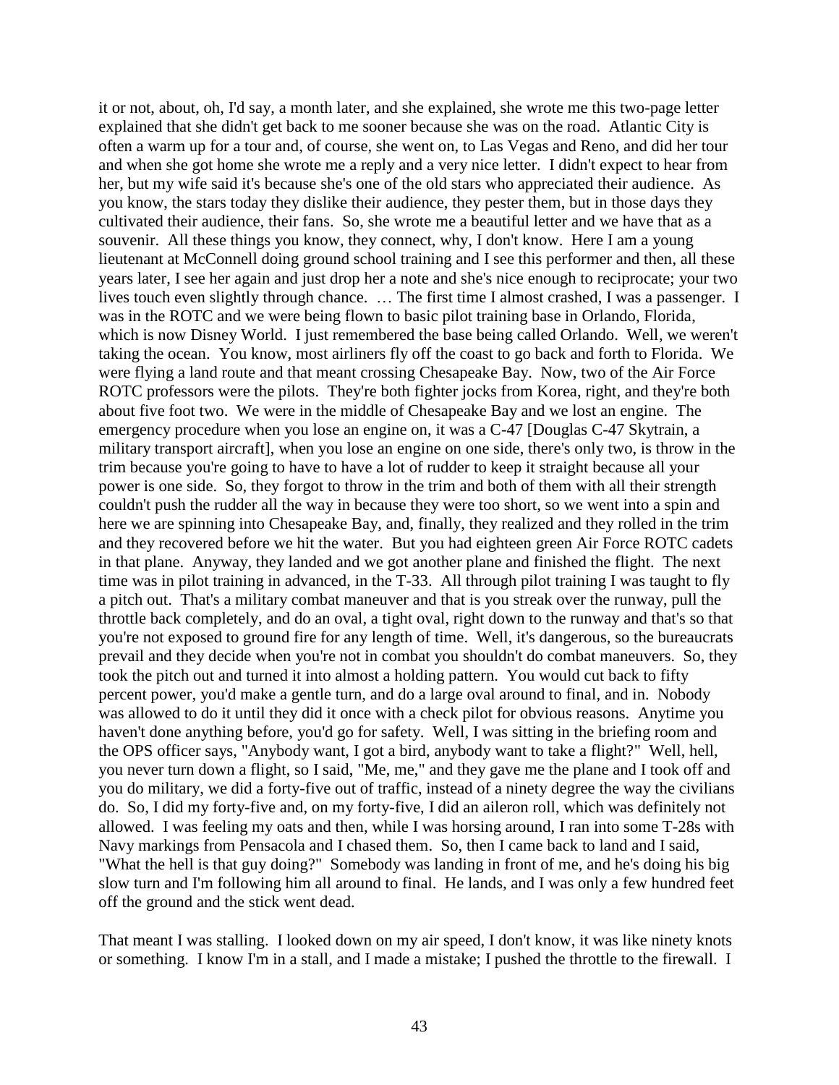it or not, about, oh, I'd say, a month later, and she explained, she wrote me this two-page letter explained that she didn't get back to me sooner because she was on the road. Atlantic City is often a warm up for a tour and, of course, she went on, to Las Vegas and Reno, and did her tour and when she got home she wrote me a reply and a very nice letter. I didn't expect to hear from her, but my wife said it's because she's one of the old stars who appreciated their audience. As you know, the stars today they dislike their audience, they pester them, but in those days they cultivated their audience, their fans. So, she wrote me a beautiful letter and we have that as a souvenir. All these things you know, they connect, why, I don't know. Here I am a young lieutenant at McConnell doing ground school training and I see this performer and then, all these years later, I see her again and just drop her a note and she's nice enough to reciprocate; your two lives touch even slightly through chance. … The first time I almost crashed, I was a passenger. I was in the ROTC and we were being flown to basic pilot training base in Orlando, Florida, which is now Disney World. I just remembered the base being called Orlando. Well, we weren't taking the ocean. You know, most airliners fly off the coast to go back and forth to Florida. We were flying a land route and that meant crossing Chesapeake Bay. Now, two of the Air Force ROTC professors were the pilots. They're both fighter jocks from Korea, right, and they're both about five foot two. We were in the middle of Chesapeake Bay and we lost an engine. The emergency procedure when you lose an engine on, it was a C-47 [Douglas C-47 Skytrain, a military transport aircraft], when you lose an engine on one side, there's only two, is throw in the trim because you're going to have to have a lot of rudder to keep it straight because all your power is one side. So, they forgot to throw in the trim and both of them with all their strength couldn't push the rudder all the way in because they were too short, so we went into a spin and here we are spinning into Chesapeake Bay, and, finally, they realized and they rolled in the trim and they recovered before we hit the water. But you had eighteen green Air Force ROTC cadets in that plane. Anyway, they landed and we got another plane and finished the flight. The next time was in pilot training in advanced, in the T-33. All through pilot training I was taught to fly a pitch out. That's a military combat maneuver and that is you streak over the runway, pull the throttle back completely, and do an oval, a tight oval, right down to the runway and that's so that you're not exposed to ground fire for any length of time. Well, it's dangerous, so the bureaucrats prevail and they decide when you're not in combat you shouldn't do combat maneuvers. So, they took the pitch out and turned it into almost a holding pattern. You would cut back to fifty percent power, you'd make a gentle turn, and do a large oval around to final, and in. Nobody was allowed to do it until they did it once with a check pilot for obvious reasons. Anytime you haven't done anything before, you'd go for safety. Well, I was sitting in the briefing room and the OPS officer says, "Anybody want, I got a bird, anybody want to take a flight?" Well, hell, you never turn down a flight, so I said, "Me, me," and they gave me the plane and I took off and you do military, we did a forty-five out of traffic, instead of a ninety degree the way the civilians do. So, I did my forty-five and, on my forty-five, I did an aileron roll, which was definitely not allowed. I was feeling my oats and then, while I was horsing around, I ran into some T-28s with Navy markings from Pensacola and I chased them. So, then I came back to land and I said, "What the hell is that guy doing?" Somebody was landing in front of me, and he's doing his big slow turn and I'm following him all around to final. He lands, and I was only a few hundred feet off the ground and the stick went dead.

That meant I was stalling. I looked down on my air speed, I don't know, it was like ninety knots or something. I know I'm in a stall, and I made a mistake; I pushed the throttle to the firewall. I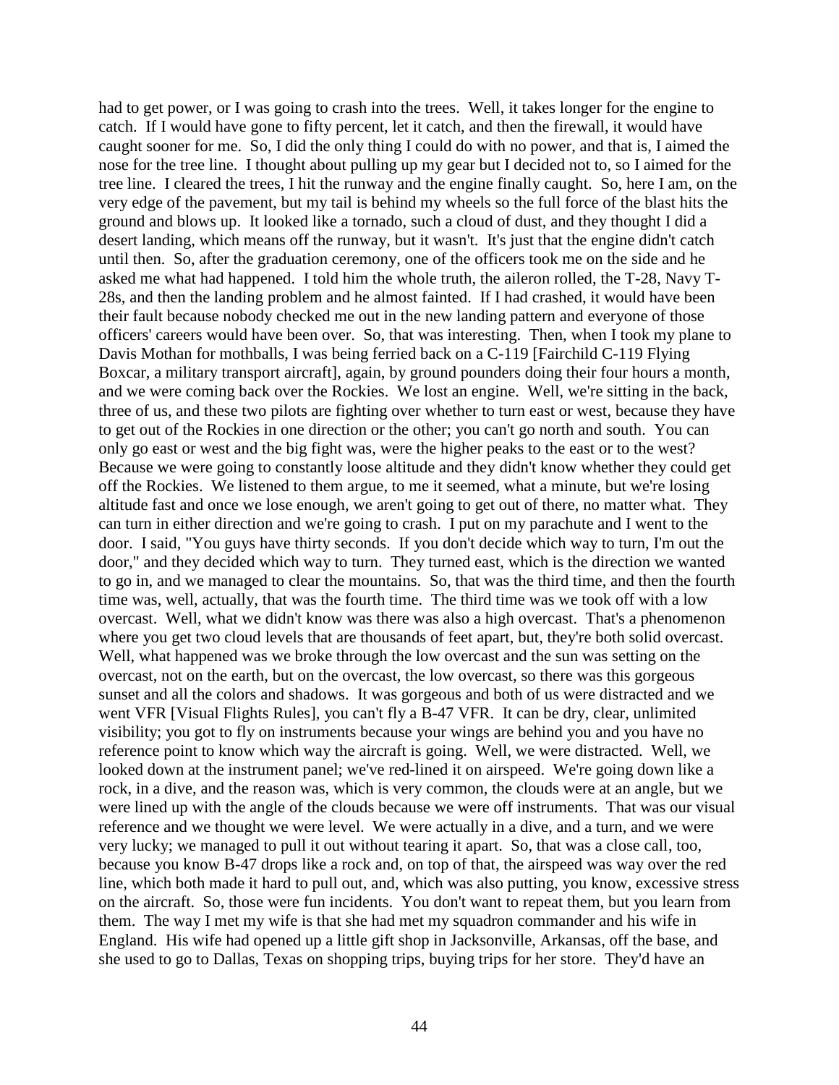had to get power, or I was going to crash into the trees. Well, it takes longer for the engine to catch. If I would have gone to fifty percent, let it catch, and then the firewall, it would have caught sooner for me. So, I did the only thing I could do with no power, and that is, I aimed the nose for the tree line. I thought about pulling up my gear but I decided not to, so I aimed for the tree line. I cleared the trees, I hit the runway and the engine finally caught. So, here I am, on the very edge of the pavement, but my tail is behind my wheels so the full force of the blast hits the ground and blows up. It looked like a tornado, such a cloud of dust, and they thought I did a desert landing, which means off the runway, but it wasn't. It's just that the engine didn't catch until then. So, after the graduation ceremony, one of the officers took me on the side and he asked me what had happened. I told him the whole truth, the aileron rolled, the T-28, Navy T-28s, and then the landing problem and he almost fainted. If I had crashed, it would have been their fault because nobody checked me out in the new landing pattern and everyone of those officers' careers would have been over. So, that was interesting. Then, when I took my plane to Davis Mothan for mothballs, I was being ferried back on a C-119 [Fairchild C-119 Flying Boxcar, a military transport aircraft], again, by ground pounders doing their four hours a month, and we were coming back over the Rockies. We lost an engine. Well, we're sitting in the back, three of us, and these two pilots are fighting over whether to turn east or west, because they have to get out of the Rockies in one direction or the other; you can't go north and south. You can only go east or west and the big fight was, were the higher peaks to the east or to the west? Because we were going to constantly loose altitude and they didn't know whether they could get off the Rockies. We listened to them argue, to me it seemed, what a minute, but we're losing altitude fast and once we lose enough, we aren't going to get out of there, no matter what. They can turn in either direction and we're going to crash. I put on my parachute and I went to the door. I said, "You guys have thirty seconds. If you don't decide which way to turn, I'm out the door," and they decided which way to turn. They turned east, which is the direction we wanted to go in, and we managed to clear the mountains. So, that was the third time, and then the fourth time was, well, actually, that was the fourth time. The third time was we took off with a low overcast. Well, what we didn't know was there was also a high overcast. That's a phenomenon where you get two cloud levels that are thousands of feet apart, but, they're both solid overcast. Well, what happened was we broke through the low overcast and the sun was setting on the overcast, not on the earth, but on the overcast, the low overcast, so there was this gorgeous sunset and all the colors and shadows. It was gorgeous and both of us were distracted and we went VFR [Visual Flights Rules], you can't fly a B-47 VFR. It can be dry, clear, unlimited visibility; you got to fly on instruments because your wings are behind you and you have no reference point to know which way the aircraft is going. Well, we were distracted. Well, we looked down at the instrument panel; we've red-lined it on airspeed. We're going down like a rock, in a dive, and the reason was, which is very common, the clouds were at an angle, but we were lined up with the angle of the clouds because we were off instruments. That was our visual reference and we thought we were level. We were actually in a dive, and a turn, and we were very lucky; we managed to pull it out without tearing it apart. So, that was a close call, too, because you know B-47 drops like a rock and, on top of that, the airspeed was way over the red line, which both made it hard to pull out, and, which was also putting, you know, excessive stress on the aircraft. So, those were fun incidents. You don't want to repeat them, but you learn from them. The way I met my wife is that she had met my squadron commander and his wife in England. His wife had opened up a little gift shop in Jacksonville, Arkansas, off the base, and she used to go to Dallas, Texas on shopping trips, buying trips for her store. They'd have an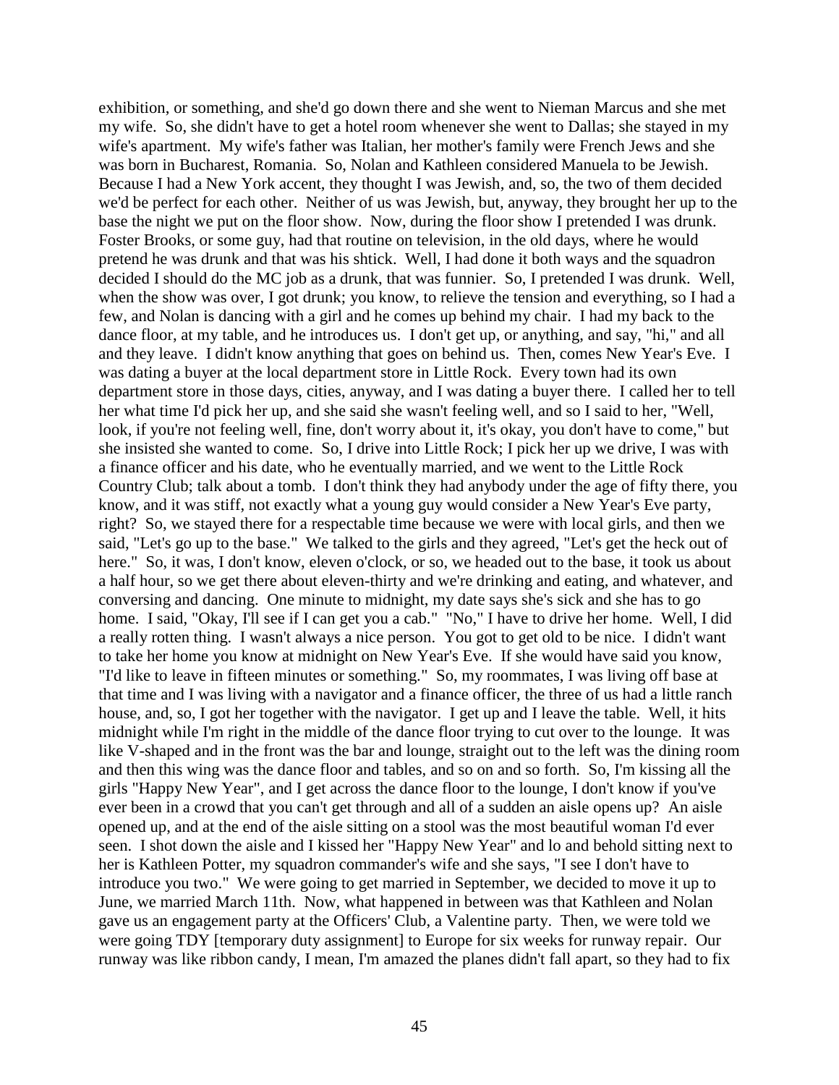exhibition, or something, and she'd go down there and she went to Nieman Marcus and she met my wife. So, she didn't have to get a hotel room whenever she went to Dallas; she stayed in my wife's apartment. My wife's father was Italian, her mother's family were French Jews and she was born in Bucharest, Romania. So, Nolan and Kathleen considered Manuela to be Jewish. Because I had a New York accent, they thought I was Jewish, and, so, the two of them decided we'd be perfect for each other. Neither of us was Jewish, but, anyway, they brought her up to the base the night we put on the floor show. Now, during the floor show I pretended I was drunk. Foster Brooks, or some guy, had that routine on television, in the old days, where he would pretend he was drunk and that was his shtick. Well, I had done it both ways and the squadron decided I should do the MC job as a drunk, that was funnier. So, I pretended I was drunk. Well, when the show was over, I got drunk; you know, to relieve the tension and everything, so I had a few, and Nolan is dancing with a girl and he comes up behind my chair. I had my back to the dance floor, at my table, and he introduces us. I don't get up, or anything, and say, "hi," and all and they leave. I didn't know anything that goes on behind us. Then, comes New Year's Eve. I was dating a buyer at the local department store in Little Rock. Every town had its own department store in those days, cities, anyway, and I was dating a buyer there. I called her to tell her what time I'd pick her up, and she said she wasn't feeling well, and so I said to her, "Well, look, if you're not feeling well, fine, don't worry about it, it's okay, you don't have to come," but she insisted she wanted to come. So, I drive into Little Rock; I pick her up we drive, I was with a finance officer and his date, who he eventually married, and we went to the Little Rock Country Club; talk about a tomb. I don't think they had anybody under the age of fifty there, you know, and it was stiff, not exactly what a young guy would consider a New Year's Eve party, right? So, we stayed there for a respectable time because we were with local girls, and then we said, "Let's go up to the base." We talked to the girls and they agreed, "Let's get the heck out of here." So, it was, I don't know, eleven o'clock, or so, we headed out to the base, it took us about a half hour, so we get there about eleven-thirty and we're drinking and eating, and whatever, and conversing and dancing. One minute to midnight, my date says she's sick and she has to go home. I said, "Okay, I'll see if I can get you a cab." "No," I have to drive her home. Well, I did a really rotten thing. I wasn't always a nice person. You got to get old to be nice. I didn't want to take her home you know at midnight on New Year's Eve. If she would have said you know, "I'd like to leave in fifteen minutes or something." So, my roommates, I was living off base at that time and I was living with a navigator and a finance officer, the three of us had a little ranch house, and, so, I got her together with the navigator. I get up and I leave the table. Well, it hits midnight while I'm right in the middle of the dance floor trying to cut over to the lounge. It was like V-shaped and in the front was the bar and lounge, straight out to the left was the dining room and then this wing was the dance floor and tables, and so on and so forth. So, I'm kissing all the girls "Happy New Year", and I get across the dance floor to the lounge, I don't know if you've ever been in a crowd that you can't get through and all of a sudden an aisle opens up? An aisle opened up, and at the end of the aisle sitting on a stool was the most beautiful woman I'd ever seen. I shot down the aisle and I kissed her "Happy New Year" and lo and behold sitting next to her is Kathleen Potter, my squadron commander's wife and she says, "I see I don't have to introduce you two." We were going to get married in September, we decided to move it up to June, we married March 11th. Now, what happened in between was that Kathleen and Nolan gave us an engagement party at the Officers' Club, a Valentine party. Then, we were told we were going TDY [temporary duty assignment] to Europe for six weeks for runway repair. Our runway was like ribbon candy, I mean, I'm amazed the planes didn't fall apart, so they had to fix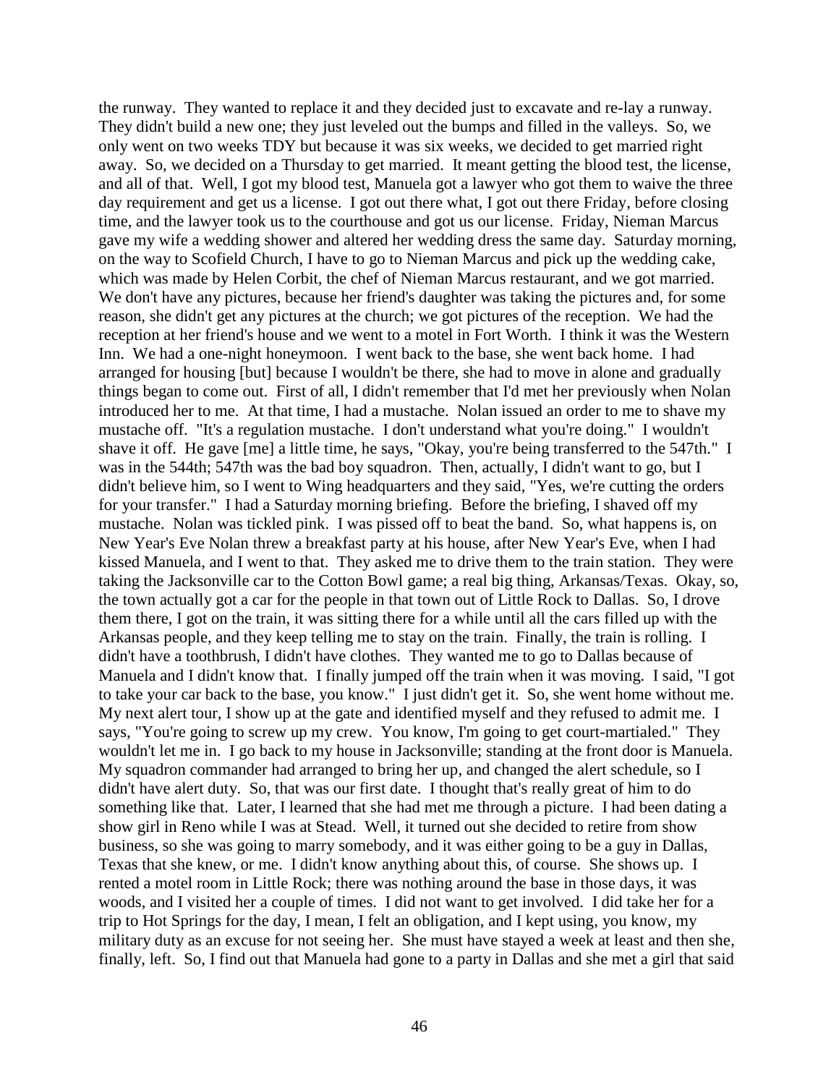the runway. They wanted to replace it and they decided just to excavate and re-lay a runway. They didn't build a new one; they just leveled out the bumps and filled in the valleys. So, we only went on two weeks TDY but because it was six weeks, we decided to get married right away. So, we decided on a Thursday to get married. It meant getting the blood test, the license, and all of that. Well, I got my blood test, Manuela got a lawyer who got them to waive the three day requirement and get us a license. I got out there what, I got out there Friday, before closing time, and the lawyer took us to the courthouse and got us our license. Friday, Nieman Marcus gave my wife a wedding shower and altered her wedding dress the same day. Saturday morning, on the way to Scofield Church, I have to go to Nieman Marcus and pick up the wedding cake, which was made by Helen Corbit, the chef of Nieman Marcus restaurant, and we got married. We don't have any pictures, because her friend's daughter was taking the pictures and, for some reason, she didn't get any pictures at the church; we got pictures of the reception. We had the reception at her friend's house and we went to a motel in Fort Worth. I think it was the Western Inn. We had a one-night honeymoon. I went back to the base, she went back home. I had arranged for housing [but] because I wouldn't be there, she had to move in alone and gradually things began to come out. First of all, I didn't remember that I'd met her previously when Nolan introduced her to me. At that time, I had a mustache. Nolan issued an order to me to shave my mustache off. "It's a regulation mustache. I don't understand what you're doing." I wouldn't shave it off. He gave [me] a little time, he says, "Okay, you're being transferred to the 547th." I was in the 544th; 547th was the bad boy squadron. Then, actually, I didn't want to go, but I didn't believe him, so I went to Wing headquarters and they said, "Yes, we're cutting the orders for your transfer." I had a Saturday morning briefing. Before the briefing, I shaved off my mustache. Nolan was tickled pink. I was pissed off to beat the band. So, what happens is, on New Year's Eve Nolan threw a breakfast party at his house, after New Year's Eve, when I had kissed Manuela, and I went to that. They asked me to drive them to the train station. They were taking the Jacksonville car to the Cotton Bowl game; a real big thing, Arkansas/Texas. Okay, so, the town actually got a car for the people in that town out of Little Rock to Dallas. So, I drove them there, I got on the train, it was sitting there for a while until all the cars filled up with the Arkansas people, and they keep telling me to stay on the train. Finally, the train is rolling. I didn't have a toothbrush, I didn't have clothes. They wanted me to go to Dallas because of Manuela and I didn't know that. I finally jumped off the train when it was moving. I said, "I got to take your car back to the base, you know." I just didn't get it. So, she went home without me. My next alert tour, I show up at the gate and identified myself and they refused to admit me. I says, "You're going to screw up my crew. You know, I'm going to get court-martialed." They wouldn't let me in. I go back to my house in Jacksonville; standing at the front door is Manuela. My squadron commander had arranged to bring her up, and changed the alert schedule, so I didn't have alert duty. So, that was our first date. I thought that's really great of him to do something like that. Later, I learned that she had met me through a picture. I had been dating a show girl in Reno while I was at Stead. Well, it turned out she decided to retire from show business, so she was going to marry somebody, and it was either going to be a guy in Dallas, Texas that she knew, or me. I didn't know anything about this, of course. She shows up. I rented a motel room in Little Rock; there was nothing around the base in those days, it was woods, and I visited her a couple of times. I did not want to get involved. I did take her for a trip to Hot Springs for the day, I mean, I felt an obligation, and I kept using, you know, my military duty as an excuse for not seeing her. She must have stayed a week at least and then she, finally, left. So, I find out that Manuela had gone to a party in Dallas and she met a girl that said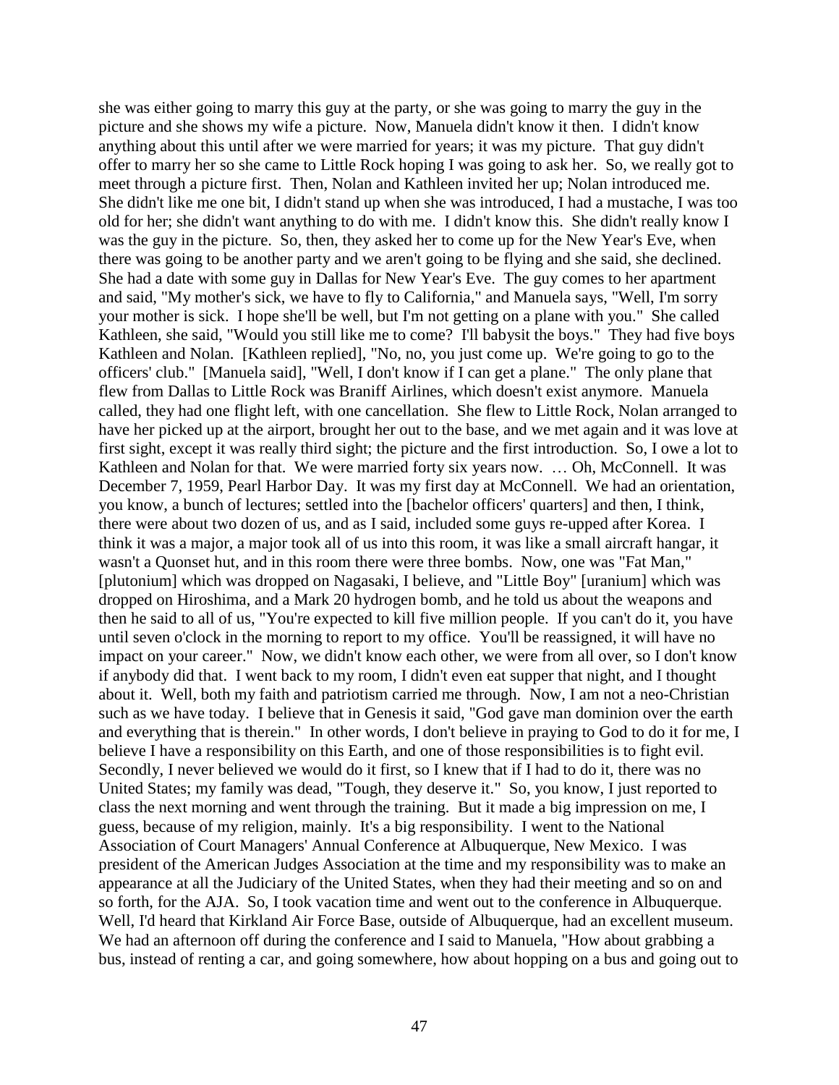she was either going to marry this guy at the party, or she was going to marry the guy in the picture and she shows my wife a picture. Now, Manuela didn't know it then. I didn't know anything about this until after we were married for years; it was my picture. That guy didn't offer to marry her so she came to Little Rock hoping I was going to ask her. So, we really got to meet through a picture first. Then, Nolan and Kathleen invited her up; Nolan introduced me. She didn't like me one bit, I didn't stand up when she was introduced, I had a mustache, I was too old for her; she didn't want anything to do with me. I didn't know this. She didn't really know I was the guy in the picture. So, then, they asked her to come up for the New Year's Eve, when there was going to be another party and we aren't going to be flying and she said, she declined. She had a date with some guy in Dallas for New Year's Eve. The guy comes to her apartment and said, "My mother's sick, we have to fly to California," and Manuela says, "Well, I'm sorry your mother is sick. I hope she'll be well, but I'm not getting on a plane with you." She called Kathleen, she said, "Would you still like me to come? I'll babysit the boys." They had five boys Kathleen and Nolan. [Kathleen replied], "No, no, you just come up. We're going to go to the officers' club." [Manuela said], "Well, I don't know if I can get a plane." The only plane that flew from Dallas to Little Rock was Braniff Airlines, which doesn't exist anymore. Manuela called, they had one flight left, with one cancellation. She flew to Little Rock, Nolan arranged to have her picked up at the airport, brought her out to the base, and we met again and it was love at first sight, except it was really third sight; the picture and the first introduction. So, I owe a lot to Kathleen and Nolan for that. We were married forty six years now. ... Oh, McConnell. It was December 7, 1959, Pearl Harbor Day. It was my first day at McConnell. We had an orientation, you know, a bunch of lectures; settled into the [bachelor officers' quarters] and then, I think, there were about two dozen of us, and as I said, included some guys re-upped after Korea. I think it was a major, a major took all of us into this room, it was like a small aircraft hangar, it wasn't a Quonset hut, and in this room there were three bombs. Now, one was "Fat Man," [plutonium] which was dropped on Nagasaki, I believe, and "Little Boy" [uranium] which was dropped on Hiroshima, and a Mark 20 hydrogen bomb, and he told us about the weapons and then he said to all of us, "You're expected to kill five million people. If you can't do it, you have until seven o'clock in the morning to report to my office. You'll be reassigned, it will have no impact on your career." Now, we didn't know each other, we were from all over, so I don't know if anybody did that. I went back to my room, I didn't even eat supper that night, and I thought about it. Well, both my faith and patriotism carried me through. Now, I am not a neo-Christian such as we have today. I believe that in Genesis it said, "God gave man dominion over the earth and everything that is therein." In other words, I don't believe in praying to God to do it for me, I believe I have a responsibility on this Earth, and one of those responsibilities is to fight evil. Secondly, I never believed we would do it first, so I knew that if I had to do it, there was no United States; my family was dead, "Tough, they deserve it." So, you know, I just reported to class the next morning and went through the training. But it made a big impression on me, I guess, because of my religion, mainly. It's a big responsibility. I went to the National Association of Court Managers' Annual Conference at Albuquerque, New Mexico. I was president of the American Judges Association at the time and my responsibility was to make an appearance at all the Judiciary of the United States, when they had their meeting and so on and so forth, for the AJA. So, I took vacation time and went out to the conference in Albuquerque. Well, I'd heard that Kirkland Air Force Base, outside of Albuquerque, had an excellent museum. We had an afternoon off during the conference and I said to Manuela, "How about grabbing a bus, instead of renting a car, and going somewhere, how about hopping on a bus and going out to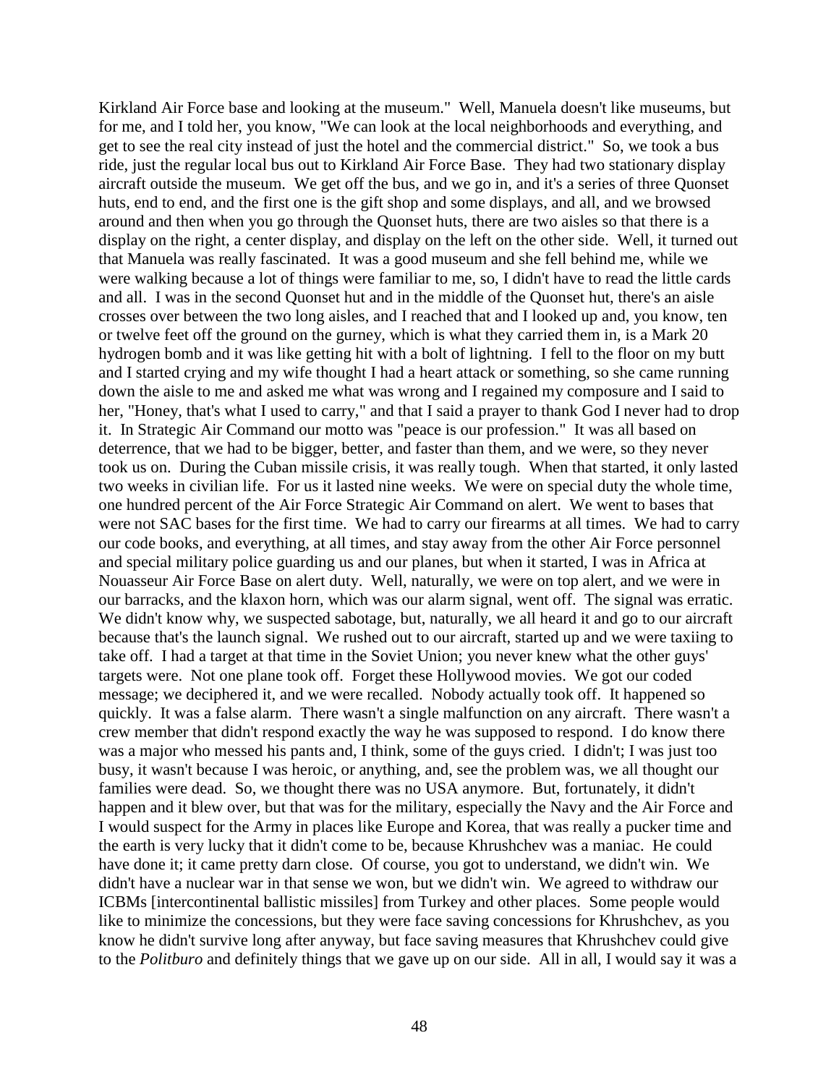Kirkland Air Force base and looking at the museum." Well, Manuela doesn't like museums, but for me, and I told her, you know, "We can look at the local neighborhoods and everything, and get to see the real city instead of just the hotel and the commercial district." So, we took a bus ride, just the regular local bus out to Kirkland Air Force Base. They had two stationary display aircraft outside the museum. We get off the bus, and we go in, and it's a series of three Quonset huts, end to end, and the first one is the gift shop and some displays, and all, and we browsed around and then when you go through the Quonset huts, there are two aisles so that there is a display on the right, a center display, and display on the left on the other side. Well, it turned out that Manuela was really fascinated. It was a good museum and she fell behind me, while we were walking because a lot of things were familiar to me, so, I didn't have to read the little cards and all. I was in the second Quonset hut and in the middle of the Quonset hut, there's an aisle crosses over between the two long aisles, and I reached that and I looked up and, you know, ten or twelve feet off the ground on the gurney, which is what they carried them in, is a Mark 20 hydrogen bomb and it was like getting hit with a bolt of lightning. I fell to the floor on my butt and I started crying and my wife thought I had a heart attack or something, so she came running down the aisle to me and asked me what was wrong and I regained my composure and I said to her, "Honey, that's what I used to carry," and that I said a prayer to thank God I never had to drop it. In Strategic Air Command our motto was "peace is our profession." It was all based on deterrence, that we had to be bigger, better, and faster than them, and we were, so they never took us on. During the Cuban missile crisis, it was really tough. When that started, it only lasted two weeks in civilian life. For us it lasted nine weeks. We were on special duty the whole time, one hundred percent of the Air Force Strategic Air Command on alert. We went to bases that were not SAC bases for the first time. We had to carry our firearms at all times. We had to carry our code books, and everything, at all times, and stay away from the other Air Force personnel and special military police guarding us and our planes, but when it started, I was in Africa at Nouasseur Air Force Base on alert duty. Well, naturally, we were on top alert, and we were in our barracks, and the klaxon horn, which was our alarm signal, went off. The signal was erratic. We didn't know why, we suspected sabotage, but, naturally, we all heard it and go to our aircraft because that's the launch signal. We rushed out to our aircraft, started up and we were taxiing to take off. I had a target at that time in the Soviet Union; you never knew what the other guys' targets were. Not one plane took off. Forget these Hollywood movies. We got our coded message; we deciphered it, and we were recalled. Nobody actually took off. It happened so quickly. It was a false alarm. There wasn't a single malfunction on any aircraft. There wasn't a crew member that didn't respond exactly the way he was supposed to respond. I do know there was a major who messed his pants and, I think, some of the guys cried. I didn't; I was just too busy, it wasn't because I was heroic, or anything, and, see the problem was, we all thought our families were dead. So, we thought there was no USA anymore. But, fortunately, it didn't happen and it blew over, but that was for the military, especially the Navy and the Air Force and I would suspect for the Army in places like Europe and Korea, that was really a pucker time and the earth is very lucky that it didn't come to be, because Khrushchev was a maniac. He could have done it; it came pretty darn close. Of course, you got to understand, we didn't win. We didn't have a nuclear war in that sense we won, but we didn't win. We agreed to withdraw our ICBMs [intercontinental ballistic missiles] from Turkey and other places. Some people would like to minimize the concessions, but they were face saving concessions for Khrushchev, as you know he didn't survive long after anyway, but face saving measures that Khrushchev could give to the *Politburo* and definitely things that we gave up on our side. All in all, I would say it was a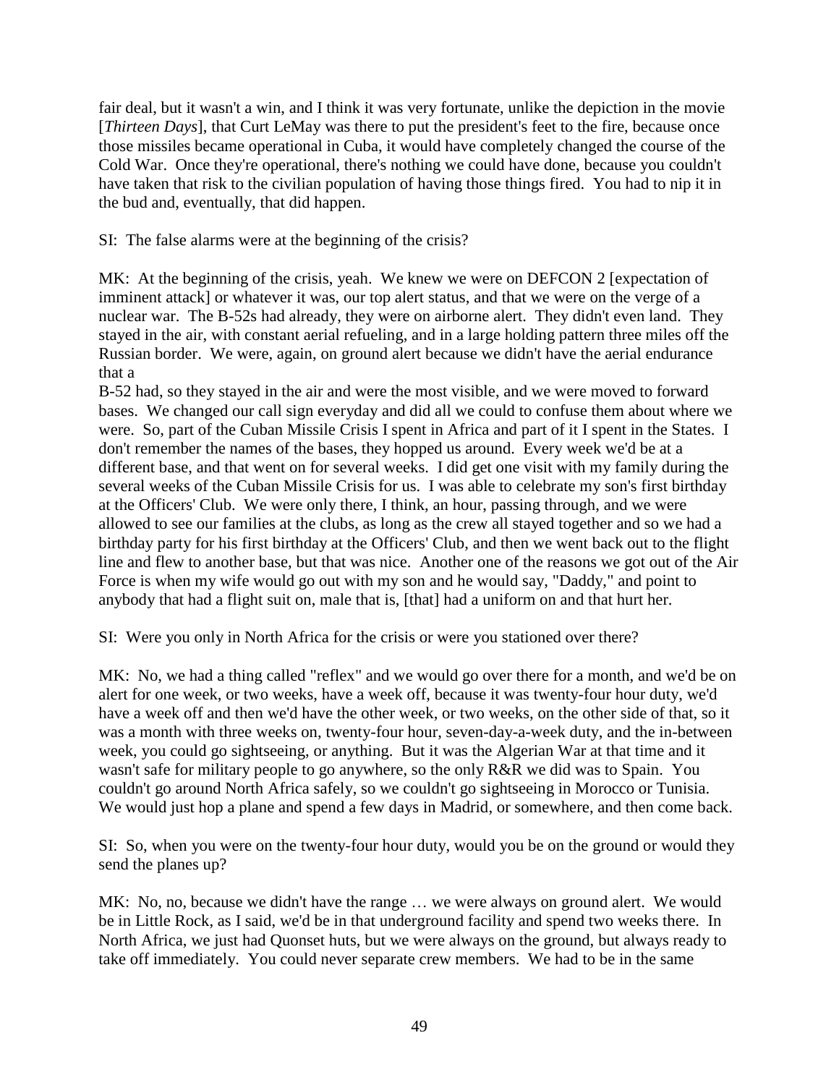fair deal, but it wasn't a win, and I think it was very fortunate, unlike the depiction in the movie [*Thirteen Days*], that Curt LeMay was there to put the president's feet to the fire, because once those missiles became operational in Cuba, it would have completely changed the course of the Cold War. Once they're operational, there's nothing we could have done, because you couldn't have taken that risk to the civilian population of having those things fired. You had to nip it in the bud and, eventually, that did happen.

SI: The false alarms were at the beginning of the crisis?

MK: At the beginning of the crisis, yeah. We knew we were on DEFCON 2 [expectation of imminent attack] or whatever it was, our top alert status, and that we were on the verge of a nuclear war. The B-52s had already, they were on airborne alert. They didn't even land. They stayed in the air, with constant aerial refueling, and in a large holding pattern three miles off the Russian border. We were, again, on ground alert because we didn't have the aerial endurance that a

B-52 had, so they stayed in the air and were the most visible, and we were moved to forward bases. We changed our call sign everyday and did all we could to confuse them about where we were. So, part of the Cuban Missile Crisis I spent in Africa and part of it I spent in the States. I don't remember the names of the bases, they hopped us around. Every week we'd be at a different base, and that went on for several weeks. I did get one visit with my family during the several weeks of the Cuban Missile Crisis for us. I was able to celebrate my son's first birthday at the Officers' Club. We were only there, I think, an hour, passing through, and we were allowed to see our families at the clubs, as long as the crew all stayed together and so we had a birthday party for his first birthday at the Officers' Club, and then we went back out to the flight line and flew to another base, but that was nice. Another one of the reasons we got out of the Air Force is when my wife would go out with my son and he would say, "Daddy," and point to anybody that had a flight suit on, male that is, [that] had a uniform on and that hurt her.

SI: Were you only in North Africa for the crisis or were you stationed over there?

MK: No, we had a thing called "reflex" and we would go over there for a month, and we'd be on alert for one week, or two weeks, have a week off, because it was twenty-four hour duty, we'd have a week off and then we'd have the other week, or two weeks, on the other side of that, so it was a month with three weeks on, twenty-four hour, seven-day-a-week duty, and the in-between week, you could go sightseeing, or anything. But it was the Algerian War at that time and it wasn't safe for military people to go anywhere, so the only R&R we did was to Spain. You couldn't go around North Africa safely, so we couldn't go sightseeing in Morocco or Tunisia. We would just hop a plane and spend a few days in Madrid, or somewhere, and then come back.

SI: So, when you were on the twenty-four hour duty, would you be on the ground or would they send the planes up?

MK: No, no, because we didn't have the range ... we were always on ground alert. We would be in Little Rock, as I said, we'd be in that underground facility and spend two weeks there. In North Africa, we just had Quonset huts, but we were always on the ground, but always ready to take off immediately. You could never separate crew members. We had to be in the same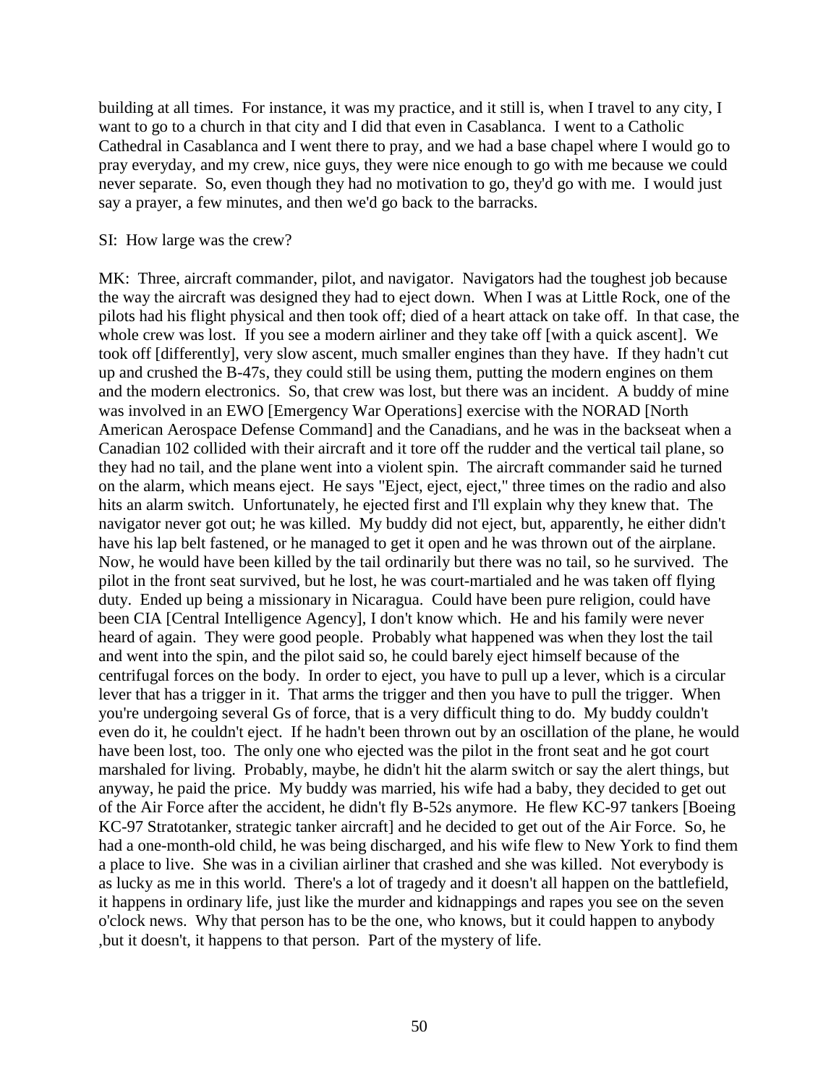building at all times. For instance, it was my practice, and it still is, when I travel to any city, I want to go to a church in that city and I did that even in Casablanca. I went to a Catholic Cathedral in Casablanca and I went there to pray, and we had a base chapel where I would go to pray everyday, and my crew, nice guys, they were nice enough to go with me because we could never separate. So, even though they had no motivation to go, they'd go with me. I would just say a prayer, a few minutes, and then we'd go back to the barracks.

#### SI: How large was the crew?

MK: Three, aircraft commander, pilot, and navigator. Navigators had the toughest job because the way the aircraft was designed they had to eject down. When I was at Little Rock, one of the pilots had his flight physical and then took off; died of a heart attack on take off. In that case, the whole crew was lost. If you see a modern airliner and they take off [with a quick ascent]. We took off [differently], very slow ascent, much smaller engines than they have. If they hadn't cut up and crushed the B-47s, they could still be using them, putting the modern engines on them and the modern electronics. So, that crew was lost, but there was an incident. A buddy of mine was involved in an EWO [Emergency War Operations] exercise with the NORAD [North American Aerospace Defense Command] and the Canadians, and he was in the backseat when a Canadian 102 collided with their aircraft and it tore off the rudder and the vertical tail plane, so they had no tail, and the plane went into a violent spin. The aircraft commander said he turned on the alarm, which means eject. He says "Eject, eject, eject," three times on the radio and also hits an alarm switch. Unfortunately, he ejected first and I'll explain why they knew that. The navigator never got out; he was killed. My buddy did not eject, but, apparently, he either didn't have his lap belt fastened, or he managed to get it open and he was thrown out of the airplane. Now, he would have been killed by the tail ordinarily but there was no tail, so he survived. The pilot in the front seat survived, but he lost, he was court-martialed and he was taken off flying duty. Ended up being a missionary in Nicaragua. Could have been pure religion, could have been CIA [Central Intelligence Agency], I don't know which. He and his family were never heard of again. They were good people. Probably what happened was when they lost the tail and went into the spin, and the pilot said so, he could barely eject himself because of the centrifugal forces on the body. In order to eject, you have to pull up a lever, which is a circular lever that has a trigger in it. That arms the trigger and then you have to pull the trigger. When you're undergoing several Gs of force, that is a very difficult thing to do. My buddy couldn't even do it, he couldn't eject. If he hadn't been thrown out by an oscillation of the plane, he would have been lost, too. The only one who ejected was the pilot in the front seat and he got court marshaled for living. Probably, maybe, he didn't hit the alarm switch or say the alert things, but anyway, he paid the price. My buddy was married, his wife had a baby, they decided to get out of the Air Force after the accident, he didn't fly B-52s anymore. He flew KC-97 tankers [\[Boeing](http://en.wikipedia.org/wiki/Boeing) KC-97 Stratotanker, strategic tanker aircraft] and he decided to get out of the Air Force. So, he had a one-month-old child, he was being discharged, and his wife flew to New York to find them a place to live. She was in a civilian airliner that crashed and she was killed. Not everybody is as lucky as me in this world. There's a lot of tragedy and it doesn't all happen on the battlefield, it happens in ordinary life, just like the murder and kidnappings and rapes you see on the seven o'clock news. Why that person has to be the one, who knows, but it could happen to anybody ,but it doesn't, it happens to that person. Part of the mystery of life.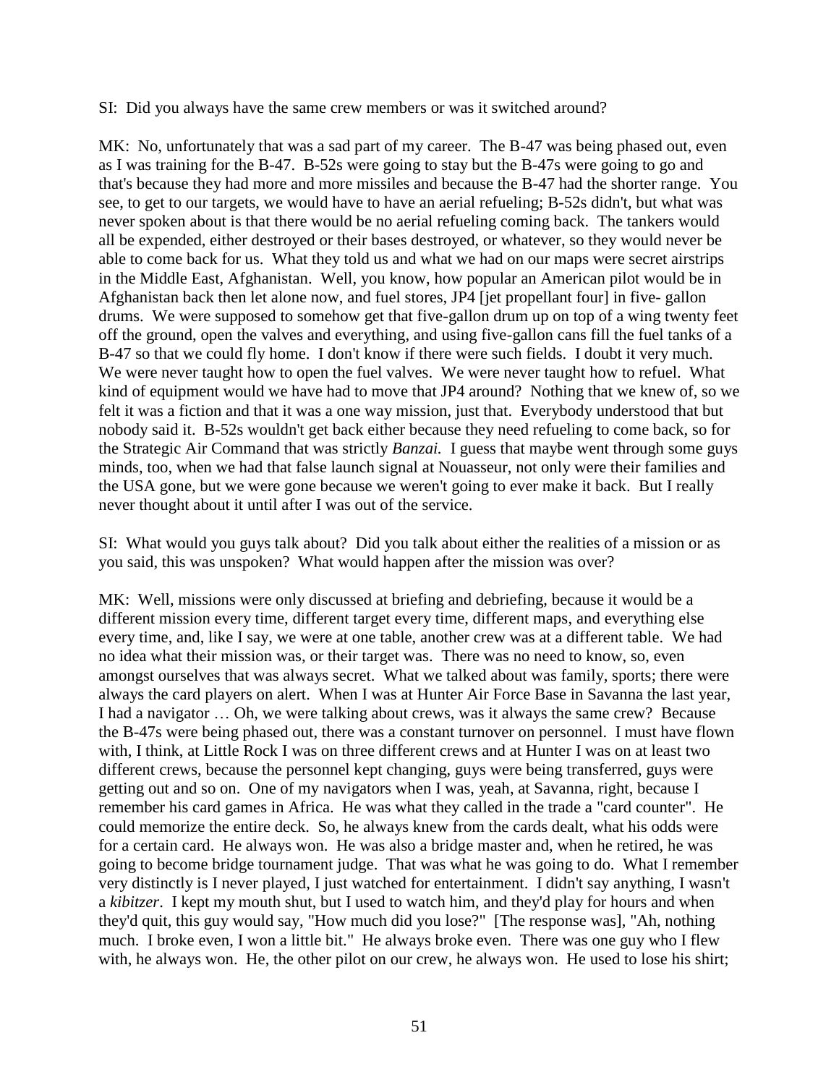SI: Did you always have the same crew members or was it switched around?

MK: No, unfortunately that was a sad part of my career. The B-47 was being phased out, even as I was training for the B-47. B-52s were going to stay but the B-47s were going to go and that's because they had more and more missiles and because the B-47 had the shorter range. You see, to get to our targets, we would have to have an aerial refueling; B-52s didn't, but what was never spoken about is that there would be no aerial refueling coming back. The tankers would all be expended, either destroyed or their bases destroyed, or whatever, so they would never be able to come back for us. What they told us and what we had on our maps were secret airstrips in the Middle East, Afghanistan. Well, you know, how popular an American pilot would be in Afghanistan back then let alone now, and fuel stores, JP4 [jet propellant four] in five- gallon drums. We were supposed to somehow get that five-gallon drum up on top of a wing twenty feet off the ground, open the valves and everything, and using five-gallon cans fill the fuel tanks of a B-47 so that we could fly home. I don't know if there were such fields. I doubt it very much. We were never taught how to open the fuel valves. We were never taught how to refuel. What kind of equipment would we have had to move that JP4 around? Nothing that we knew of, so we felt it was a fiction and that it was a one way mission, just that. Everybody understood that but nobody said it. B-52s wouldn't get back either because they need refueling to come back, so for the Strategic Air Command that was strictly *Banzai.* I guess that maybe went through some guys minds, too, when we had that false launch signal at Nouasseur, not only were their families and the USA gone, but we were gone because we weren't going to ever make it back. But I really never thought about it until after I was out of the service.

SI: What would you guys talk about? Did you talk about either the realities of a mission or as you said, this was unspoken? What would happen after the mission was over?

MK: Well, missions were only discussed at briefing and debriefing, because it would be a different mission every time, different target every time, different maps, and everything else every time, and, like I say, we were at one table, another crew was at a different table. We had no idea what their mission was, or their target was. There was no need to know, so, even amongst ourselves that was always secret. What we talked about was family, sports; there were always the card players on alert. When I was at Hunter Air Force Base in Savanna the last year, I had a navigator … Oh, we were talking about crews, was it always the same crew? Because the B-47s were being phased out, there was a constant turnover on personnel. I must have flown with, I think, at Little Rock I was on three different crews and at Hunter I was on at least two different crews, because the personnel kept changing, guys were being transferred, guys were getting out and so on. One of my navigators when I was, yeah, at Savanna, right, because I remember his card games in Africa. He was what they called in the trade a "card counter". He could memorize the entire deck. So, he always knew from the cards dealt, what his odds were for a certain card. He always won. He was also a bridge master and, when he retired, he was going to become bridge tournament judge. That was what he was going to do. What I remember very distinctly is I never played, I just watched for entertainment. I didn't say anything, I wasn't a *kibitzer*. I kept my mouth shut, but I used to watch him, and they'd play for hours and when they'd quit, this guy would say, "How much did you lose?" [The response was], "Ah, nothing much. I broke even, I won a little bit." He always broke even. There was one guy who I flew with, he always won. He, the other pilot on our crew, he always won. He used to lose his shirt;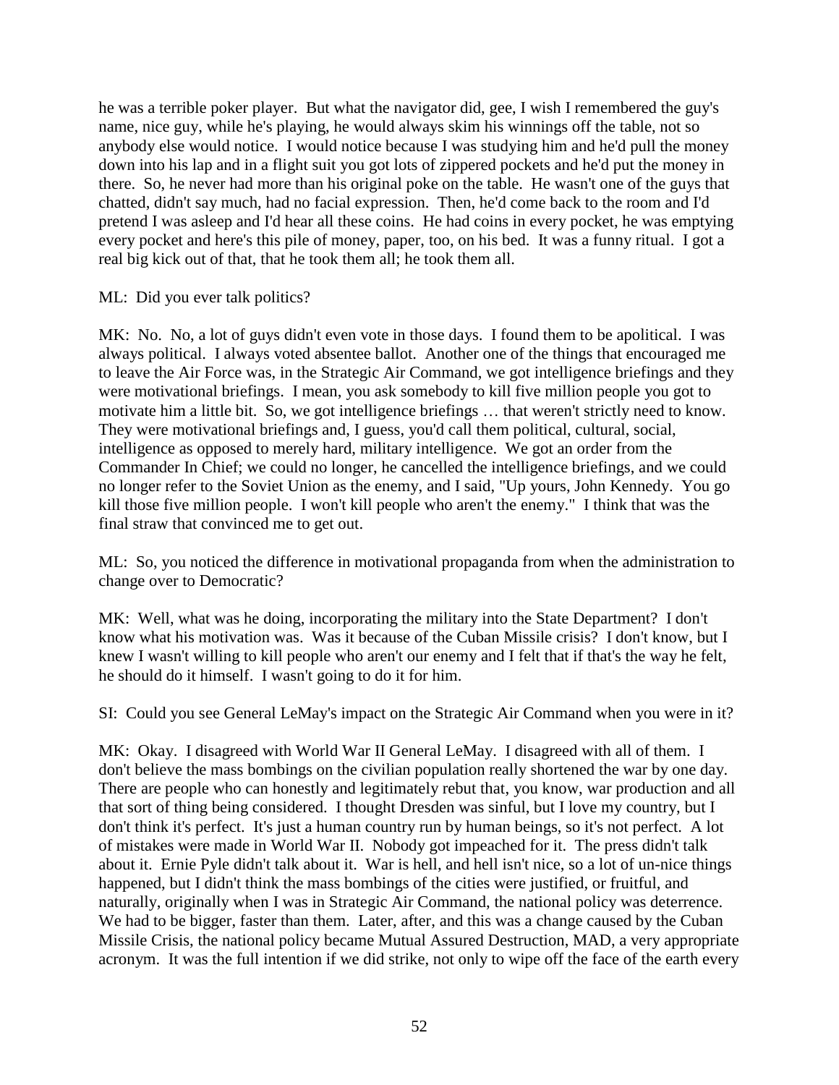he was a terrible poker player. But what the navigator did, gee, I wish I remembered the guy's name, nice guy, while he's playing, he would always skim his winnings off the table, not so anybody else would notice. I would notice because I was studying him and he'd pull the money down into his lap and in a flight suit you got lots of zippered pockets and he'd put the money in there. So, he never had more than his original poke on the table. He wasn't one of the guys that chatted, didn't say much, had no facial expression. Then, he'd come back to the room and I'd pretend I was asleep and I'd hear all these coins. He had coins in every pocket, he was emptying every pocket and here's this pile of money, paper, too, on his bed. It was a funny ritual. I got a real big kick out of that, that he took them all; he took them all.

ML: Did you ever talk politics?

MK: No. No, a lot of guys didn't even vote in those days. I found them to be apolitical. I was always political. I always voted absentee ballot. Another one of the things that encouraged me to leave the Air Force was, in the Strategic Air Command, we got intelligence briefings and they were motivational briefings. I mean, you ask somebody to kill five million people you got to motivate him a little bit. So, we got intelligence briefings … that weren't strictly need to know. They were motivational briefings and, I guess, you'd call them political, cultural, social, intelligence as opposed to merely hard, military intelligence. We got an order from the Commander In Chief; we could no longer, he cancelled the intelligence briefings, and we could no longer refer to the Soviet Union as the enemy, and I said, "Up yours, John Kennedy. You go kill those five million people. I won't kill people who aren't the enemy." I think that was the final straw that convinced me to get out.

ML: So, you noticed the difference in motivational propaganda from when the administration to change over to Democratic?

MK: Well, what was he doing, incorporating the military into the State Department? I don't know what his motivation was. Was it because of the Cuban Missile crisis? I don't know, but I knew I wasn't willing to kill people who aren't our enemy and I felt that if that's the way he felt, he should do it himself. I wasn't going to do it for him.

SI: Could you see General LeMay's impact on the Strategic Air Command when you were in it?

MK: Okay. I disagreed with World War II General LeMay. I disagreed with all of them. I don't believe the mass bombings on the civilian population really shortened the war by one day. There are people who can honestly and legitimately rebut that, you know, war production and all that sort of thing being considered. I thought Dresden was sinful, but I love my country, but I don't think it's perfect. It's just a human country run by human beings, so it's not perfect. A lot of mistakes were made in World War II. Nobody got impeached for it. The press didn't talk about it. Ernie Pyle didn't talk about it. War is hell, and hell isn't nice, so a lot of un-nice things happened, but I didn't think the mass bombings of the cities were justified, or fruitful, and naturally, originally when I was in Strategic Air Command, the national policy was deterrence. We had to be bigger, faster than them. Later, after, and this was a change caused by the Cuban Missile Crisis, the national policy became Mutual Assured Destruction, MAD, a very appropriate acronym. It was the full intention if we did strike, not only to wipe off the face of the earth every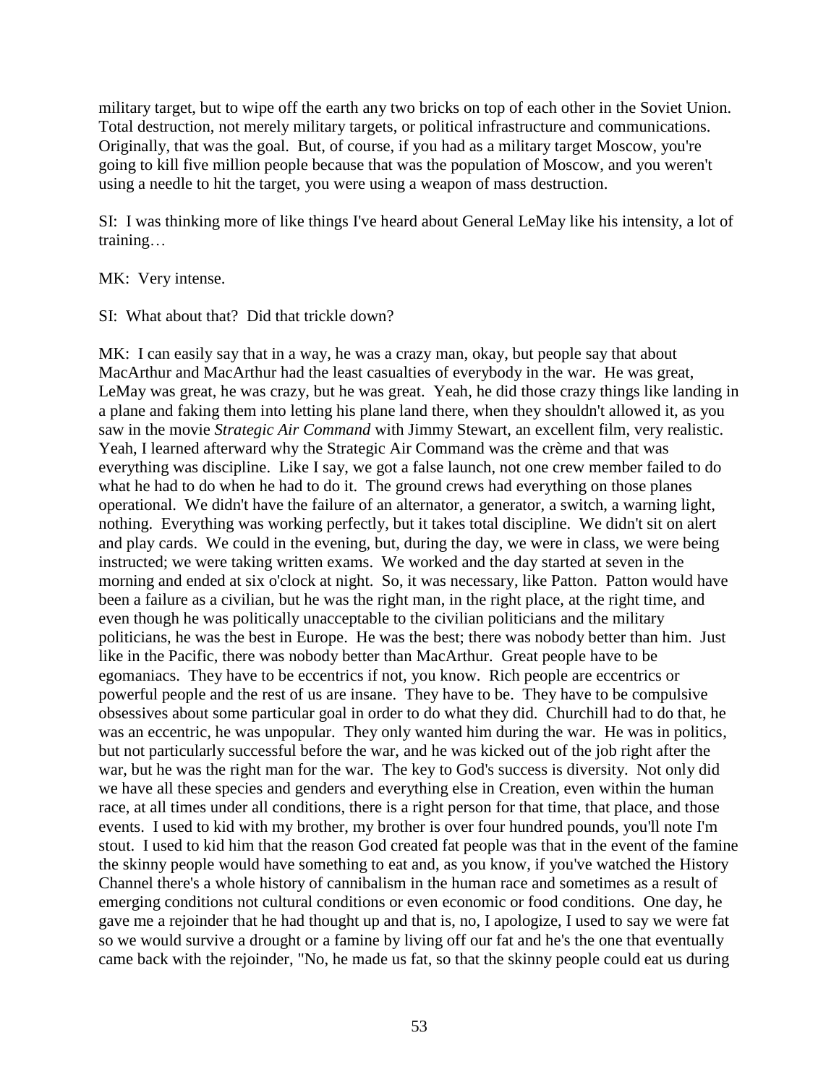military target, but to wipe off the earth any two bricks on top of each other in the Soviet Union. Total destruction, not merely military targets, or political infrastructure and communications. Originally, that was the goal. But, of course, if you had as a military target Moscow, you're going to kill five million people because that was the population of Moscow, and you weren't using a needle to hit the target, you were using a weapon of mass destruction.

SI: I was thinking more of like things I've heard about General LeMay like his intensity, a lot of training…

MK: Very intense.

SI: What about that? Did that trickle down?

MK: I can easily say that in a way, he was a crazy man, okay, but people say that about MacArthur and MacArthur had the least casualties of everybody in the war. He was great, LeMay was great, he was crazy, but he was great. Yeah, he did those crazy things like landing in a plane and faking them into letting his plane land there, when they shouldn't allowed it, as you saw in the movie *Strategic Air Command* with Jimmy Stewart, an excellent film, very realistic. Yeah, I learned afterward why the Strategic Air Command was the crème and that was everything was discipline. Like I say, we got a false launch, not one crew member failed to do what he had to do when he had to do it. The ground crews had everything on those planes operational. We didn't have the failure of an alternator, a generator, a switch, a warning light, nothing. Everything was working perfectly, but it takes total discipline. We didn't sit on alert and play cards. We could in the evening, but, during the day, we were in class, we were being instructed; we were taking written exams. We worked and the day started at seven in the morning and ended at six o'clock at night. So, it was necessary, like Patton. Patton would have been a failure as a civilian, but he was the right man, in the right place, at the right time, and even though he was politically unacceptable to the civilian politicians and the military politicians, he was the best in Europe. He was the best; there was nobody better than him. Just like in the Pacific, there was nobody better than MacArthur. Great people have to be egomaniacs. They have to be eccentrics if not, you know. Rich people are eccentrics or powerful people and the rest of us are insane. They have to be. They have to be compulsive obsessives about some particular goal in order to do what they did. Churchill had to do that, he was an eccentric, he was unpopular. They only wanted him during the war. He was in politics, but not particularly successful before the war, and he was kicked out of the job right after the war, but he was the right man for the war. The key to God's success is diversity. Not only did we have all these species and genders and everything else in Creation, even within the human race, at all times under all conditions, there is a right person for that time, that place, and those events. I used to kid with my brother, my brother is over four hundred pounds, you'll note I'm stout. I used to kid him that the reason God created fat people was that in the event of the famine the skinny people would have something to eat and, as you know, if you've watched the History Channel there's a whole history of cannibalism in the human race and sometimes as a result of emerging conditions not cultural conditions or even economic or food conditions. One day, he gave me a rejoinder that he had thought up and that is, no, I apologize, I used to say we were fat so we would survive a drought or a famine by living off our fat and he's the one that eventually came back with the rejoinder, "No, he made us fat, so that the skinny people could eat us during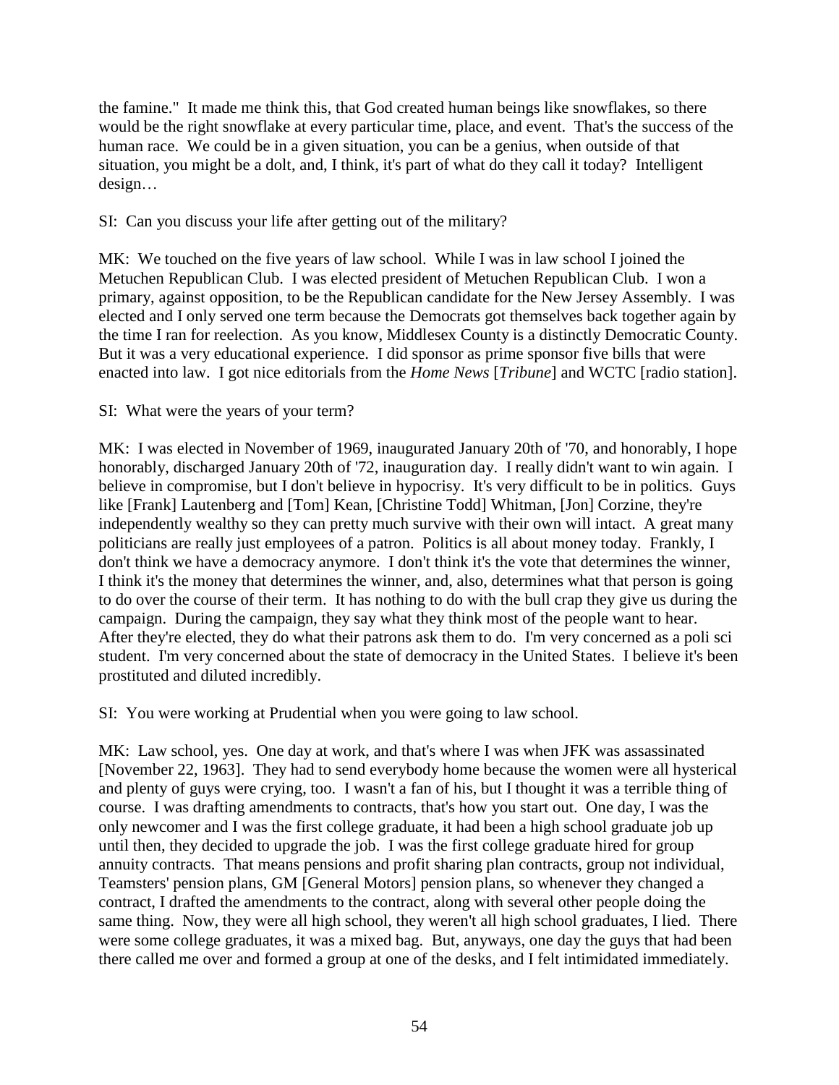the famine." It made me think this, that God created human beings like snowflakes, so there would be the right snowflake at every particular time, place, and event. That's the success of the human race. We could be in a given situation, you can be a genius, when outside of that situation, you might be a dolt, and, I think, it's part of what do they call it today? Intelligent design…

# SI: Can you discuss your life after getting out of the military?

MK: We touched on the five years of law school. While I was in law school I joined the Metuchen Republican Club. I was elected president of Metuchen Republican Club. I won a primary, against opposition, to be the Republican candidate for the New Jersey Assembly. I was elected and I only served one term because the Democrats got themselves back together again by the time I ran for reelection. As you know, Middlesex County is a distinctly Democratic County. But it was a very educational experience. I did sponsor as prime sponsor five bills that were enacted into law. I got nice editorials from the *Home News* [*Tribune*] and WCTC [radio station].

# SI: What were the years of your term?

MK: I was elected in November of 1969, inaugurated January 20th of '70, and honorably, I hope honorably, discharged January 20th of '72, inauguration day. I really didn't want to win again. I believe in compromise, but I don't believe in hypocrisy. It's very difficult to be in politics. Guys like [Frank] Lautenberg and [Tom] Kean, [Christine Todd] Whitman, [Jon] Corzine, they're independently wealthy so they can pretty much survive with their own will intact. A great many politicians are really just employees of a patron. Politics is all about money today. Frankly, I don't think we have a democracy anymore. I don't think it's the vote that determines the winner, I think it's the money that determines the winner, and, also, determines what that person is going to do over the course of their term. It has nothing to do with the bull crap they give us during the campaign. During the campaign, they say what they think most of the people want to hear. After they're elected, they do what their patrons ask them to do. I'm very concerned as a poli sci student. I'm very concerned about the state of democracy in the United States. I believe it's been prostituted and diluted incredibly.

SI: You were working at Prudential when you were going to law school.

MK: Law school, yes. One day at work, and that's where I was when JFK was assassinated [November 22, 1963]. They had to send everybody home because the women were all hysterical and plenty of guys were crying, too. I wasn't a fan of his, but I thought it was a terrible thing of course. I was drafting amendments to contracts, that's how you start out. One day, I was the only newcomer and I was the first college graduate, it had been a high school graduate job up until then, they decided to upgrade the job. I was the first college graduate hired for group annuity contracts. That means pensions and profit sharing plan contracts, group not individual, Teamsters' pension plans, GM [General Motors] pension plans, so whenever they changed a contract, I drafted the amendments to the contract, along with several other people doing the same thing. Now, they were all high school, they weren't all high school graduates, I lied. There were some college graduates, it was a mixed bag. But, anyways, one day the guys that had been there called me over and formed a group at one of the desks, and I felt intimidated immediately.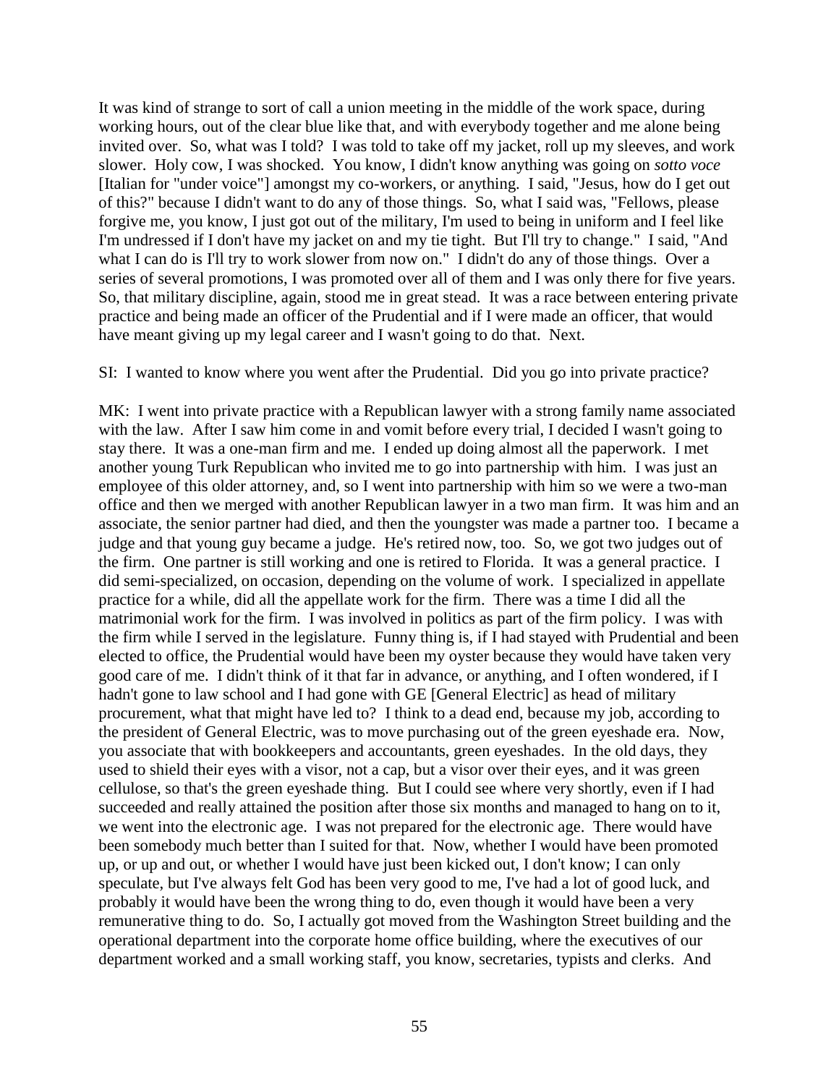It was kind of strange to sort of call a union meeting in the middle of the work space, during working hours, out of the clear blue like that, and with everybody together and me alone being invited over. So, what was I told? I was told to take off my jacket, roll up my sleeves, and work slower. Holy cow, I was shocked. You know, I didn't know anything was going on *sotto voce* [Italian for "under voice"] amongst my co-workers, or anything. I said, "Jesus, how do I get out of this?" because I didn't want to do any of those things. So, what I said was, "Fellows, please forgive me, you know, I just got out of the military, I'm used to being in uniform and I feel like I'm undressed if I don't have my jacket on and my tie tight. But I'll try to change." I said, "And what I can do is I'll try to work slower from now on." I didn't do any of those things. Over a series of several promotions, I was promoted over all of them and I was only there for five years. So, that military discipline, again, stood me in great stead. It was a race between entering private practice and being made an officer of the Prudential and if I were made an officer, that would have meant giving up my legal career and I wasn't going to do that. Next.

SI: I wanted to know where you went after the Prudential. Did you go into private practice?

MK: I went into private practice with a Republican lawyer with a strong family name associated with the law. After I saw him come in and vomit before every trial, I decided I wasn't going to stay there. It was a one-man firm and me. I ended up doing almost all the paperwork. I met another young Turk Republican who invited me to go into partnership with him. I was just an employee of this older attorney, and, so I went into partnership with him so we were a two-man office and then we merged with another Republican lawyer in a two man firm. It was him and an associate, the senior partner had died, and then the youngster was made a partner too. I became a judge and that young guy became a judge. He's retired now, too. So, we got two judges out of the firm. One partner is still working and one is retired to Florida. It was a general practice. I did semi-specialized, on occasion, depending on the volume of work. I specialized in appellate practice for a while, did all the appellate work for the firm. There was a time I did all the matrimonial work for the firm. I was involved in politics as part of the firm policy. I was with the firm while I served in the legislature. Funny thing is, if I had stayed with Prudential and been elected to office, the Prudential would have been my oyster because they would have taken very good care of me. I didn't think of it that far in advance, or anything, and I often wondered, if I hadn't gone to law school and I had gone with GE [General Electric] as head of military procurement, what that might have led to? I think to a dead end, because my job, according to the president of General Electric, was to move purchasing out of the green eyeshade era. Now, you associate that with bookkeepers and accountants, green eyeshades. In the old days, they used to shield their eyes with a visor, not a cap, but a visor over their eyes, and it was green cellulose, so that's the green eyeshade thing. But I could see where very shortly, even if I had succeeded and really attained the position after those six months and managed to hang on to it, we went into the electronic age. I was not prepared for the electronic age. There would have been somebody much better than I suited for that. Now, whether I would have been promoted up, or up and out, or whether I would have just been kicked out, I don't know; I can only speculate, but I've always felt God has been very good to me, I've had a lot of good luck, and probably it would have been the wrong thing to do, even though it would have been a very remunerative thing to do. So, I actually got moved from the Washington Street building and the operational department into the corporate home office building, where the executives of our department worked and a small working staff, you know, secretaries, typists and clerks. And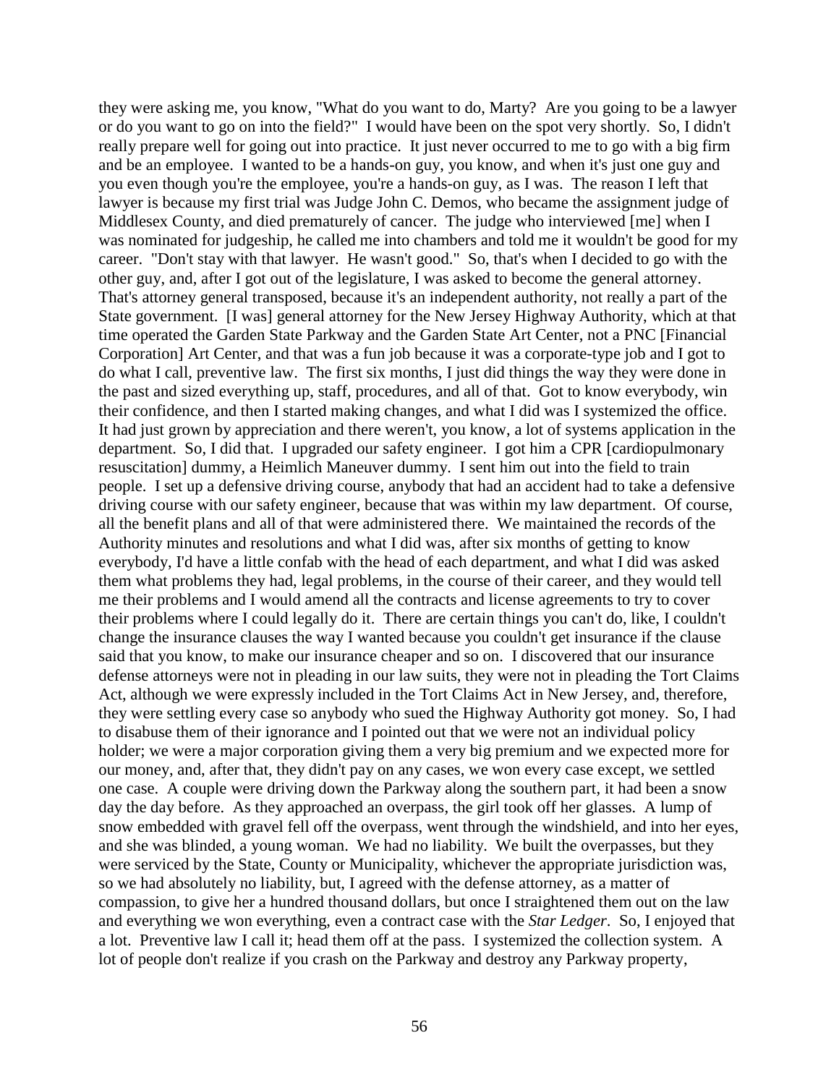they were asking me, you know, "What do you want to do, Marty? Are you going to be a lawyer or do you want to go on into the field?" I would have been on the spot very shortly. So, I didn't really prepare well for going out into practice. It just never occurred to me to go with a big firm and be an employee. I wanted to be a hands-on guy, you know, and when it's just one guy and you even though you're the employee, you're a hands-on guy, as I was. The reason I left that lawyer is because my first trial was Judge John C. Demos, who became the assignment judge of Middlesex County, and died prematurely of cancer. The judge who interviewed [me] when I was nominated for judgeship, he called me into chambers and told me it wouldn't be good for my career. "Don't stay with that lawyer. He wasn't good." So, that's when I decided to go with the other guy, and, after I got out of the legislature, I was asked to become the general attorney. That's attorney general transposed, because it's an independent authority, not really a part of the State government. [I was] general attorney for the New Jersey Highway Authority, which at that time operated the Garden State Parkway and the Garden State Art Center, not a PNC [Financial Corporation] Art Center, and that was a fun job because it was a corporate-type job and I got to do what I call, preventive law. The first six months, I just did things the way they were done in the past and sized everything up, staff, procedures, and all of that. Got to know everybody, win their confidence, and then I started making changes, and what I did was I systemized the office. It had just grown by appreciation and there weren't, you know, a lot of systems application in the department. So, I did that. I upgraded our safety engineer. I got him a CPR [cardiopulmonary resuscitation] dummy, a Heimlich Maneuver dummy. I sent him out into the field to train people. I set up a defensive driving course, anybody that had an accident had to take a defensive driving course with our safety engineer, because that was within my law department. Of course, all the benefit plans and all of that were administered there. We maintained the records of the Authority minutes and resolutions and what I did was, after six months of getting to know everybody, I'd have a little confab with the head of each department, and what I did was asked them what problems they had, legal problems, in the course of their career, and they would tell me their problems and I would amend all the contracts and license agreements to try to cover their problems where I could legally do it. There are certain things you can't do, like, I couldn't change the insurance clauses the way I wanted because you couldn't get insurance if the clause said that you know, to make our insurance cheaper and so on. I discovered that our insurance defense attorneys were not in pleading in our law suits, they were not in pleading the Tort Claims Act, although we were expressly included in the Tort Claims Act in New Jersey, and, therefore, they were settling every case so anybody who sued the Highway Authority got money. So, I had to disabuse them of their ignorance and I pointed out that we were not an individual policy holder; we were a major corporation giving them a very big premium and we expected more for our money, and, after that, they didn't pay on any cases, we won every case except, we settled one case. A couple were driving down the Parkway along the southern part, it had been a snow day the day before. As they approached an overpass, the girl took off her glasses. A lump of snow embedded with gravel fell off the overpass, went through the windshield, and into her eyes, and she was blinded, a young woman. We had no liability. We built the overpasses, but they were serviced by the State, County or Municipality, whichever the appropriate jurisdiction was, so we had absolutely no liability, but, I agreed with the defense attorney, as a matter of compassion, to give her a hundred thousand dollars, but once I straightened them out on the law and everything we won everything, even a contract case with the *Star Ledger*. So, I enjoyed that a lot. Preventive law I call it; head them off at the pass. I systemized the collection system. A lot of people don't realize if you crash on the Parkway and destroy any Parkway property,